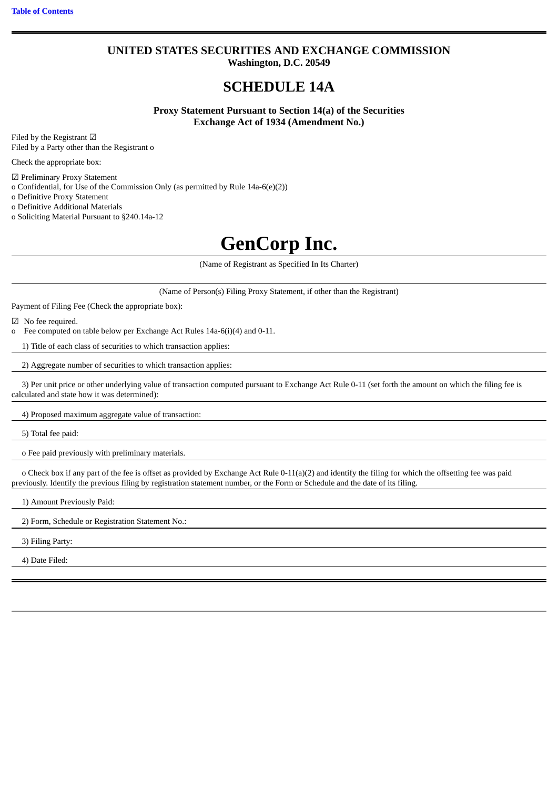## **UNITED STATES SECURITIES AND EXCHANGE COMMISSION Washington, D.C. 20549**

## **SCHEDULE 14A**

**Proxy Statement Pursuant to Section 14(a) of the Securities Exchange Act of 1934 (Amendment No.)**

Filed by the Registrant ☑ Filed by a Party other than the Registrant o

Check the appropriate box:

☑ Preliminary Proxy Statement

o Confidential, for Use of the Commission Only (as permitted by Rule 14a-6(e)(2))

o Definitive Proxy Statement

o Definitive Additional Materials

o Soliciting Material Pursuant to §240.14a-12

# **GenCorp Inc.**

(Name of Registrant as Specified In Its Charter)

(Name of Person(s) Filing Proxy Statement, if other than the Registrant)

Payment of Filing Fee (Check the appropriate box):

☑ No fee required.

o Fee computed on table below per Exchange Act Rules 14a-6(i)(4) and 0-11.

1) Title of each class of securities to which transaction applies:

2) Aggregate number of securities to which transaction applies:

3) Per unit price or other underlying value of transaction computed pursuant to Exchange Act Rule 0-11 (set forth the amount on which the filing fee is calculated and state how it was determined):

4) Proposed maximum aggregate value of transaction:

5) Total fee paid:

o Fee paid previously with preliminary materials.

o Check box if any part of the fee is offset as provided by Exchange Act Rule 0-11(a)(2) and identify the filing for which the offsetting fee was paid previously. Identify the previous filing by registration statement number, or the Form or Schedule and the date of its filing.

1) Amount Previously Paid:

2) Form, Schedule or Registration Statement No.:

3) Filing Party:

4) Date Filed: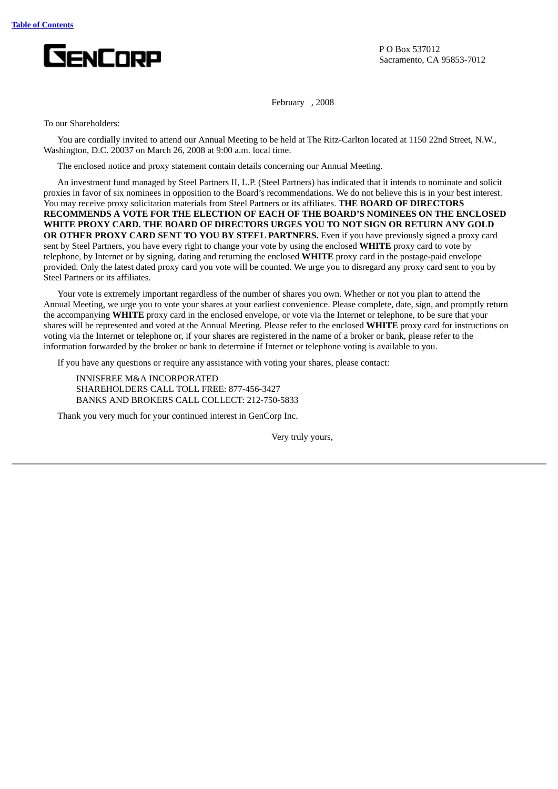

February , 2008

To our Shareholders:

You are cordially invited to attend our Annual Meeting to be held at The Ritz-Carlton located at 1150 22nd Street, N.W., Washington, D.C. 20037 on March 26, 2008 at 9:00 a.m. local time.

The enclosed notice and proxy statement contain details concerning our Annual Meeting.

An investment fund managed by Steel Partners II, L.P. (Steel Partners) has indicated that it intends to nominate and solicit proxies in favor of six nominees in opposition to the Board's recommendations. We do not believe this is in your best interest. You may receive proxy solicitation materials from Steel Partners or its affiliates. **THE BOARD OF DIRECTORS RECOMMENDS A VOTE FOR THE ELECTION OF EACH OF THE BOARD'S NOMINEES ON THE ENCLOSED WHITE PROXY CARD. THE BOARD OF DIRECTORS URGES YOU TO NOT SIGN OR RETURN ANY GOLD OR OTHER PROXY CARD SENT TO YOU BY STEEL PARTNERS.** Even if you have previously signed a proxy card sent by Steel Partners, you have every right to change your vote by using the enclosed **WHITE** proxy card to vote by telephone, by Internet or by signing, dating and returning the enclosed **WHITE** proxy card in the postage-paid envelope provided. Only the latest dated proxy card you vote will be counted. We urge you to disregard any proxy card sent to you by Steel Partners or its affiliates.

Your vote is extremely important regardless of the number of shares you own. Whether or not you plan to attend the Annual Meeting, we urge you to vote your shares at your earliest convenience. Please complete, date, sign, and promptly return the accompanying **WHITE** proxy card in the enclosed envelope, or vote via the Internet or telephone, to be sure that your shares will be represented and voted at the Annual Meeting. Please refer to the enclosed **WHITE** proxy card for instructions on voting via the Internet or telephone or, if your shares are registered in the name of a broker or bank, please refer to the information forwarded by the broker or bank to determine if Internet or telephone voting is available to you.

If you have any questions or require any assistance with voting your shares, please contact:

INNISFREE M&A INCORPORATED SHAREHOLDERS CALL TOLL FREE: 877-456-3427 BANKS AND BROKERS CALL COLLECT: 212-750-5833

<span id="page-2-0"></span>Thank you very much for your continued interest in GenCorp Inc.

Very truly yours,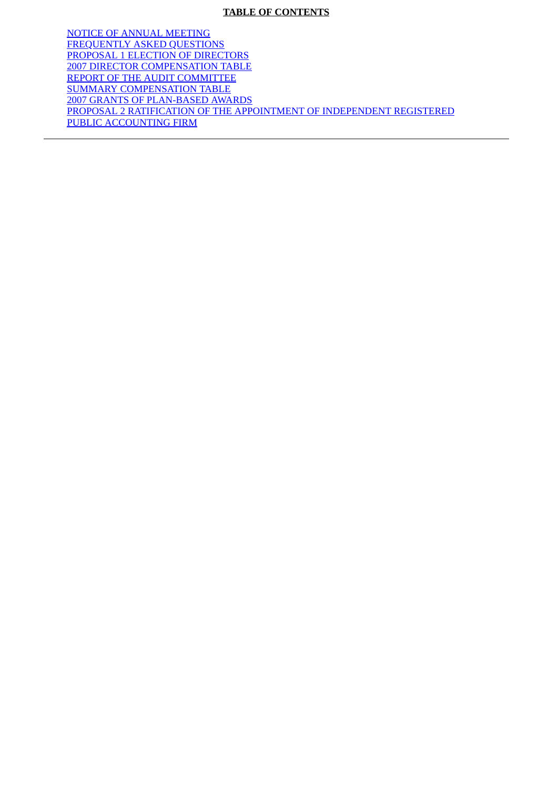## **TABLE OF CONTENTS**

[NOTICE OF ANNUAL MEETING](#page-4-0) [FREQUENTLY ASKED QUESTIONS](#page-5-0) [PROPOSAL 1 ELECTION OF DIRECTORS](#page-12-0) [2007 DIRECTOR COMPENSATION TABLE](#page-28-0) [REPORT OF THE AUDIT COMMITTEE](#page-32-0) [SUMMARY COMPENSATION TABLE](#page-43-0) [2007 GRANTS OF PLAN-BASED AWARDS](#page-45-0) [PROPOSAL 2 RATIFICATION OF THE APPOINTMENT OF INDEPENDENT REGISTERED](#page-56-0) PUBLIC ACCOUNTING FIRM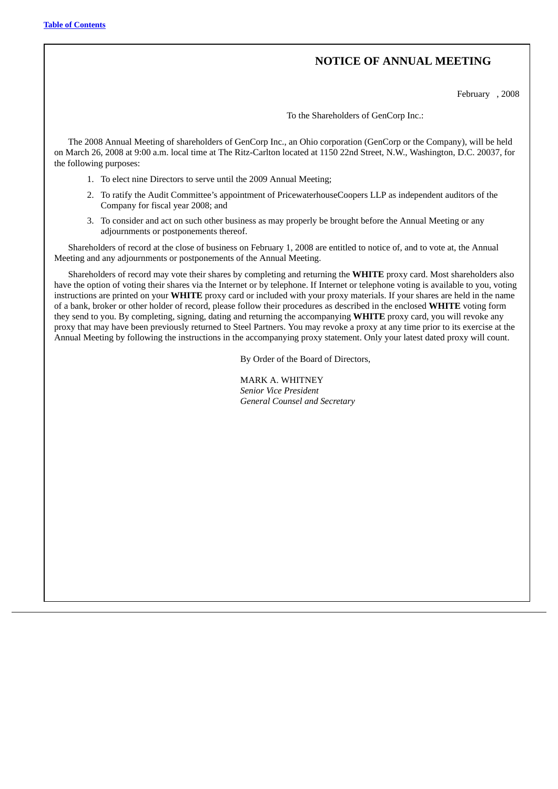## <span id="page-4-0"></span>**NOTICE OF ANNUAL MEETING**

February , 2008

To the Shareholders of GenCorp Inc.:

The 2008 Annual Meeting of shareholders of GenCorp Inc., an Ohio corporation (GenCorp or the Company), will be held on March 26, 2008 at 9:00 a.m. local time at The Ritz-Carlton located at 1150 22nd Street, N.W., Washington, D.C. 20037, for the following purposes:

- 1. To elect nine Directors to serve until the 2009 Annual Meeting;
- 2. To ratify the Audit Committee's appointment of PricewaterhouseCoopers LLP as independent auditors of the Company for fiscal year 2008; and
- 3. To consider and act on such other business as may properly be brought before the Annual Meeting or any adjournments or postponements thereof.

Shareholders of record at the close of business on February 1, 2008 are entitled to notice of, and to vote at, the Annual Meeting and any adjournments or postponements of the Annual Meeting.

Shareholders of record may vote their shares by completing and returning the **WHITE** proxy card. Most shareholders also have the option of voting their shares via the Internet or by telephone. If Internet or telephone voting is available to you, voting instructions are printed on your **WHITE** proxy card or included with your proxy materials. If your shares are held in the name of a bank, broker or other holder of record, please follow their procedures as described in the enclosed **WHITE** voting form they send to you. By completing, signing, dating and returning the accompanying **WHITE** proxy card, you will revoke any proxy that may have been previously returned to Steel Partners. You may revoke a proxy at any time prior to its exercise at the Annual Meeting by following the instructions in the accompanying proxy statement. Only your latest dated proxy will count.

By Order of the Board of Directors,

MARK A. WHITNEY *Senior Vice President General Counsel and Secretary*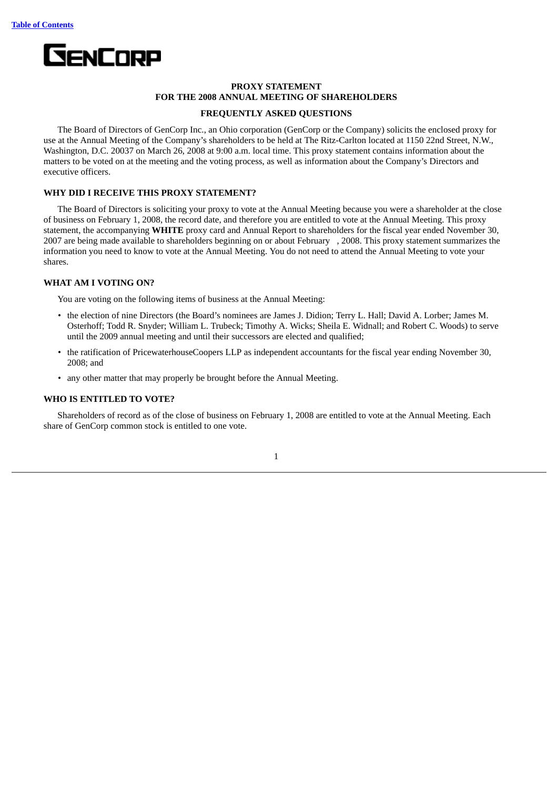

## **PROXY STATEMENT FOR THE 2008 ANNUAL MEETING OF SHAREHOLDERS**

#### **FREQUENTLY ASKED QUESTIONS**

<span id="page-5-0"></span>The Board of Directors of GenCorp Inc., an Ohio corporation (GenCorp or the Company) solicits the enclosed proxy for use at the Annual Meeting of the Company's shareholders to be held at The Ritz-Carlton located at 1150 22nd Street, N.W., Washington, D.C. 20037 on March 26, 2008 at 9:00 a.m. local time. This proxy statement contains information about the matters to be voted on at the meeting and the voting process, as well as information about the Company's Directors and executive officers.

## **WHY DID I RECEIVE THIS PROXY STATEMENT?**

The Board of Directors is soliciting your proxy to vote at the Annual Meeting because you were a shareholder at the close of business on February 1, 2008, the record date, and therefore you are entitled to vote at the Annual Meeting. This proxy statement, the accompanying **WHITE** proxy card and Annual Report to shareholders for the fiscal year ended November 30, 2007 are being made available to shareholders beginning on or about February , 2008. This proxy statement summarizes the information you need to know to vote at the Annual Meeting. You do not need to attend the Annual Meeting to vote your shares.

## **WHAT AM I VOTING ON?**

You are voting on the following items of business at the Annual Meeting:

- the election of nine Directors (the Board's nominees are James J. Didion; Terry L. Hall; David A. Lorber; James M. Osterhoff; Todd R. Snyder; William L. Trubeck; Timothy A. Wicks; Sheila E. Widnall; and Robert C. Woods) to serve until the 2009 annual meeting and until their successors are elected and qualified;
- the ratification of PricewaterhouseCoopers LLP as independent accountants for the fiscal year ending November 30, 2008; and
- any other matter that may properly be brought before the Annual Meeting.

#### **WHO IS ENTITLED TO VOTE?**

Shareholders of record as of the close of business on February 1, 2008 are entitled to vote at the Annual Meeting. Each share of GenCorp common stock is entitled to one vote.

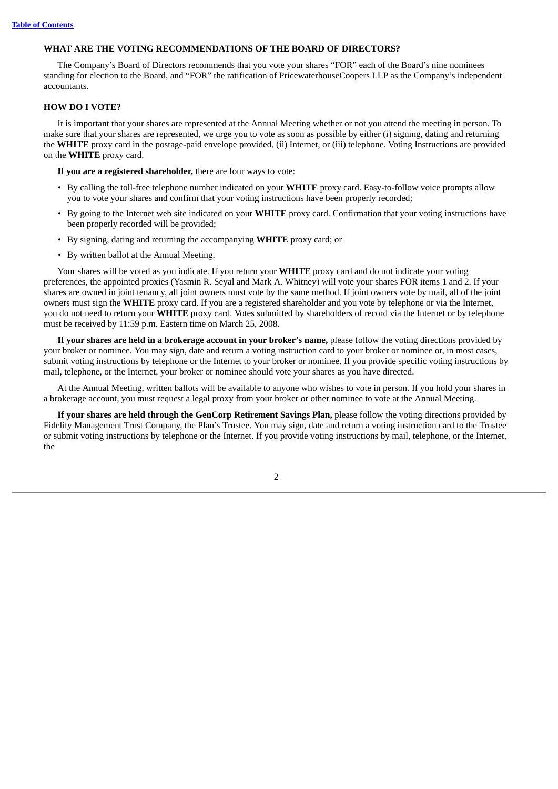## **WHAT ARE THE VOTING RECOMMENDATIONS OF THE BOARD OF DIRECTORS?**

The Company's Board of Directors recommends that you vote your shares "FOR" each of the Board's nine nominees standing for election to the Board, and "FOR" the ratification of PricewaterhouseCoopers LLP as the Company's independent accountants.

#### **HOW DO I VOTE?**

It is important that your shares are represented at the Annual Meeting whether or not you attend the meeting in person. To make sure that your shares are represented, we urge you to vote as soon as possible by either (i) signing, dating and returning the **WHITE** proxy card in the postage-paid envelope provided, (ii) Internet, or (iii) telephone. Voting Instructions are provided on the **WHITE** proxy card.

**If you are a registered shareholder,** there are four ways to vote:

- By calling the toll-free telephone number indicated on your **WHITE** proxy card. Easy-to-follow voice prompts allow you to vote your shares and confirm that your voting instructions have been properly recorded;
- By going to the Internet web site indicated on your **WHITE** proxy card. Confirmation that your voting instructions have been properly recorded will be provided;
- By signing, dating and returning the accompanying **WHITE** proxy card; or
- By written ballot at the Annual Meeting.

Your shares will be voted as you indicate. If you return your **WHITE** proxy card and do not indicate your voting preferences, the appointed proxies (Yasmin R. Seyal and Mark A. Whitney) will vote your shares FOR items 1 and 2. If your shares are owned in joint tenancy, all joint owners must vote by the same method. If joint owners vote by mail, all of the joint owners must sign the **WHITE** proxy card. If you are a registered shareholder and you vote by telephone or via the Internet, you do not need to return your **WHITE** proxy card. Votes submitted by shareholders of record via the Internet or by telephone must be received by 11:59 p.m. Eastern time on March 25, 2008.

**If your shares are held in a brokerage account in your broker's name,** please follow the voting directions provided by your broker or nominee. You may sign, date and return a voting instruction card to your broker or nominee or, in most cases, submit voting instructions by telephone or the Internet to your broker or nominee. If you provide specific voting instructions by mail, telephone, or the Internet, your broker or nominee should vote your shares as you have directed.

At the Annual Meeting, written ballots will be available to anyone who wishes to vote in person. If you hold your shares in a brokerage account, you must request a legal proxy from your broker or other nominee to vote at the Annual Meeting.

**If your shares are held through the GenCorp Retirement Savings Plan,** please follow the voting directions provided by Fidelity Management Trust Company, the Plan's Trustee. You may sign, date and return a voting instruction card to the Trustee or submit voting instructions by telephone or the Internet. If you provide voting instructions by mail, telephone, or the Internet, the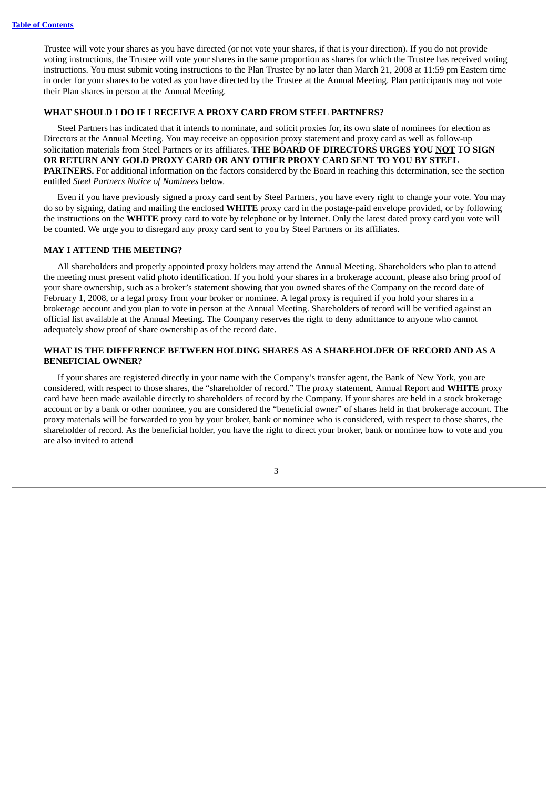Trustee will vote your shares as you have directed (or not vote your shares, if that is your direction). If you do not provide voting instructions, the Trustee will vote your shares in the same proportion as shares for which the Trustee has received voting instructions. You must submit voting instructions to the Plan Trustee by no later than March 21, 2008 at 11:59 pm Eastern time in order for your shares to be voted as you have directed by the Trustee at the Annual Meeting. Plan participants may not vote their Plan shares in person at the Annual Meeting.

## **WHAT SHOULD I DO IF I RECEIVE A PROXY CARD FROM STEEL PARTNERS?**

Steel Partners has indicated that it intends to nominate, and solicit proxies for, its own slate of nominees for election as Directors at the Annual Meeting. You may receive an opposition proxy statement and proxy card as well as follow-up solicitation materials from Steel Partners or its affiliates. **THE BOARD OF DIRECTORS URGES YOU NOT TO SIGN OR RETURN ANY GOLD PROXY CARD OR ANY OTHER PROXY CARD SENT TO YOU BY STEEL PARTNERS.** For additional information on the factors considered by the Board in reaching this determination, see the section entitled *Steel Partners Notice of Nominees* below.

Even if you have previously signed a proxy card sent by Steel Partners, you have every right to change your vote. You may do so by signing, dating and mailing the enclosed **WHITE** proxy card in the postage-paid envelope provided, or by following the instructions on the **WHITE** proxy card to vote by telephone or by Internet. Only the latest dated proxy card you vote will be counted. We urge you to disregard any proxy card sent to you by Steel Partners or its affiliates.

#### **MAY I ATTEND THE MEETING?**

All shareholders and properly appointed proxy holders may attend the Annual Meeting. Shareholders who plan to attend the meeting must present valid photo identification. If you hold your shares in a brokerage account, please also bring proof of your share ownership, such as a broker's statement showing that you owned shares of the Company on the record date of February 1, 2008, or a legal proxy from your broker or nominee. A legal proxy is required if you hold your shares in a brokerage account and you plan to vote in person at the Annual Meeting. Shareholders of record will be verified against an official list available at the Annual Meeting. The Company reserves the right to deny admittance to anyone who cannot adequately show proof of share ownership as of the record date.

## **WHAT IS THE DIFFERENCE BETWEEN HOLDING SHARES AS A SHAREHOLDER OF RECORD AND AS A BENEFICIAL OWNER?**

If your shares are registered directly in your name with the Company's transfer agent, the Bank of New York, you are considered, with respect to those shares, the "shareholder of record." The proxy statement, Annual Report and **WHITE** proxy card have been made available directly to shareholders of record by the Company. If your shares are held in a stock brokerage account or by a bank or other nominee, you are considered the "beneficial owner" of shares held in that brokerage account. The proxy materials will be forwarded to you by your broker, bank or nominee who is considered, with respect to those shares, the shareholder of record. As the beneficial holder, you have the right to direct your broker, bank or nominee how to vote and you are also invited to attend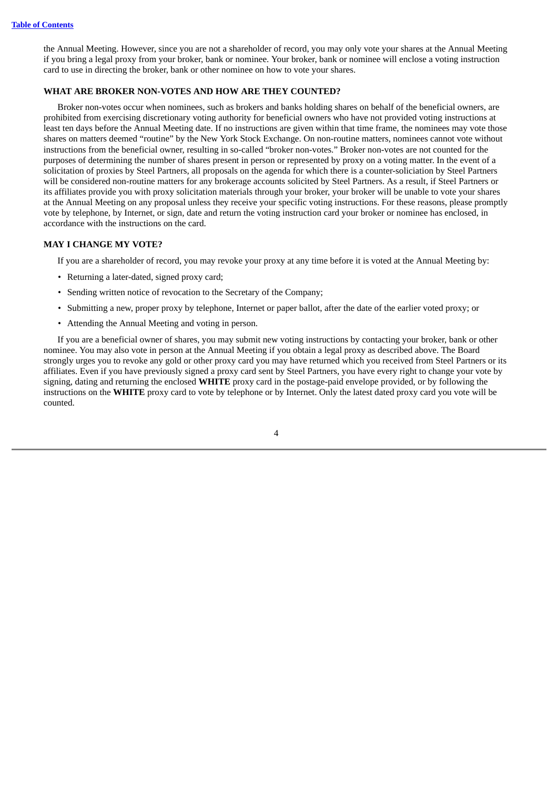the Annual Meeting. However, since you are not a shareholder of record, you may only vote your shares at the Annual Meeting if you bring a legal proxy from your broker, bank or nominee. Your broker, bank or nominee will enclose a voting instruction card to use in directing the broker, bank or other nominee on how to vote your shares.

## **WHAT ARE BROKER NON-VOTES AND HOW ARE THEY COUNTED?**

Broker non-votes occur when nominees, such as brokers and banks holding shares on behalf of the beneficial owners, are prohibited from exercising discretionary voting authority for beneficial owners who have not provided voting instructions at least ten days before the Annual Meeting date. If no instructions are given within that time frame, the nominees may vote those shares on matters deemed "routine" by the New York Stock Exchange. On non-routine matters, nominees cannot vote without instructions from the beneficial owner, resulting in so-called "broker non-votes." Broker non-votes are not counted for the purposes of determining the number of shares present in person or represented by proxy on a voting matter. In the event of a solicitation of proxies by Steel Partners, all proposals on the agenda for which there is a counter-soliciation by Steel Partners will be considered non-routine matters for any brokerage accounts solicited by Steel Partners. As a result, if Steel Partners or its affiliates provide you with proxy solicitation materials through your broker, your broker will be unable to vote your shares at the Annual Meeting on any proposal unless they receive your specific voting instructions. For these reasons, please promptly vote by telephone, by Internet, or sign, date and return the voting instruction card your broker or nominee has enclosed, in accordance with the instructions on the card.

#### **MAY I CHANGE MY VOTE?**

If you are a shareholder of record, you may revoke your proxy at any time before it is voted at the Annual Meeting by:

- Returning a later-dated, signed proxy card;
- Sending written notice of revocation to the Secretary of the Company;
- Submitting a new, proper proxy by telephone, Internet or paper ballot, after the date of the earlier voted proxy; or
- Attending the Annual Meeting and voting in person.

If you are a beneficial owner of shares, you may submit new voting instructions by contacting your broker, bank or other nominee. You may also vote in person at the Annual Meeting if you obtain a legal proxy as described above. The Board strongly urges you to revoke any gold or other proxy card you may have returned which you received from Steel Partners or its affiliates. Even if you have previously signed a proxy card sent by Steel Partners, you have every right to change your vote by signing, dating and returning the enclosed **WHITE** proxy card in the postage-paid envelope provided, or by following the instructions on the **WHITE** proxy card to vote by telephone or by Internet. Only the latest dated proxy card you vote will be counted.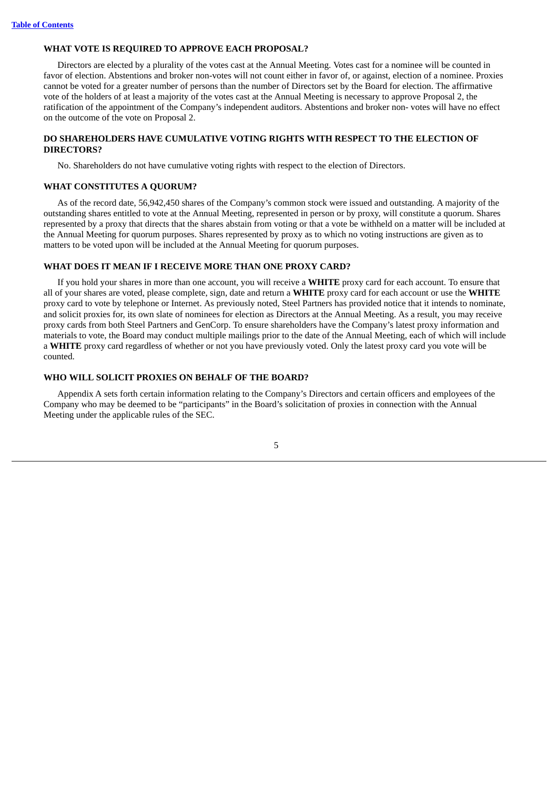## **WHAT VOTE IS REQUIRED TO APPROVE EACH PROPOSAL?**

Directors are elected by a plurality of the votes cast at the Annual Meeting. Votes cast for a nominee will be counted in favor of election. Abstentions and broker non-votes will not count either in favor of, or against, election of a nominee. Proxies cannot be voted for a greater number of persons than the number of Directors set by the Board for election. The affirmative vote of the holders of at least a majority of the votes cast at the Annual Meeting is necessary to approve Proposal 2, the ratification of the appointment of the Company's independent auditors. Abstentions and broker non- votes will have no effect on the outcome of the vote on Proposal 2.

#### **DO SHAREHOLDERS HAVE CUMULATIVE VOTING RIGHTS WITH RESPECT TO THE ELECTION OF DIRECTORS?**

No. Shareholders do not have cumulative voting rights with respect to the election of Directors.

#### **WHAT CONSTITUTES A QUORUM?**

As of the record date, 56,942,450 shares of the Company's common stock were issued and outstanding. A majority of the outstanding shares entitled to vote at the Annual Meeting, represented in person or by proxy, will constitute a quorum. Shares represented by a proxy that directs that the shares abstain from voting or that a vote be withheld on a matter will be included at the Annual Meeting for quorum purposes. Shares represented by proxy as to which no voting instructions are given as to matters to be voted upon will be included at the Annual Meeting for quorum purposes.

#### **WHAT DOES IT MEAN IF I RECEIVE MORE THAN ONE PROXY CARD?**

If you hold your shares in more than one account, you will receive a **WHITE** proxy card for each account. To ensure that all of your shares are voted, please complete, sign, date and return a **WHITE** proxy card for each account or use the **WHITE** proxy card to vote by telephone or Internet. As previously noted, Steel Partners has provided notice that it intends to nominate, and solicit proxies for, its own slate of nominees for election as Directors at the Annual Meeting. As a result, you may receive proxy cards from both Steel Partners and GenCorp. To ensure shareholders have the Company's latest proxy information and materials to vote, the Board may conduct multiple mailings prior to the date of the Annual Meeting, each of which will include a **WHITE** proxy card regardless of whether or not you have previously voted. Only the latest proxy card you vote will be counted.

## **WHO WILL SOLICIT PROXIES ON BEHALF OF THE BOARD?**

Appendix A sets forth certain information relating to the Company's Directors and certain officers and employees of the Company who may be deemed to be "participants" in the Board's solicitation of proxies in connection with the Annual Meeting under the applicable rules of the SEC.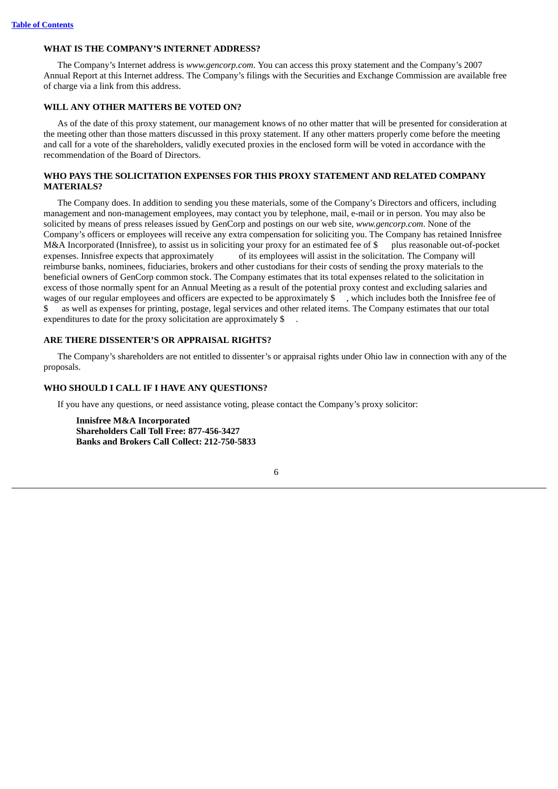## **WHAT IS THE COMPANY'S INTERNET ADDRESS?**

The Company's Internet address is *www.gencorp.com*. You can access this proxy statement and the Company's 2007 Annual Report at this Internet address. The Company's filings with the Securities and Exchange Commission are available free of charge via a link from this address.

#### **WILL ANY OTHER MATTERS BE VOTED ON?**

As of the date of this proxy statement, our management knows of no other matter that will be presented for consideration at the meeting other than those matters discussed in this proxy statement. If any other matters properly come before the meeting and call for a vote of the shareholders, validly executed proxies in the enclosed form will be voted in accordance with the recommendation of the Board of Directors.

## **WHO PAYS THE SOLICITATION EXPENSES FOR THIS PROXY STATEMENT AND RELATED COMPANY MATERIALS?**

The Company does. In addition to sending you these materials, some of the Company's Directors and officers, including management and non-management employees, may contact you by telephone, mail, e-mail or in person. You may also be solicited by means of press releases issued by GenCorp and postings on our web site, *www.gencorp.com*. None of the Company's officers or employees will receive any extra compensation for soliciting you. The Company has retained Innisfree M&A Incorporated (Innisfree), to assist us in soliciting your proxy for an estimated fee of \$ plus reasonable out-of-pocket expenses. Innisfree expects that approximately of its employees will assist in the solicitation. The Company will reimburse banks, nominees, fiduciaries, brokers and other custodians for their costs of sending the proxy materials to the beneficial owners of GenCorp common stock. The Company estimates that its total expenses related to the solicitation in excess of those normally spent for an Annual Meeting as a result of the potential proxy contest and excluding salaries and wages of our regular employees and officers are expected to be approximately \$, which includes both the Innisfree fee of \$ as well as expenses for printing, postage, legal services and other related items. The Company estimates that our total expenditures to date for the proxy solicitation are approximately \$

## **ARE THERE DISSENTER'S OR APPRAISAL RIGHTS?**

The Company's shareholders are not entitled to dissenter's or appraisal rights under Ohio law in connection with any of the proposals.

## **WHO SHOULD I CALL IF I HAVE ANY QUESTIONS?**

If you have any questions, or need assistance voting, please contact the Company's proxy solicitor:

**Innisfree M&A Incorporated Shareholders Call Toll Free: 877-456-3427 Banks and Brokers Call Collect: 212-750-5833**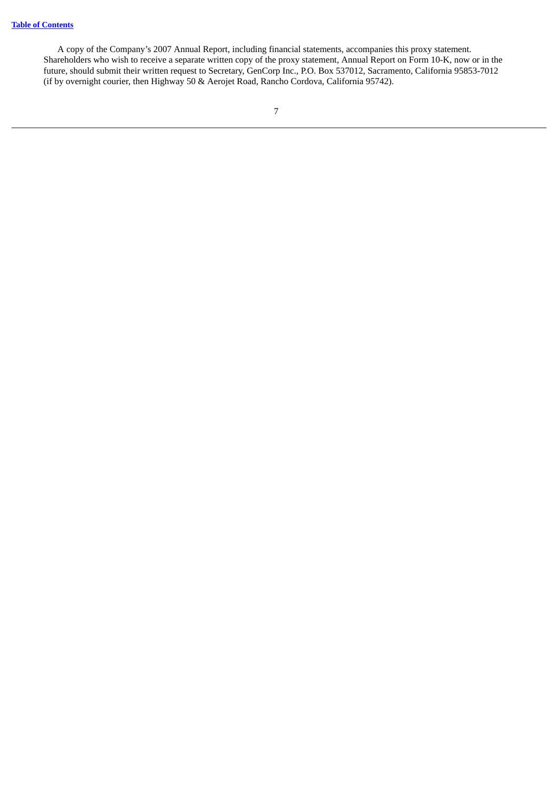A copy of the Company's 2007 Annual Report, including financial statements, accompanies this proxy statement. Shareholders who wish to receive a separate written copy of the proxy statement, Annual Report on Form 10-K, now or in the future, should submit their written request to Secretary, GenCorp Inc., P.O. Box 537012, Sacramento, California 95853-7012 (if by overnight courier, then Highway 50 & Aerojet Road, Rancho Cordova, California 95742).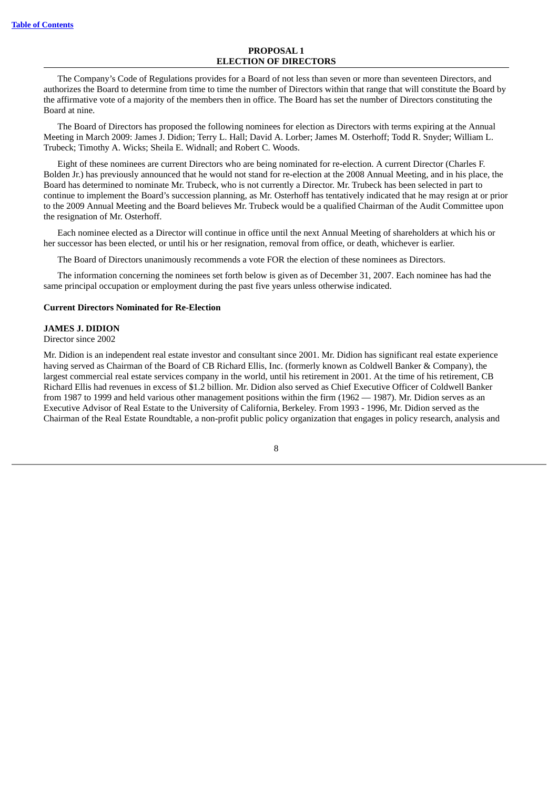## **PROPOSAL 1 ELECTION OF DIRECTORS**

<span id="page-12-0"></span>The Company's Code of Regulations provides for a Board of not less than seven or more than seventeen Directors, and authorizes the Board to determine from time to time the number of Directors within that range that will constitute the Board by the affirmative vote of a majority of the members then in office. The Board has set the number of Directors constituting the Board at nine.

The Board of Directors has proposed the following nominees for election as Directors with terms expiring at the Annual Meeting in March 2009: James J. Didion; Terry L. Hall; David A. Lorber; James M. Osterhoff; Todd R. Snyder; William L. Trubeck; Timothy A. Wicks; Sheila E. Widnall; and Robert C. Woods.

Eight of these nominees are current Directors who are being nominated for re-election. A current Director (Charles F. Bolden Jr.) has previously announced that he would not stand for re-election at the 2008 Annual Meeting, and in his place, the Board has determined to nominate Mr. Trubeck, who is not currently a Director. Mr. Trubeck has been selected in part to continue to implement the Board's succession planning, as Mr. Osterhoff has tentatively indicated that he may resign at or prior to the 2009 Annual Meeting and the Board believes Mr. Trubeck would be a qualified Chairman of the Audit Committee upon the resignation of Mr. Osterhoff.

Each nominee elected as a Director will continue in office until the next Annual Meeting of shareholders at which his or her successor has been elected, or until his or her resignation, removal from office, or death, whichever is earlier.

The Board of Directors unanimously recommends a vote FOR the election of these nominees as Directors.

The information concerning the nominees set forth below is given as of December 31, 2007. Each nominee has had the same principal occupation or employment during the past five years unless otherwise indicated.

#### **Current Directors Nominated for Re-Election**

#### **JAMES J. DIDION**

Director since 2002

Mr. Didion is an independent real estate investor and consultant since 2001. Mr. Didion has significant real estate experience having served as Chairman of the Board of CB Richard Ellis, Inc. (formerly known as Coldwell Banker & Company), the largest commercial real estate services company in the world, until his retirement in 2001. At the time of his retirement, CB Richard Ellis had revenues in excess of \$1.2 billion. Mr. Didion also served as Chief Executive Officer of Coldwell Banker from 1987 to 1999 and held various other management positions within the firm (1962 — 1987). Mr. Didion serves as an Executive Advisor of Real Estate to the University of California, Berkeley. From 1993 - 1996, Mr. Didion served as the Chairman of the Real Estate Roundtable, a non-profit public policy organization that engages in policy research, analysis and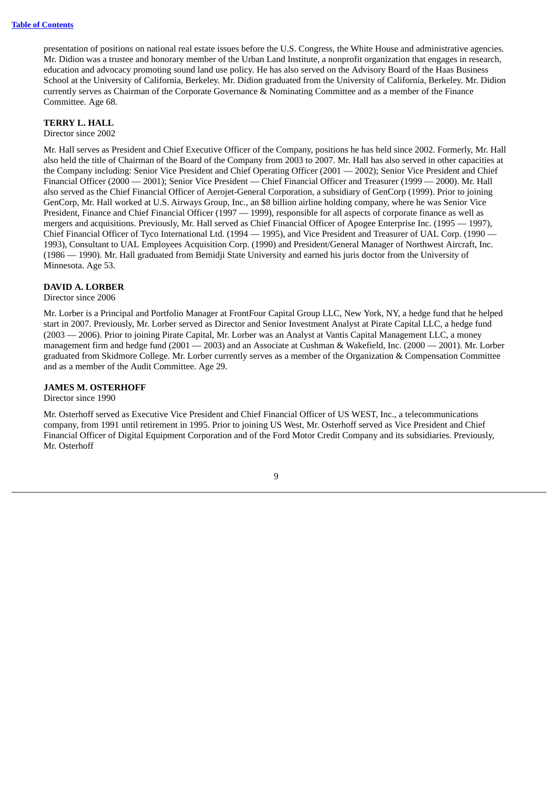presentation of positions on national real estate issues before the U.S. Congress, the White House and administrative agencies. Mr. Didion was a trustee and honorary member of the Urban Land Institute, a nonprofit organization that engages in research, education and advocacy promoting sound land use policy. He has also served on the Advisory Board of the Haas Business School at the University of California, Berkeley. Mr. Didion graduated from the University of California, Berkeley. Mr. Didion currently serves as Chairman of the Corporate Governance & Nominating Committee and as a member of the Finance Committee. Age 68.

## **TERRY L. HALL**

Director since 2002

Mr. Hall serves as President and Chief Executive Officer of the Company, positions he has held since 2002. Formerly, Mr. Hall also held the title of Chairman of the Board of the Company from 2003 to 2007. Mr. Hall has also served in other capacities at the Company including: Senior Vice President and Chief Operating Officer (2001 — 2002); Senior Vice President and Chief Financial Officer (2000 — 2001); Senior Vice President — Chief Financial Officer and Treasurer (1999 — 2000). Mr. Hall also served as the Chief Financial Officer of Aerojet-General Corporation, a subsidiary of GenCorp (1999). Prior to joining GenCorp, Mr. Hall worked at U.S. Airways Group, Inc., an \$8 billion airline holding company, where he was Senior Vice President, Finance and Chief Financial Officer (1997 — 1999), responsible for all aspects of corporate finance as well as mergers and acquisitions. Previously, Mr. Hall served as Chief Financial Officer of Apogee Enterprise Inc. (1995 — 1997), Chief Financial Officer of Tyco International Ltd. (1994 — 1995), and Vice President and Treasurer of UAL Corp. (1990 — 1993), Consultant to UAL Employees Acquisition Corp. (1990) and President/General Manager of Northwest Aircraft, Inc. (1986 — 1990). Mr. Hall graduated from Bemidji State University and earned his juris doctor from the University of Minnesota. Age 53.

#### **DAVID A. LORBER**

Director since 2006

Mr. Lorber is a Principal and Portfolio Manager at FrontFour Capital Group LLC, New York, NY, a hedge fund that he helped start in 2007. Previously, Mr. Lorber served as Director and Senior Investment Analyst at Pirate Capital LLC, a hedge fund (2003 — 2006). Prior to joining Pirate Capital, Mr. Lorber was an Analyst at Vantis Capital Management LLC, a money management firm and hedge fund (2001 — 2003) and an Associate at Cushman & Wakefield, Inc. (2000 — 2001). Mr. Lorber graduated from Skidmore College. Mr. Lorber currently serves as a member of the Organization & Compensation Committee and as a member of the Audit Committee. Age 29.

#### **JAMES M. OSTERHOFF**

Director since 1990

Mr. Osterhoff served as Executive Vice President and Chief Financial Officer of US WEST, Inc., a telecommunications company, from 1991 until retirement in 1995. Prior to joining US West, Mr. Osterhoff served as Vice President and Chief Financial Officer of Digital Equipment Corporation and of the Ford Motor Credit Company and its subsidiaries. Previously, Mr. Osterhoff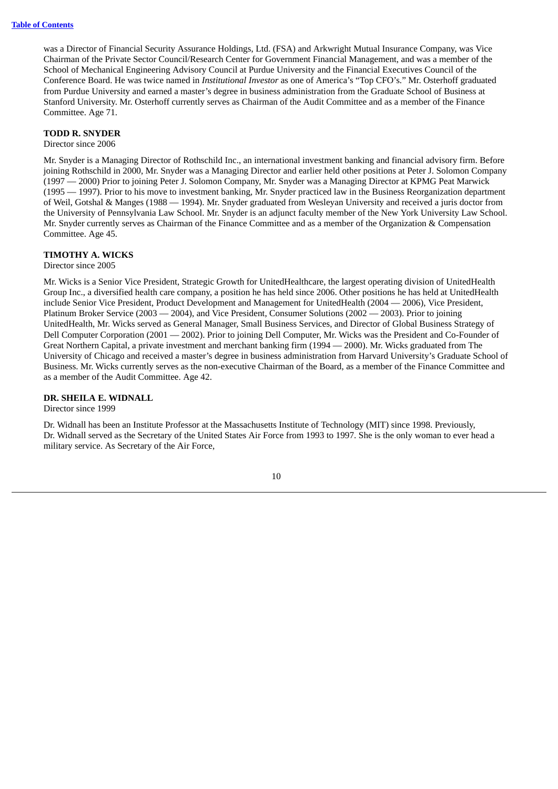was a Director of Financial Security Assurance Holdings, Ltd. (FSA) and Arkwright Mutual Insurance Company, was Vice Chairman of the Private Sector Council/Research Center for Government Financial Management, and was a member of the School of Mechanical Engineering Advisory Council at Purdue University and the Financial Executives Council of the Conference Board. He was twice named in *Institutional Investor* as one of America's "Top CFO's." Mr. Osterhoff graduated from Purdue University and earned a master's degree in business administration from the Graduate School of Business at Stanford University. Mr. Osterhoff currently serves as Chairman of the Audit Committee and as a member of the Finance Committee. Age 71.

## **TODD R. SNYDER**

Director since 2006

Mr. Snyder is a Managing Director of Rothschild Inc., an international investment banking and financial advisory firm. Before joining Rothschild in 2000, Mr. Snyder was a Managing Director and earlier held other positions at Peter J. Solomon Company (1997 — 2000) Prior to joining Peter J. Solomon Company, Mr. Snyder was a Managing Director at KPMG Peat Marwick (1995 — 1997). Prior to his move to investment banking, Mr. Snyder practiced law in the Business Reorganization department of Weil, Gotshal & Manges (1988 — 1994). Mr. Snyder graduated from Wesleyan University and received a juris doctor from the University of Pennsylvania Law School. Mr. Snyder is an adjunct faculty member of the New York University Law School. Mr. Snyder currently serves as Chairman of the Finance Committee and as a member of the Organization & Compensation Committee. Age 45.

#### **TIMOTHY A. WICKS**

Director since 2005

Mr. Wicks is a Senior Vice President, Strategic Growth for UnitedHealthcare, the largest operating division of UnitedHealth Group Inc., a diversified health care company, a position he has held since 2006. Other positions he has held at UnitedHealth include Senior Vice President, Product Development and Management for UnitedHealth (2004 — 2006), Vice President, Platinum Broker Service (2003 — 2004), and Vice President, Consumer Solutions (2002 — 2003). Prior to joining UnitedHealth, Mr. Wicks served as General Manager, Small Business Services, and Director of Global Business Strategy of Dell Computer Corporation (2001 — 2002). Prior to joining Dell Computer, Mr. Wicks was the President and Co-Founder of Great Northern Capital, a private investment and merchant banking firm (1994 — 2000). Mr. Wicks graduated from The University of Chicago and received a master's degree in business administration from Harvard University's Graduate School of Business. Mr. Wicks currently serves as the non-executive Chairman of the Board, as a member of the Finance Committee and as a member of the Audit Committee. Age 42.

**DR. SHEILA E. WIDNALL**

Director since 1999

Dr. Widnall has been an Institute Professor at the Massachusetts Institute of Technology (MIT) since 1998. Previously, Dr. Widnall served as the Secretary of the United States Air Force from 1993 to 1997. She is the only woman to ever head a military service. As Secretary of the Air Force,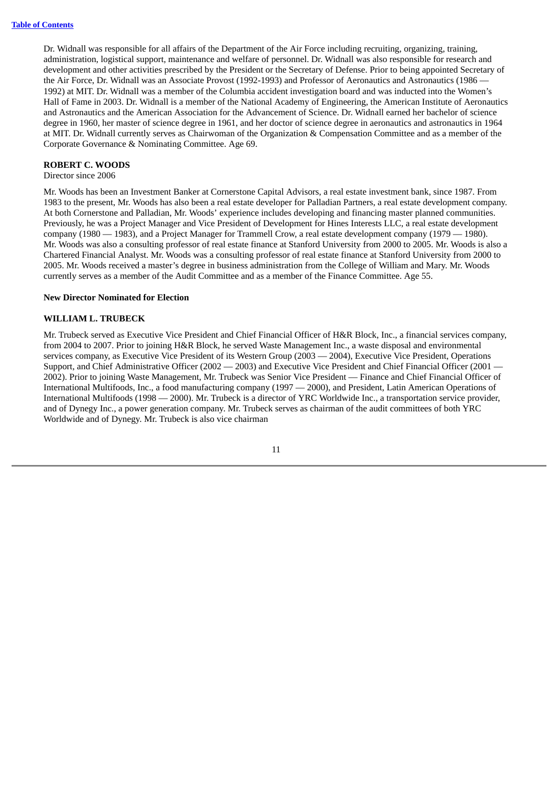Dr. Widnall was responsible for all affairs of the Department of the Air Force including recruiting, organizing, training, administration, logistical support, maintenance and welfare of personnel. Dr. Widnall was also responsible for research and development and other activities prescribed by the President or the Secretary of Defense. Prior to being appointed Secretary of the Air Force, Dr. Widnall was an Associate Provost (1992-1993) and Professor of Aeronautics and Astronautics (1986 -1992) at MIT. Dr. Widnall was a member of the Columbia accident investigation board and was inducted into the Women's Hall of Fame in 2003. Dr. Widnall is a member of the National Academy of Engineering, the American Institute of Aeronautics and Astronautics and the American Association for the Advancement of Science. Dr. Widnall earned her bachelor of science degree in 1960, her master of science degree in 1961, and her doctor of science degree in aeronautics and astronautics in 1964 at MIT. Dr. Widnall currently serves as Chairwoman of the Organization & Compensation Committee and as a member of the Corporate Governance & Nominating Committee. Age 69.

#### **ROBERT C. WOODS**

#### Director since 2006

Mr. Woods has been an Investment Banker at Cornerstone Capital Advisors, a real estate investment bank, since 1987. From 1983 to the present, Mr. Woods has also been a real estate developer for Palladian Partners, a real estate development company. At both Cornerstone and Palladian, Mr. Woods' experience includes developing and financing master planned communities. Previously, he was a Project Manager and Vice President of Development for Hines Interests LLC, a real estate development company (1980 — 1983), and a Project Manager for Trammell Crow, a real estate development company (1979 — 1980). Mr. Woods was also a consulting professor of real estate finance at Stanford University from 2000 to 2005. Mr. Woods is also a Chartered Financial Analyst. Mr. Woods was a consulting professor of real estate finance at Stanford University from 2000 to 2005. Mr. Woods received a master's degree in business administration from the College of William and Mary. Mr. Woods currently serves as a member of the Audit Committee and as a member of the Finance Committee. Age 55.

#### **New Director Nominated for Election**

#### **WILLIAM L. TRUBECK**

Mr. Trubeck served as Executive Vice President and Chief Financial Officer of H&R Block, Inc., a financial services company, from 2004 to 2007. Prior to joining H&R Block, he served Waste Management Inc., a waste disposal and environmental services company, as Executive Vice President of its Western Group (2003 — 2004), Executive Vice President, Operations Support, and Chief Administrative Officer (2002 — 2003) and Executive Vice President and Chief Financial Officer (2001 -2002). Prior to joining Waste Management, Mr. Trubeck was Senior Vice President — Finance and Chief Financial Officer of International Multifoods, Inc., a food manufacturing company (1997 — 2000), and President, Latin American Operations of International Multifoods (1998 — 2000). Mr. Trubeck is a director of YRC Worldwide Inc., a transportation service provider, and of Dynegy Inc., a power generation company. Mr. Trubeck serves as chairman of the audit committees of both YRC Worldwide and of Dynegy. Mr. Trubeck is also vice chairman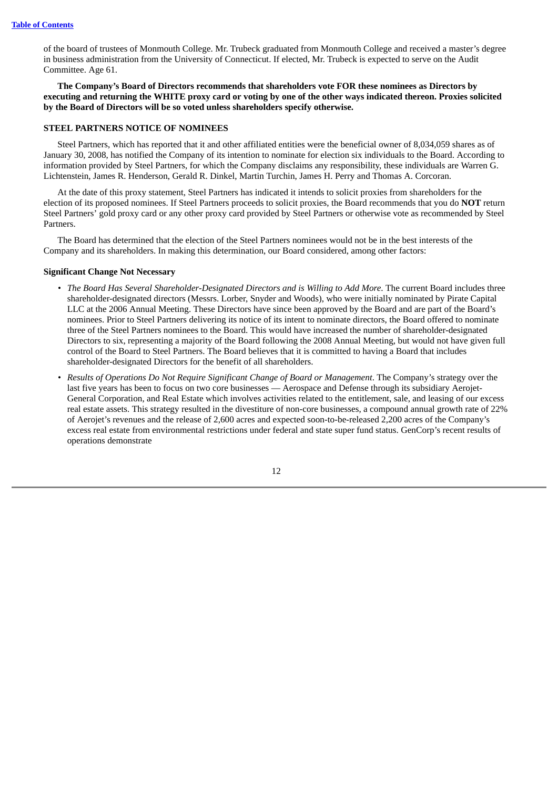of the board of trustees of Monmouth College. Mr. Trubeck graduated from Monmouth College and received a master's degree in business administration from the University of Connecticut. If elected, Mr. Trubeck is expected to serve on the Audit Committee. Age 61.

**The Company's Board of Directors recommends that shareholders vote FOR these nominees as Directors by** executing and returning the WHITE proxy card or voting by one of the other ways indicated thereon. Proxies solicited **by the Board of Directors will be so voted unless shareholders specify otherwise.**

#### **STEEL PARTNERS NOTICE OF NOMINEES**

Steel Partners, which has reported that it and other affiliated entities were the beneficial owner of 8,034,059 shares as of January 30, 2008, has notified the Company of its intention to nominate for election six individuals to the Board. According to information provided by Steel Partners, for which the Company disclaims any responsibility, these individuals are Warren G. Lichtenstein, James R. Henderson, Gerald R. Dinkel, Martin Turchin, James H. Perry and Thomas A. Corcoran.

At the date of this proxy statement, Steel Partners has indicated it intends to solicit proxies from shareholders for the election of its proposed nominees. If Steel Partners proceeds to solicit proxies, the Board recommends that you do **NOT** return Steel Partners' gold proxy card or any other proxy card provided by Steel Partners or otherwise vote as recommended by Steel Partners.

The Board has determined that the election of the Steel Partners nominees would not be in the best interests of the Company and its shareholders. In making this determination, our Board considered, among other factors:

#### **Significant Change Not Necessary**

- *The Board Has Several Shareholder-Designated Directors and is Willing to Add More*. The current Board includes three shareholder-designated directors (Messrs. Lorber, Snyder and Woods), who were initially nominated by Pirate Capital LLC at the 2006 Annual Meeting. These Directors have since been approved by the Board and are part of the Board's nominees. Prior to Steel Partners delivering its notice of its intent to nominate directors, the Board offered to nominate three of the Steel Partners nominees to the Board. This would have increased the number of shareholder-designated Directors to six, representing a majority of the Board following the 2008 Annual Meeting, but would not have given full control of the Board to Steel Partners. The Board believes that it is committed to having a Board that includes shareholder-designated Directors for the benefit of all shareholders.
- *Results of Operations Do Not Require Significant Change of Board or Management*. The Company's strategy over the last five years has been to focus on two core businesses — Aerospace and Defense through its subsidiary Aerojet-General Corporation, and Real Estate which involves activities related to the entitlement, sale, and leasing of our excess real estate assets. This strategy resulted in the divestiture of non-core businesses, a compound annual growth rate of 22% of Aerojet's revenues and the release of 2,600 acres and expected soon-to-be-released 2,200 acres of the Company's excess real estate from environmental restrictions under federal and state super fund status. GenCorp's recent results of operations demonstrate

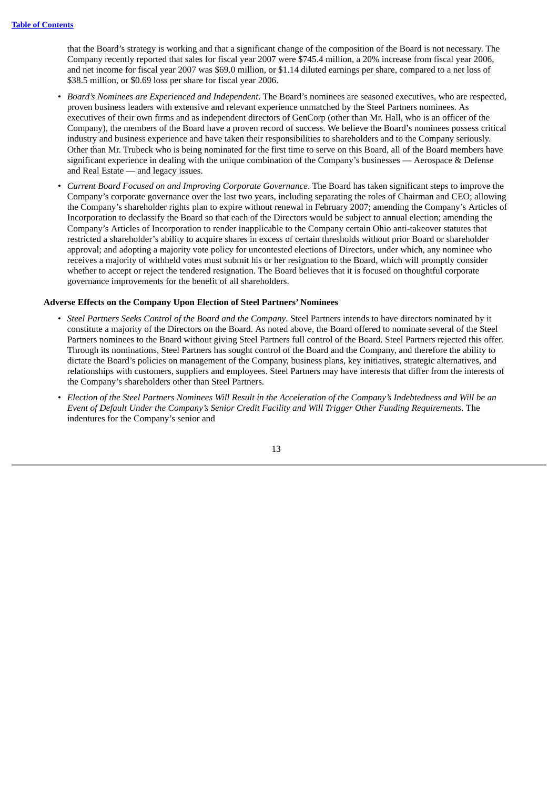that the Board's strategy is working and that a significant change of the composition of the Board is not necessary. The Company recently reported that sales for fiscal year 2007 were \$745.4 million, a 20% increase from fiscal year 2006, and net income for fiscal year 2007 was \$69.0 million, or \$1.14 diluted earnings per share, compared to a net loss of \$38.5 million, or \$0.69 loss per share for fiscal year 2006.

- *Board's Nominees are Experienced and Independent*. The Board's nominees are seasoned executives, who are respected, proven business leaders with extensive and relevant experience unmatched by the Steel Partners nominees. As executives of their own firms and as independent directors of GenCorp (other than Mr. Hall, who is an officer of the Company), the members of the Board have a proven record of success. We believe the Board's nominees possess critical industry and business experience and have taken their responsibilities to shareholders and to the Company seriously. Other than Mr. Trubeck who is being nominated for the first time to serve on this Board, all of the Board members have significant experience in dealing with the unique combination of the Company's businesses — Aerospace & Defense and Real Estate — and legacy issues.
- *Current Board Focused on and Improving Corporate Governance*. The Board has taken significant steps to improve the Company's corporate governance over the last two years, including separating the roles of Chairman and CEO; allowing the Company's shareholder rights plan to expire without renewal in February 2007; amending the Company's Articles of Incorporation to declassify the Board so that each of the Directors would be subject to annual election; amending the Company's Articles of Incorporation to render inapplicable to the Company certain Ohio anti-takeover statutes that restricted a shareholder's ability to acquire shares in excess of certain thresholds without prior Board or shareholder approval; and adopting a majority vote policy for uncontested elections of Directors, under which, any nominee who receives a majority of withheld votes must submit his or her resignation to the Board, which will promptly consider whether to accept or reject the tendered resignation. The Board believes that it is focused on thoughtful corporate governance improvements for the benefit of all shareholders.

## **Adverse Effects on the Company Upon Election of Steel Partners' Nominees**

- *Steel Partners Seeks Control of the Board and the Company*. Steel Partners intends to have directors nominated by it constitute a majority of the Directors on the Board. As noted above, the Board offered to nominate several of the Steel Partners nominees to the Board without giving Steel Partners full control of the Board. Steel Partners rejected this offer. Through its nominations, Steel Partners has sought control of the Board and the Company, and therefore the ability to dictate the Board's policies on management of the Company, business plans, key initiatives, strategic alternatives, and relationships with customers, suppliers and employees. Steel Partners may have interests that differ from the interests of the Company's shareholders other than Steel Partners.
- Election of the Steel Partners Nominees Will Result in the Acceleration of the Company's Indebtedness and Will be an *Event of Default Under the Company's Senior Credit Facility and Will Trigger Other Funding Requirements*. The indentures for the Company's senior and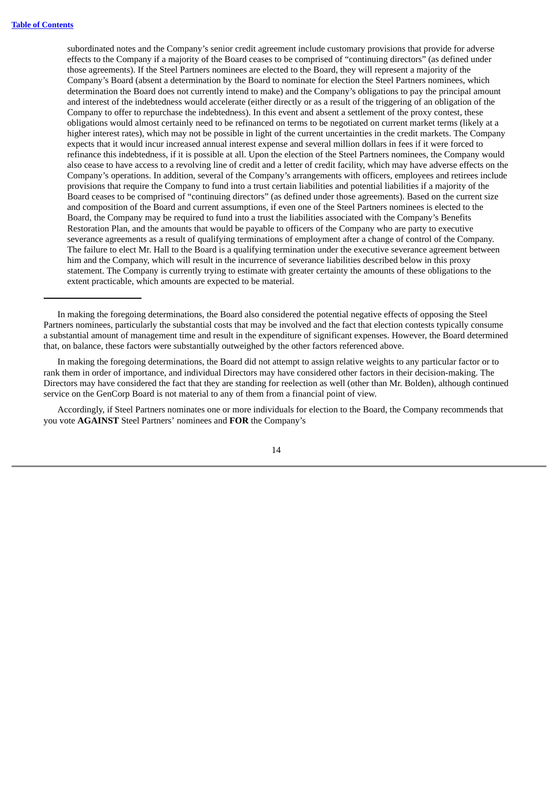subordinated notes and the Company's senior credit agreement include customary provisions that provide for adverse effects to the Company if a majority of the Board ceases to be comprised of "continuing directors" (as defined under those agreements). If the Steel Partners nominees are elected to the Board, they will represent a majority of the Company's Board (absent a determination by the Board to nominate for election the Steel Partners nominees, which determination the Board does not currently intend to make) and the Company's obligations to pay the principal amount and interest of the indebtedness would accelerate (either directly or as a result of the triggering of an obligation of the Company to offer to repurchase the indebtedness). In this event and absent a settlement of the proxy contest, these obligations would almost certainly need to be refinanced on terms to be negotiated on current market terms (likely at a higher interest rates), which may not be possible in light of the current uncertainties in the credit markets. The Company expects that it would incur increased annual interest expense and several million dollars in fees if it were forced to refinance this indebtedness, if it is possible at all. Upon the election of the Steel Partners nominees, the Company would also cease to have access to a revolving line of credit and a letter of credit facility, which may have adverse effects on the Company's operations. In addition, several of the Company's arrangements with officers, employees and retirees include provisions that require the Company to fund into a trust certain liabilities and potential liabilities if a majority of the Board ceases to be comprised of "continuing directors" (as defined under those agreements). Based on the current size and composition of the Board and current assumptions, if even one of the Steel Partners nominees is elected to the Board, the Company may be required to fund into a trust the liabilities associated with the Company's Benefits Restoration Plan, and the amounts that would be payable to officers of the Company who are party to executive severance agreements as a result of qualifying terminations of employment after a change of control of the Company. The failure to elect Mr. Hall to the Board is a qualifying termination under the executive severance agreement between him and the Company, which will result in the incurrence of severance liabilities described below in this proxy statement. The Company is currently trying to estimate with greater certainty the amounts of these obligations to the extent practicable, which amounts are expected to be material.

Accordingly, if Steel Partners nominates one or more individuals for election to the Board, the Company recommends that you vote **AGAINST** Steel Partners' nominees and **FOR** the Company's

In making the foregoing determinations, the Board also considered the potential negative effects of opposing the Steel Partners nominees, particularly the substantial costs that may be involved and the fact that election contests typically consume a substantial amount of management time and result in the expenditure of significant expenses. However, the Board determined that, on balance, these factors were substantially outweighed by the other factors referenced above.

In making the foregoing determinations, the Board did not attempt to assign relative weights to any particular factor or to rank them in order of importance, and individual Directors may have considered other factors in their decision-making. The Directors may have considered the fact that they are standing for reelection as well (other than Mr. Bolden), although continued service on the GenCorp Board is not material to any of them from a financial point of view.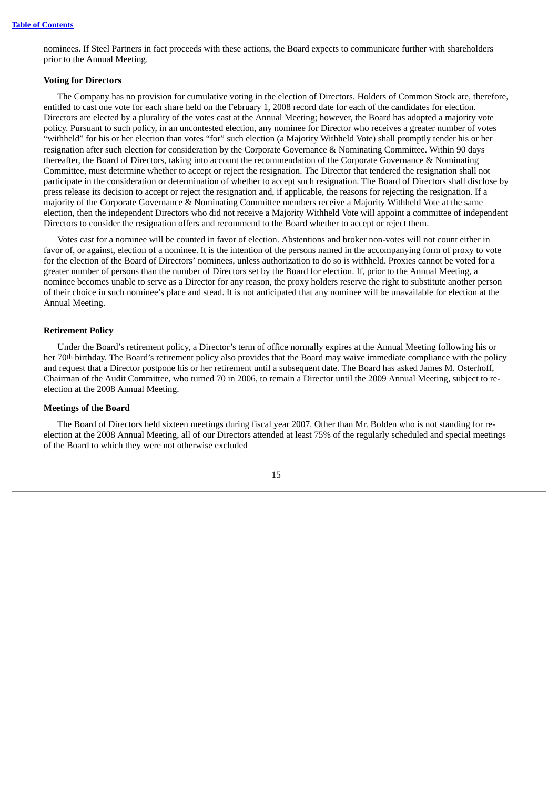nominees. If Steel Partners in fact proceeds with these actions, the Board expects to communicate further with shareholders prior to the Annual Meeting.

#### **Voting for Directors**

The Company has no provision for cumulative voting in the election of Directors. Holders of Common Stock are, therefore, entitled to cast one vote for each share held on the February 1, 2008 record date for each of the candidates for election. Directors are elected by a plurality of the votes cast at the Annual Meeting; however, the Board has adopted a majority vote policy. Pursuant to such policy, in an uncontested election, any nominee for Director who receives a greater number of votes "withheld" for his or her election than votes "for" such election (a Majority Withheld Vote) shall promptly tender his or her resignation after such election for consideration by the Corporate Governance & Nominating Committee. Within 90 days thereafter, the Board of Directors, taking into account the recommendation of the Corporate Governance & Nominating Committee, must determine whether to accept or reject the resignation. The Director that tendered the resignation shall not participate in the consideration or determination of whether to accept such resignation. The Board of Directors shall disclose by press release its decision to accept or reject the resignation and, if applicable, the reasons for rejecting the resignation. If a majority of the Corporate Governance & Nominating Committee members receive a Majority Withheld Vote at the same election, then the independent Directors who did not receive a Majority Withheld Vote will appoint a committee of independent Directors to consider the resignation offers and recommend to the Board whether to accept or reject them.

Votes cast for a nominee will be counted in favor of election. Abstentions and broker non-votes will not count either in favor of, or against, election of a nominee. It is the intention of the persons named in the accompanying form of proxy to vote for the election of the Board of Directors' nominees, unless authorization to do so is withheld. Proxies cannot be voted for a greater number of persons than the number of Directors set by the Board for election. If, prior to the Annual Meeting, a nominee becomes unable to serve as a Director for any reason, the proxy holders reserve the right to substitute another person of their choice in such nominee's place and stead. It is not anticipated that any nominee will be unavailable for election at the Annual Meeting.

#### **Retirement Policy**

Under the Board's retirement policy, a Director's term of office normally expires at the Annual Meeting following his or her 70th birthday. The Board's retirement policy also provides that the Board may waive immediate compliance with the policy and request that a Director postpone his or her retirement until a subsequent date. The Board has asked James M. Osterhoff, Chairman of the Audit Committee, who turned 70 in 2006, to remain a Director until the 2009 Annual Meeting, subject to reelection at the 2008 Annual Meeting.

#### **Meetings of the Board**

The Board of Directors held sixteen meetings during fiscal year 2007. Other than Mr. Bolden who is not standing for reelection at the 2008 Annual Meeting, all of our Directors attended at least 75% of the regularly scheduled and special meetings of the Board to which they were not otherwise excluded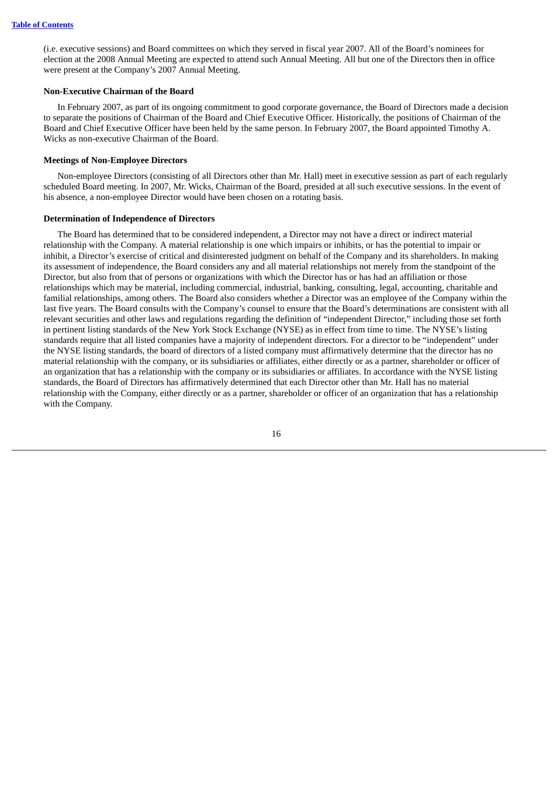(i.e. executive sessions) and Board committees on which they served in fiscal year 2007. All of the Board's nominees for election at the 2008 Annual Meeting are expected to attend such Annual Meeting. All but one of the Directors then in office were present at the Company's 2007 Annual Meeting.

#### **Non-Executive Chairman of the Board**

In February 2007, as part of its ongoing commitment to good corporate governance, the Board of Directors made a decision to separate the positions of Chairman of the Board and Chief Executive Officer. Historically, the positions of Chairman of the Board and Chief Executive Officer have been held by the same person. In February 2007, the Board appointed Timothy A. Wicks as non-executive Chairman of the Board.

#### **Meetings of Non-Employee Directors**

Non-employee Directors (consisting of all Directors other than Mr. Hall) meet in executive session as part of each regularly scheduled Board meeting. In 2007, Mr. Wicks, Chairman of the Board, presided at all such executive sessions. In the event of his absence, a non-employee Director would have been chosen on a rotating basis.

#### **Determination of Independence of Directors**

The Board has determined that to be considered independent, a Director may not have a direct or indirect material relationship with the Company. A material relationship is one which impairs or inhibits, or has the potential to impair or inhibit, a Director's exercise of critical and disinterested judgment on behalf of the Company and its shareholders. In making its assessment of independence, the Board considers any and all material relationships not merely from the standpoint of the Director, but also from that of persons or organizations with which the Director has or has had an affiliation or those relationships which may be material, including commercial, industrial, banking, consulting, legal, accounting, charitable and familial relationships, among others. The Board also considers whether a Director was an employee of the Company within the last five years. The Board consults with the Company's counsel to ensure that the Board's determinations are consistent with all relevant securities and other laws and regulations regarding the definition of "independent Director," including those set forth in pertinent listing standards of the New York Stock Exchange (NYSE) as in effect from time to time. The NYSE's listing standards require that all listed companies have a majority of independent directors. For a director to be "independent" under the NYSE listing standards, the board of directors of a listed company must affirmatively determine that the director has no material relationship with the company, or its subsidiaries or affiliates, either directly or as a partner, shareholder or officer of an organization that has a relationship with the company or its subsidiaries or affiliates. In accordance with the NYSE listing standards, the Board of Directors has affirmatively determined that each Director other than Mr. Hall has no material relationship with the Company, either directly or as a partner, shareholder or officer of an organization that has a relationship with the Company.

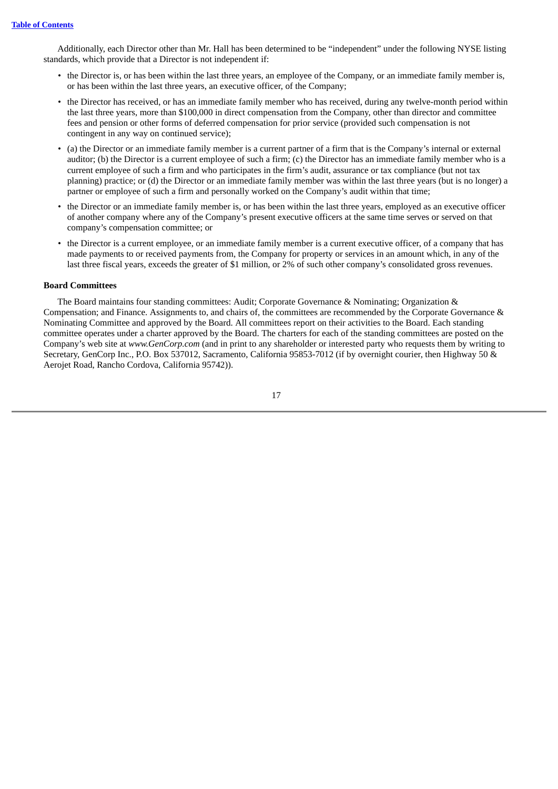Additionally, each Director other than Mr. Hall has been determined to be "independent" under the following NYSE listing standards, which provide that a Director is not independent if:

- the Director is, or has been within the last three years, an employee of the Company, or an immediate family member is, or has been within the last three years, an executive officer, of the Company;
- the Director has received, or has an immediate family member who has received, during any twelve-month period within the last three years, more than \$100,000 in direct compensation from the Company, other than director and committee fees and pension or other forms of deferred compensation for prior service (provided such compensation is not contingent in any way on continued service);
- (a) the Director or an immediate family member is a current partner of a firm that is the Company's internal or external auditor; (b) the Director is a current employee of such a firm; (c) the Director has an immediate family member who is a current employee of such a firm and who participates in the firm's audit, assurance or tax compliance (but not tax planning) practice; or (d) the Director or an immediate family member was within the last three years (but is no longer) a partner or employee of such a firm and personally worked on the Company's audit within that time;
- the Director or an immediate family member is, or has been within the last three years, employed as an executive officer of another company where any of the Company's present executive officers at the same time serves or served on that company's compensation committee; or
- the Director is a current employee, or an immediate family member is a current executive officer, of a company that has made payments to or received payments from, the Company for property or services in an amount which, in any of the last three fiscal years, exceeds the greater of \$1 million, or 2% of such other company's consolidated gross revenues.

#### **Board Committees**

The Board maintains four standing committees: Audit; Corporate Governance & Nominating; Organization & Compensation; and Finance. Assignments to, and chairs of, the committees are recommended by the Corporate Governance & Nominating Committee and approved by the Board. All committees report on their activities to the Board. Each standing committee operates under a charter approved by the Board. The charters for each of the standing committees are posted on the Company's web site at *www.GenCorp.com* (and in print to any shareholder or interested party who requests them by writing to Secretary, GenCorp Inc., P.O. Box 537012, Sacramento, California 95853-7012 (if by overnight courier, then Highway 50 & Aerojet Road, Rancho Cordova, California 95742)).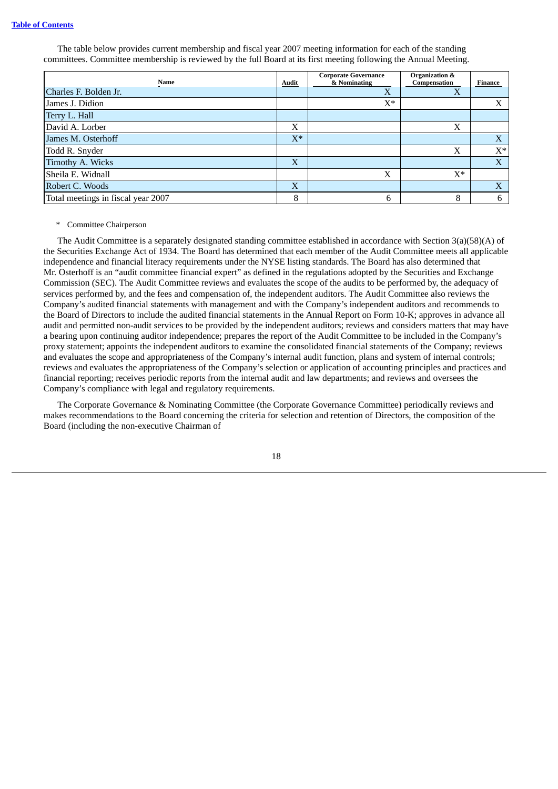The table below provides current membership and fiscal year 2007 meeting information for each of the standing committees. Committee membership is reviewed by the full Board at its first meeting following the Annual Meeting.

| Name                               | Audit | <b>Corporate Governance</b><br>& Nominating | <b>Organization &amp;</b><br>Compensation | Finance        |
|------------------------------------|-------|---------------------------------------------|-------------------------------------------|----------------|
| Charles F. Bolden Jr.              |       | X                                           | X                                         |                |
| James J. Didion                    |       | X*                                          |                                           | v              |
| Terry L. Hall                      |       |                                             |                                           |                |
| David A. Lorber                    | X     |                                             | X                                         |                |
| James M. Osterhoff                 | $X^*$ |                                             |                                           | X              |
| Todd R. Snyder                     |       |                                             | X                                         | X*             |
| Timothy A. Wicks                   | X     |                                             |                                           | X              |
| Sheila E. Widnall                  |       | X                                           | $X^*$                                     |                |
| Robert C. Woods                    | X     |                                             |                                           | $\overline{X}$ |
| Total meetings in fiscal year 2007 | 8     | 6                                           | 8                                         | 6              |

## \* Committee Chairperson

The Audit Committee is a separately designated standing committee established in accordance with Section 3(a)(58)(A) of the Securities Exchange Act of 1934. The Board has determined that each member of the Audit Committee meets all applicable independence and financial literacy requirements under the NYSE listing standards. The Board has also determined that Mr. Osterhoff is an "audit committee financial expert" as defined in the regulations adopted by the Securities and Exchange Commission (SEC). The Audit Committee reviews and evaluates the scope of the audits to be performed by, the adequacy of services performed by, and the fees and compensation of, the independent auditors. The Audit Committee also reviews the Company's audited financial statements with management and with the Company's independent auditors and recommends to the Board of Directors to include the audited financial statements in the Annual Report on Form 10-K; approves in advance all audit and permitted non-audit services to be provided by the independent auditors; reviews and considers matters that may have a bearing upon continuing auditor independence; prepares the report of the Audit Committee to be included in the Company's proxy statement; appoints the independent auditors to examine the consolidated financial statements of the Company; reviews and evaluates the scope and appropriateness of the Company's internal audit function, plans and system of internal controls; reviews and evaluates the appropriateness of the Company's selection or application of accounting principles and practices and financial reporting; receives periodic reports from the internal audit and law departments; and reviews and oversees the Company's compliance with legal and regulatory requirements.

The Corporate Governance & Nominating Committee (the Corporate Governance Committee) periodically reviews and makes recommendations to the Board concerning the criteria for selection and retention of Directors, the composition of the Board (including the non-executive Chairman of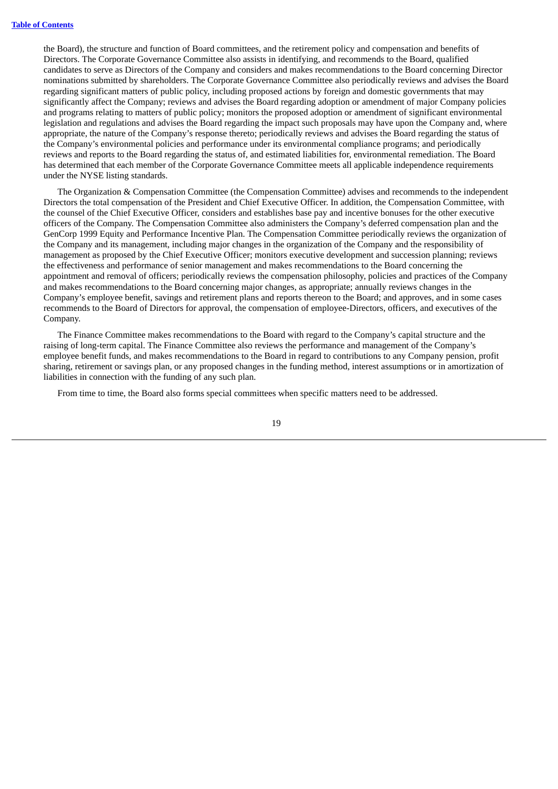the Board), the structure and function of Board committees, and the retirement policy and compensation and benefits of Directors. The Corporate Governance Committee also assists in identifying, and recommends to the Board, qualified candidates to serve as Directors of the Company and considers and makes recommendations to the Board concerning Director nominations submitted by shareholders. The Corporate Governance Committee also periodically reviews and advises the Board regarding significant matters of public policy, including proposed actions by foreign and domestic governments that may significantly affect the Company; reviews and advises the Board regarding adoption or amendment of major Company policies and programs relating to matters of public policy; monitors the proposed adoption or amendment of significant environmental legislation and regulations and advises the Board regarding the impact such proposals may have upon the Company and, where appropriate, the nature of the Company's response thereto; periodically reviews and advises the Board regarding the status of the Company's environmental policies and performance under its environmental compliance programs; and periodically reviews and reports to the Board regarding the status of, and estimated liabilities for, environmental remediation. The Board has determined that each member of the Corporate Governance Committee meets all applicable independence requirements under the NYSE listing standards.

The Organization & Compensation Committee (the Compensation Committee) advises and recommends to the independent Directors the total compensation of the President and Chief Executive Officer. In addition, the Compensation Committee, with the counsel of the Chief Executive Officer, considers and establishes base pay and incentive bonuses for the other executive officers of the Company. The Compensation Committee also administers the Company's deferred compensation plan and the GenCorp 1999 Equity and Performance Incentive Plan. The Compensation Committee periodically reviews the organization of the Company and its management, including major changes in the organization of the Company and the responsibility of management as proposed by the Chief Executive Officer; monitors executive development and succession planning; reviews the effectiveness and performance of senior management and makes recommendations to the Board concerning the appointment and removal of officers; periodically reviews the compensation philosophy, policies and practices of the Company and makes recommendations to the Board concerning major changes, as appropriate; annually reviews changes in the Company's employee benefit, savings and retirement plans and reports thereon to the Board; and approves, and in some cases recommends to the Board of Directors for approval, the compensation of employee-Directors, officers, and executives of the Company.

The Finance Committee makes recommendations to the Board with regard to the Company's capital structure and the raising of long-term capital. The Finance Committee also reviews the performance and management of the Company's employee benefit funds, and makes recommendations to the Board in regard to contributions to any Company pension, profit sharing, retirement or savings plan, or any proposed changes in the funding method, interest assumptions or in amortization of liabilities in connection with the funding of any such plan.

From time to time, the Board also forms special committees when specific matters need to be addressed.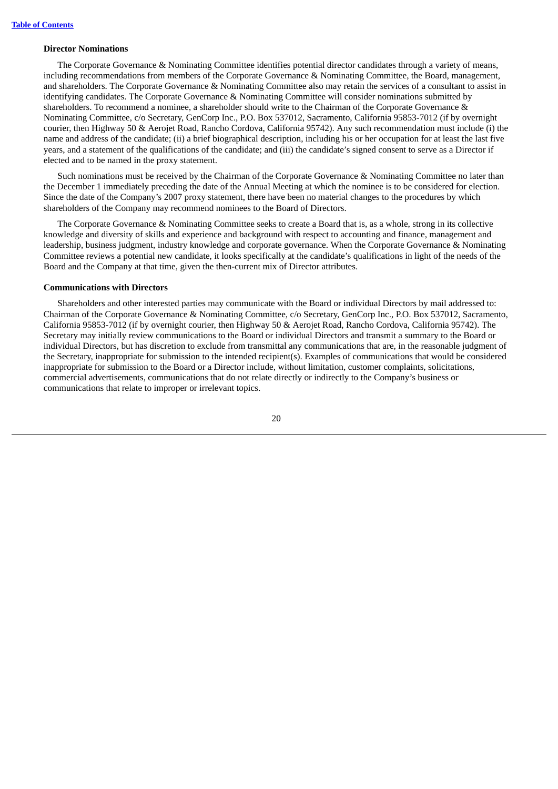#### **Director Nominations**

The Corporate Governance & Nominating Committee identifies potential director candidates through a variety of means, including recommendations from members of the Corporate Governance & Nominating Committee, the Board, management, and shareholders. The Corporate Governance & Nominating Committee also may retain the services of a consultant to assist in identifying candidates. The Corporate Governance & Nominating Committee will consider nominations submitted by shareholders. To recommend a nominee, a shareholder should write to the Chairman of the Corporate Governance & Nominating Committee, c/o Secretary, GenCorp Inc., P.O. Box 537012, Sacramento, California 95853-7012 (if by overnight courier, then Highway 50 & Aerojet Road, Rancho Cordova, California 95742). Any such recommendation must include (i) the name and address of the candidate; (ii) a brief biographical description, including his or her occupation for at least the last five years, and a statement of the qualifications of the candidate; and (iii) the candidate's signed consent to serve as a Director if elected and to be named in the proxy statement.

Such nominations must be received by the Chairman of the Corporate Governance & Nominating Committee no later than the December 1 immediately preceding the date of the Annual Meeting at which the nominee is to be considered for election. Since the date of the Company's 2007 proxy statement, there have been no material changes to the procedures by which shareholders of the Company may recommend nominees to the Board of Directors.

The Corporate Governance & Nominating Committee seeks to create a Board that is, as a whole, strong in its collective knowledge and diversity of skills and experience and background with respect to accounting and finance, management and leadership, business judgment, industry knowledge and corporate governance. When the Corporate Governance & Nominating Committee reviews a potential new candidate, it looks specifically at the candidate's qualifications in light of the needs of the Board and the Company at that time, given the then-current mix of Director attributes.

#### **Communications with Directors**

Shareholders and other interested parties may communicate with the Board or individual Directors by mail addressed to: Chairman of the Corporate Governance & Nominating Committee, c/o Secretary, GenCorp Inc., P.O. Box 537012, Sacramento, California 95853-7012 (if by overnight courier, then Highway 50 & Aerojet Road, Rancho Cordova, California 95742). The Secretary may initially review communications to the Board or individual Directors and transmit a summary to the Board or individual Directors, but has discretion to exclude from transmittal any communications that are, in the reasonable judgment of the Secretary, inappropriate for submission to the intended recipient(s). Examples of communications that would be considered inappropriate for submission to the Board or a Director include, without limitation, customer complaints, solicitations, commercial advertisements, communications that do not relate directly or indirectly to the Company's business or communications that relate to improper or irrelevant topics.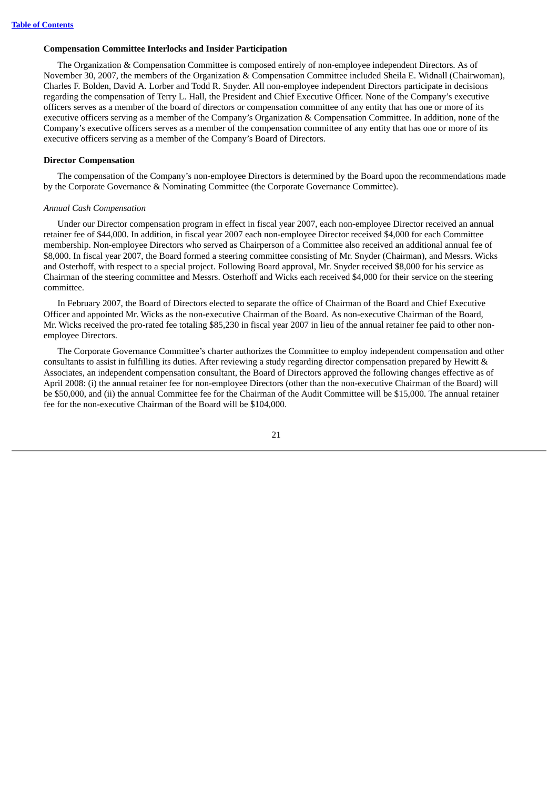#### **Compensation Committee Interlocks and Insider Participation**

The Organization & Compensation Committee is composed entirely of non-employee independent Directors. As of November 30, 2007, the members of the Organization & Compensation Committee included Sheila E. Widnall (Chairwoman), Charles F. Bolden, David A. Lorber and Todd R. Snyder. All non-employee independent Directors participate in decisions regarding the compensation of Terry L. Hall, the President and Chief Executive Officer. None of the Company's executive officers serves as a member of the board of directors or compensation committee of any entity that has one or more of its executive officers serving as a member of the Company's Organization & Compensation Committee. In addition, none of the Company's executive officers serves as a member of the compensation committee of any entity that has one or more of its executive officers serving as a member of the Company's Board of Directors.

#### **Director Compensation**

The compensation of the Company's non-employee Directors is determined by the Board upon the recommendations made by the Corporate Governance & Nominating Committee (the Corporate Governance Committee).

#### *Annual Cash Compensation*

Under our Director compensation program in effect in fiscal year 2007, each non-employee Director received an annual retainer fee of \$44,000. In addition, in fiscal year 2007 each non-employee Director received \$4,000 for each Committee membership. Non-employee Directors who served as Chairperson of a Committee also received an additional annual fee of \$8,000. In fiscal year 2007, the Board formed a steering committee consisting of Mr. Snyder (Chairman), and Messrs. Wicks and Osterhoff, with respect to a special project. Following Board approval, Mr. Snyder received \$8,000 for his service as Chairman of the steering committee and Messrs. Osterhoff and Wicks each received \$4,000 for their service on the steering committee.

In February 2007, the Board of Directors elected to separate the office of Chairman of the Board and Chief Executive Officer and appointed Mr. Wicks as the non-executive Chairman of the Board. As non-executive Chairman of the Board, Mr. Wicks received the pro-rated fee totaling \$85,230 in fiscal year 2007 in lieu of the annual retainer fee paid to other nonemployee Directors.

The Corporate Governance Committee's charter authorizes the Committee to employ independent compensation and other consultants to assist in fulfilling its duties. After reviewing a study regarding director compensation prepared by Hewitt & Associates, an independent compensation consultant, the Board of Directors approved the following changes effective as of April 2008: (i) the annual retainer fee for non-employee Directors (other than the non-executive Chairman of the Board) will be \$50,000, and (ii) the annual Committee fee for the Chairman of the Audit Committee will be \$15,000. The annual retainer fee for the non-executive Chairman of the Board will be \$104,000.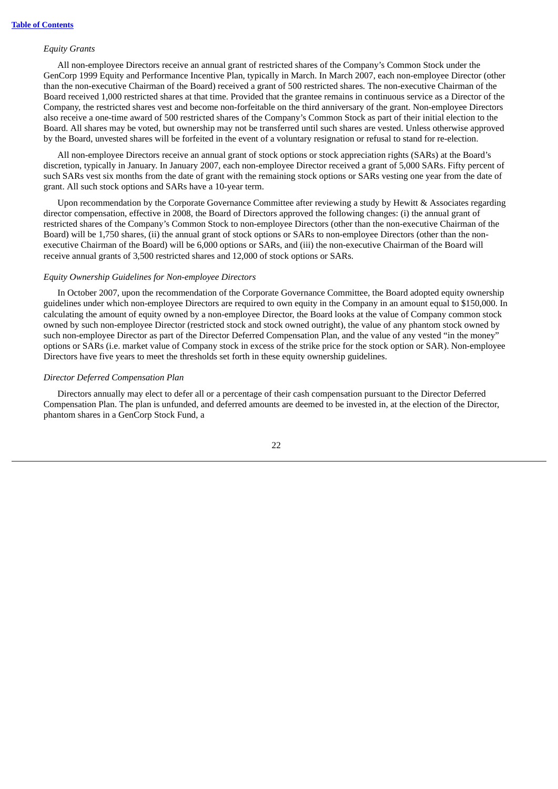#### *Equity Grants*

All non-employee Directors receive an annual grant of restricted shares of the Company's Common Stock under the GenCorp 1999 Equity and Performance Incentive Plan, typically in March. In March 2007, each non-employee Director (other than the non-executive Chairman of the Board) received a grant of 500 restricted shares. The non-executive Chairman of the Board received 1,000 restricted shares at that time. Provided that the grantee remains in continuous service as a Director of the Company, the restricted shares vest and become non-forfeitable on the third anniversary of the grant. Non-employee Directors also receive a one-time award of 500 restricted shares of the Company's Common Stock as part of their initial election to the Board. All shares may be voted, but ownership may not be transferred until such shares are vested. Unless otherwise approved by the Board, unvested shares will be forfeited in the event of a voluntary resignation or refusal to stand for re-election.

All non-employee Directors receive an annual grant of stock options or stock appreciation rights (SARs) at the Board's discretion, typically in January. In January 2007, each non-employee Director received a grant of 5,000 SARs. Fifty percent of such SARs vest six months from the date of grant with the remaining stock options or SARs vesting one year from the date of grant. All such stock options and SARs have a 10-year term.

Upon recommendation by the Corporate Governance Committee after reviewing a study by Hewitt & Associates regarding director compensation, effective in 2008, the Board of Directors approved the following changes: (i) the annual grant of restricted shares of the Company's Common Stock to non-employee Directors (other than the non-executive Chairman of the Board) will be 1,750 shares, (ii) the annual grant of stock options or SARs to non-employee Directors (other than the nonexecutive Chairman of the Board) will be 6,000 options or SARs, and (iii) the non-executive Chairman of the Board will receive annual grants of 3,500 restricted shares and 12,000 of stock options or SARs.

#### *Equity Ownership Guidelines for Non-employee Directors*

In October 2007, upon the recommendation of the Corporate Governance Committee, the Board adopted equity ownership guidelines under which non-employee Directors are required to own equity in the Company in an amount equal to \$150,000. In calculating the amount of equity owned by a non-employee Director, the Board looks at the value of Company common stock owned by such non-employee Director (restricted stock and stock owned outright), the value of any phantom stock owned by such non-employee Director as part of the Director Deferred Compensation Plan, and the value of any vested "in the money" options or SARs (i.e. market value of Company stock in excess of the strike price for the stock option or SAR). Non-employee Directors have five years to meet the thresholds set forth in these equity ownership guidelines.

#### *Director Deferred Compensation Plan*

Directors annually may elect to defer all or a percentage of their cash compensation pursuant to the Director Deferred Compensation Plan. The plan is unfunded, and deferred amounts are deemed to be invested in, at the election of the Director, phantom shares in a GenCorp Stock Fund, a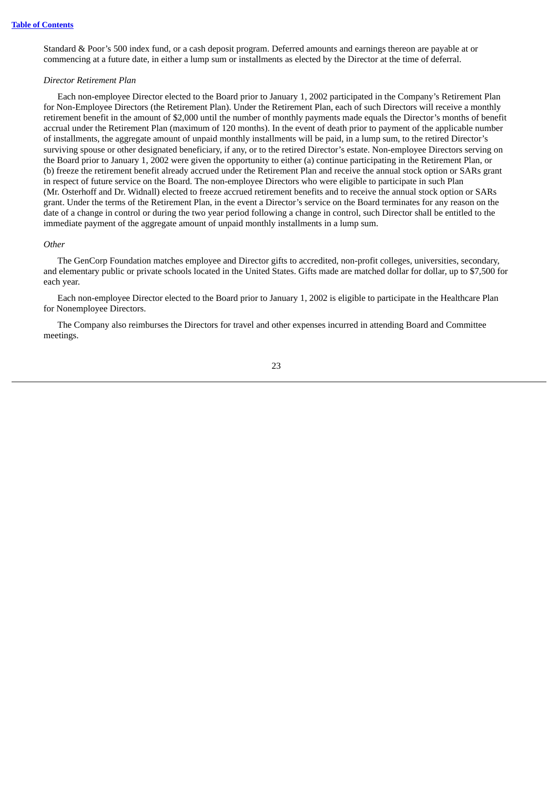Standard & Poor's 500 index fund, or a cash deposit program. Deferred amounts and earnings thereon are payable at or commencing at a future date, in either a lump sum or installments as elected by the Director at the time of deferral.

#### *Director Retirement Plan*

Each non-employee Director elected to the Board prior to January 1, 2002 participated in the Company's Retirement Plan for Non-Employee Directors (the Retirement Plan). Under the Retirement Plan, each of such Directors will receive a monthly retirement benefit in the amount of \$2,000 until the number of monthly payments made equals the Director's months of benefit accrual under the Retirement Plan (maximum of 120 months). In the event of death prior to payment of the applicable number of installments, the aggregate amount of unpaid monthly installments will be paid, in a lump sum, to the retired Director's surviving spouse or other designated beneficiary, if any, or to the retired Director's estate. Non-employee Directors serving on the Board prior to January 1, 2002 were given the opportunity to either (a) continue participating in the Retirement Plan, or (b) freeze the retirement benefit already accrued under the Retirement Plan and receive the annual stock option or SARs grant in respect of future service on the Board. The non-employee Directors who were eligible to participate in such Plan (Mr. Osterhoff and Dr. Widnall) elected to freeze accrued retirement benefits and to receive the annual stock option or SARs grant. Under the terms of the Retirement Plan, in the event a Director's service on the Board terminates for any reason on the date of a change in control or during the two year period following a change in control, such Director shall be entitled to the immediate payment of the aggregate amount of unpaid monthly installments in a lump sum.

#### *Other*

The GenCorp Foundation matches employee and Director gifts to accredited, non-profit colleges, universities, secondary, and elementary public or private schools located in the United States. Gifts made are matched dollar for dollar, up to \$7,500 for each year.

Each non-employee Director elected to the Board prior to January 1, 2002 is eligible to participate in the Healthcare Plan for Nonemployee Directors.

The Company also reimburses the Directors for travel and other expenses incurred in attending Board and Committee meetings.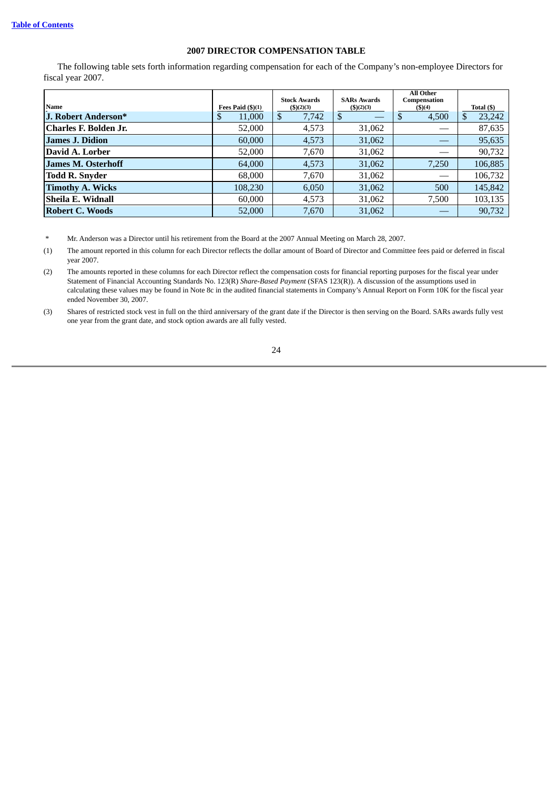## **2007 DIRECTOR COMPENSATION TABLE**

<span id="page-28-0"></span>The following table sets forth information regarding compensation for each of the Company's non-employee Directors for fiscal year 2007.

|                           |                            | <b>Stock Awards</b> | <b>SARs Awards</b> | <b>All Other</b><br>Compensation |             |
|---------------------------|----------------------------|---------------------|--------------------|----------------------------------|-------------|
| <b>Name</b>               | Fees Paid $(\text{$}5)(1)$ | \$)(2)(3)           | \$)(2)(3)          | \$)(4)                           | Total (\$)  |
| J. Robert Anderson*       | 11,000<br>\$               | \$<br>7,742         | \$                 | 4,500<br>S                       | 23,242<br>S |
| Charles F. Bolden Jr.     | 52,000                     | 4,573               | 31,062             |                                  | 87,635      |
| <b>James J. Didion</b>    | 60,000                     | 4,573               | 31,062             |                                  | 95,635      |
| David A. Lorber           | 52,000                     | 7,670               | 31,062             |                                  | 90,732      |
| <b>James M. Osterhoff</b> | 64,000                     | 4,573               | 31,062             | 7,250                            | 106,885     |
| <b>Todd R. Snyder</b>     | 68,000                     | 7,670               | 31,062             |                                  | 106,732     |
| <b>Timothy A. Wicks</b>   | 108,230                    | 6,050               | 31,062             | 500                              | 145,842     |
| Sheila E. Widnall         | 60,000                     | 4,573               | 31,062             | 7,500                            | 103,135     |
| <b>Robert C. Woods</b>    | 52,000                     | 7,670               | 31,062             |                                  | 90,732      |

\* Mr. Anderson was a Director until his retirement from the Board at the 2007 Annual Meeting on March 28, 2007.

(1) The amount reported in this column for each Director reflects the dollar amount of Board of Director and Committee fees paid or deferred in fiscal year 2007.

(2) The amounts reported in these columns for each Director reflect the compensation costs for financial reporting purposes for the fiscal year under Statement of Financial Accounting Standards No. 123(R) *Share-Based Payment* (SFAS 123(R)). A discussion of the assumptions used in calculating these values may be found in Note 8c in the audited financial statements in Company's Annual Report on Form 10K for the fiscal year ended November 30, 2007.

(3) Shares of restricted stock vest in full on the third anniversary of the grant date if the Director is then serving on the Board. SARs awards fully vest one year from the grant date, and stock option awards are all fully vested.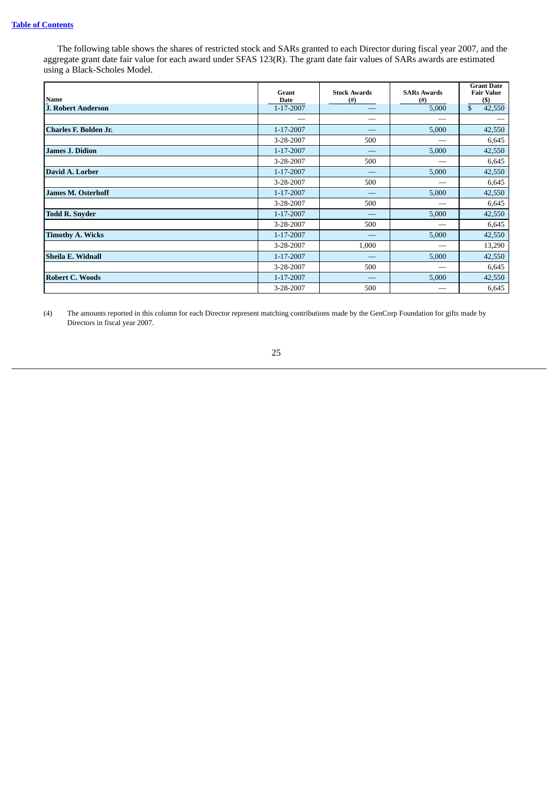The following table shows the shares of restricted stock and SARs granted to each Director during fiscal year 2007, and the aggregate grant date fair value for each award under SFAS 123(R). The grant date fair values of SARs awards are estimated using a Black-Scholes Model.

| <b>Name</b>               | Grant<br>Date | <b>Stock Awards</b><br>$($ #) | <b>SARs Awards</b><br>$($ # $)$ | <b>Grant Date</b><br><b>Fair Value</b><br>$($ \$ |
|---------------------------|---------------|-------------------------------|---------------------------------|--------------------------------------------------|
| <b>J. Robert Anderson</b> | 1-17-2007     |                               | 5,000                           | \$<br>42,550                                     |
|                           |               |                               |                                 |                                                  |
| Charles F. Bolden Jr.     | 1-17-2007     |                               | 5,000                           | 42,550                                           |
|                           | 3-28-2007     | 500                           |                                 | 6,645                                            |
| <b>James J. Didion</b>    | 1-17-2007     |                               | 5,000                           | 42,550                                           |
|                           | 3-28-2007     | 500                           |                                 | 6,645                                            |
| David A. Lorber           | 1-17-2007     |                               | 5,000                           | 42,550                                           |
|                           | 3-28-2007     | 500                           |                                 | 6,645                                            |
| <b>James M. Osterhoff</b> | 1-17-2007     |                               | 5,000                           | 42,550                                           |
|                           | 3-28-2007     | 500                           |                                 | 6,645                                            |
| <b>Todd R. Snyder</b>     | 1-17-2007     |                               | 5,000                           | 42,550                                           |
|                           | 3-28-2007     | 500                           |                                 | 6,645                                            |
| <b>Timothy A. Wicks</b>   | 1-17-2007     |                               | 5,000                           | 42,550                                           |
|                           | 3-28-2007     | 1,000                         |                                 | 13,290                                           |
| <b>Sheila E. Widnall</b>  | 1-17-2007     |                               | 5,000                           | 42,550                                           |
|                           | 3-28-2007     | 500                           |                                 | 6,645                                            |
| <b>Robert C. Woods</b>    | 1-17-2007     |                               | 5,000                           | 42,550                                           |
|                           | 3-28-2007     | 500                           |                                 | 6,645                                            |

(4) The amounts reported in this column for each Director represent matching contributions made by the GenCorp Foundation for gifts made by Directors in fiscal year 2007.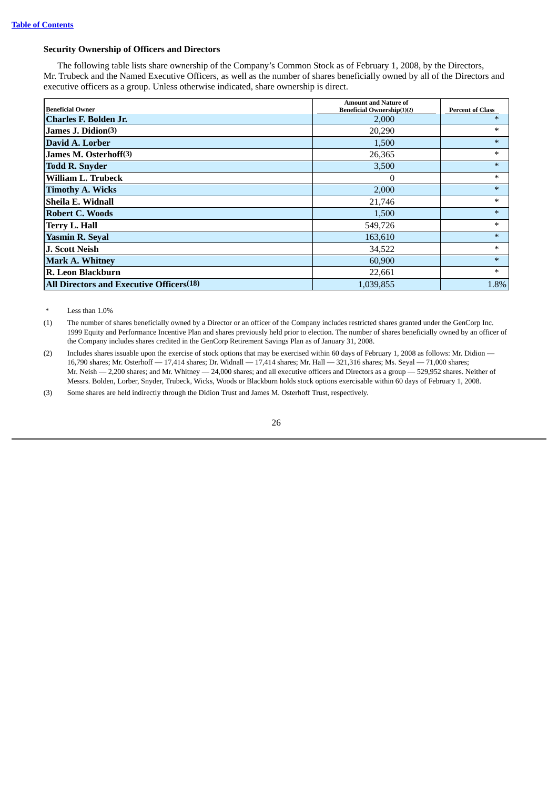## **Security Ownership of Officers and Directors**

The following table lists share ownership of the Company's Common Stock as of February 1, 2008, by the Directors, Mr. Trubeck and the Named Executive Officers, as well as the number of shares beneficially owned by all of the Directors and executive officers as a group. Unless otherwise indicated, share ownership is direct.

| <b>Beneficial Owner</b>                  | <b>Amount and Nature of</b><br><b>Beneficial Ownership(1)(2)</b> | <b>Percent of Class</b> |
|------------------------------------------|------------------------------------------------------------------|-------------------------|
| Charles F. Bolden Jr.                    | 2,000                                                            | $\ast$                  |
| James J. Didion(3)                       | 20,290                                                           | $\ast$                  |
| David A. Lorber                          | 1,500                                                            | $\ast$                  |
| James M. Osterhoff(3)                    | 26,365                                                           | $\ast$                  |
| <b>Todd R. Snyder</b>                    | 3,500                                                            | $\ast$                  |
| <b>William L. Trubeck</b>                | $\Omega$                                                         | $\ast$                  |
| <b>Timothy A. Wicks</b>                  | 2,000                                                            | $\ast$                  |
| Sheila E. Widnall                        | 21,746                                                           | $\ast$                  |
| <b>Robert C. Woods</b>                   | 1,500                                                            | $\ast$                  |
| Terry L. Hall                            | 549,726                                                          | $\ast$                  |
| <b>Yasmin R. Seyal</b>                   | 163,610                                                          | $\ast$                  |
| <b>J. Scott Neish</b>                    | 34,522                                                           | $\ast$                  |
| <b>Mark A. Whitney</b>                   | 60,900                                                           | $\ast$                  |
| R. Leon Blackburn                        | 22,661                                                           | $\ast$                  |
| All Directors and Executive Officers(18) | 1.039.855                                                        | 1.8%                    |

Less than  $1.0%$ 

(1) The number of shares beneficially owned by a Director or an officer of the Company includes restricted shares granted under the GenCorp Inc. 1999 Equity and Performance Incentive Plan and shares previously held prior to election. The number of shares beneficially owned by an officer of the Company includes shares credited in the GenCorp Retirement Savings Plan as of January 31, 2008.

(2) Includes shares issuable upon the exercise of stock options that may be exercised within 60 days of February 1, 2008 as follows: Mr. Didion — 16,790 shares; Mr. Osterhoff — 17,414 shares; Dr. Widnall — 17,414 shares; Mr. Hall — 321,316 shares; Ms. Seyal — 71,000 shares; Mr. Neish — 2,200 shares; and Mr. Whitney — 24,000 shares; and all executive officers and Directors as a group — 529,952 shares. Neither of Messrs. Bolden, Lorber, Snyder, Trubeck, Wicks, Woods or Blackburn holds stock options exercisable within 60 days of February 1, 2008.

(3) Some shares are held indirectly through the Didion Trust and James M. Osterhoff Trust, respectively.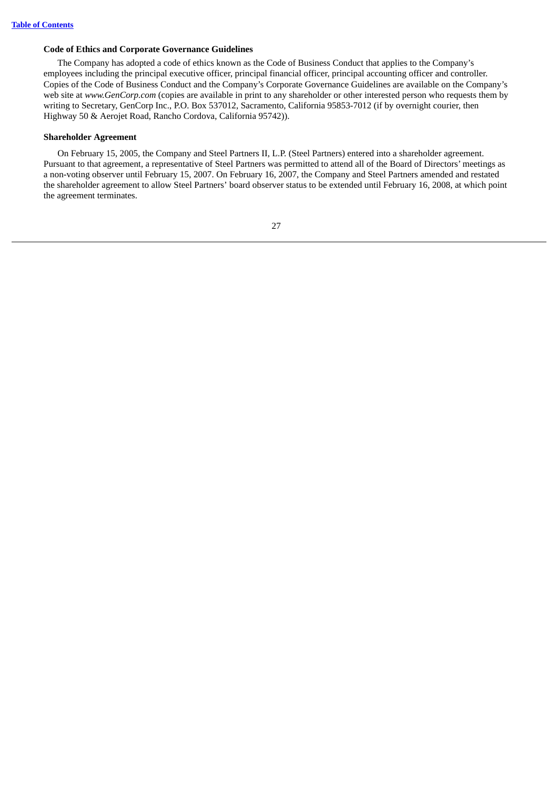## **Code of Ethics and Corporate Governance Guidelines**

The Company has adopted a code of ethics known as the Code of Business Conduct that applies to the Company's employees including the principal executive officer, principal financial officer, principal accounting officer and controller. Copies of the Code of Business Conduct and the Company's Corporate Governance Guidelines are available on the Company's web site at *www.GenCorp.com* (copies are available in print to any shareholder or other interested person who requests them by writing to Secretary, GenCorp Inc., P.O. Box 537012, Sacramento, California 95853-7012 (if by overnight courier, then Highway 50 & Aerojet Road, Rancho Cordova, California 95742)).

#### **Shareholder Agreement**

On February 15, 2005, the Company and Steel Partners II, L.P. (Steel Partners) entered into a shareholder agreement. Pursuant to that agreement, a representative of Steel Partners was permitted to attend all of the Board of Directors' meetings as a non-voting observer until February 15, 2007. On February 16, 2007, the Company and Steel Partners amended and restated the shareholder agreement to allow Steel Partners' board observer status to be extended until February 16, 2008, at which point the agreement terminates.

27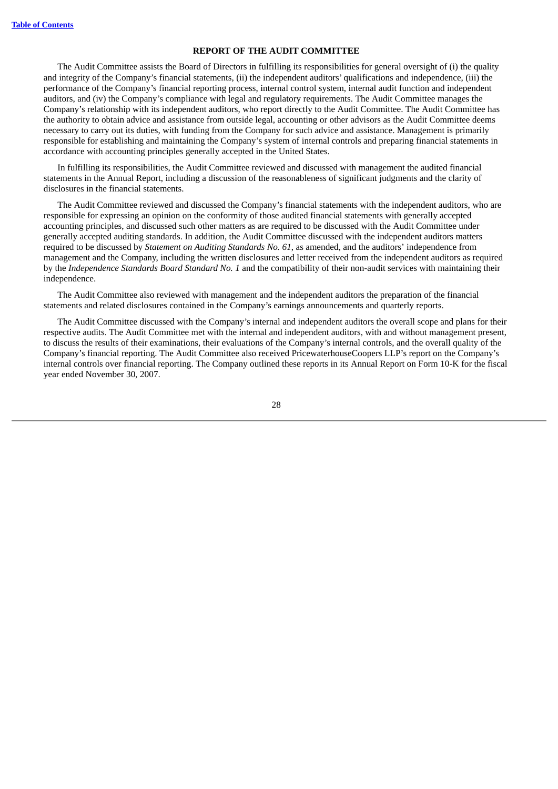## **REPORT OF THE AUDIT COMMITTEE**

<span id="page-32-0"></span>The Audit Committee assists the Board of Directors in fulfilling its responsibilities for general oversight of (i) the quality and integrity of the Company's financial statements, (ii) the independent auditors' qualifications and independence, (iii) the performance of the Company's financial reporting process, internal control system, internal audit function and independent auditors, and (iv) the Company's compliance with legal and regulatory requirements. The Audit Committee manages the Company's relationship with its independent auditors, who report directly to the Audit Committee. The Audit Committee has the authority to obtain advice and assistance from outside legal, accounting or other advisors as the Audit Committee deems necessary to carry out its duties, with funding from the Company for such advice and assistance. Management is primarily responsible for establishing and maintaining the Company's system of internal controls and preparing financial statements in accordance with accounting principles generally accepted in the United States.

In fulfilling its responsibilities, the Audit Committee reviewed and discussed with management the audited financial statements in the Annual Report, including a discussion of the reasonableness of significant judgments and the clarity of disclosures in the financial statements.

The Audit Committee reviewed and discussed the Company's financial statements with the independent auditors, who are responsible for expressing an opinion on the conformity of those audited financial statements with generally accepted accounting principles, and discussed such other matters as are required to be discussed with the Audit Committee under generally accepted auditing standards. In addition, the Audit Committee discussed with the independent auditors matters required to be discussed by *Statement on Auditing Standards No. 61*, as amended, and the auditors' independence from management and the Company, including the written disclosures and letter received from the independent auditors as required by the *Independence Standards Board Standard No. 1* and the compatibility of their non-audit services with maintaining their independence.

The Audit Committee also reviewed with management and the independent auditors the preparation of the financial statements and related disclosures contained in the Company's earnings announcements and quarterly reports.

The Audit Committee discussed with the Company's internal and independent auditors the overall scope and plans for their respective audits. The Audit Committee met with the internal and independent auditors, with and without management present, to discuss the results of their examinations, their evaluations of the Company's internal controls, and the overall quality of the Company's financial reporting. The Audit Committee also received PricewaterhouseCoopers LLP's report on the Company's internal controls over financial reporting. The Company outlined these reports in its Annual Report on Form 10-K for the fiscal year ended November 30, 2007.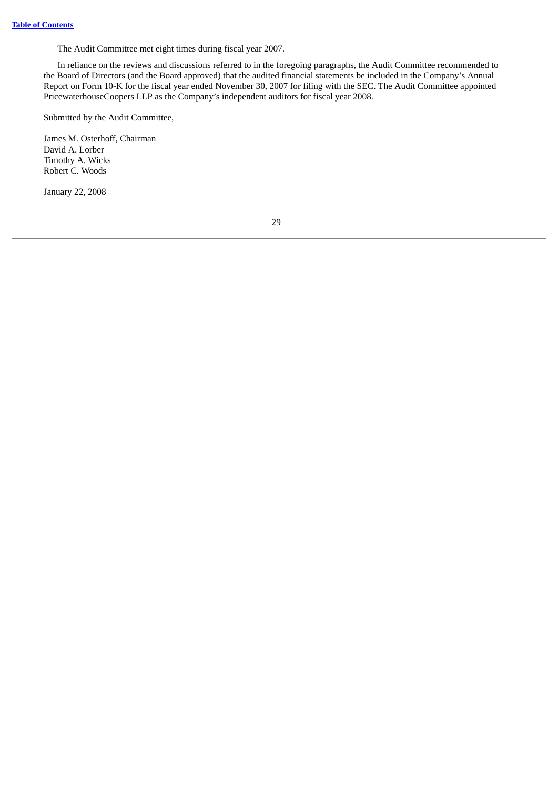The Audit Committee met eight times during fiscal year 2007.

In reliance on the reviews and discussions referred to in the foregoing paragraphs, the Audit Committee recommended to the Board of Directors (and the Board approved) that the audited financial statements be included in the Company's Annual Report on Form 10-K for the fiscal year ended November 30, 2007 for filing with the SEC. The Audit Committee appointed PricewaterhouseCoopers LLP as the Company's independent auditors for fiscal year 2008.

Submitted by the Audit Committee,

James M. Osterhoff, Chairman David A. Lorber Timothy A. Wicks Robert C. Woods

January 22, 2008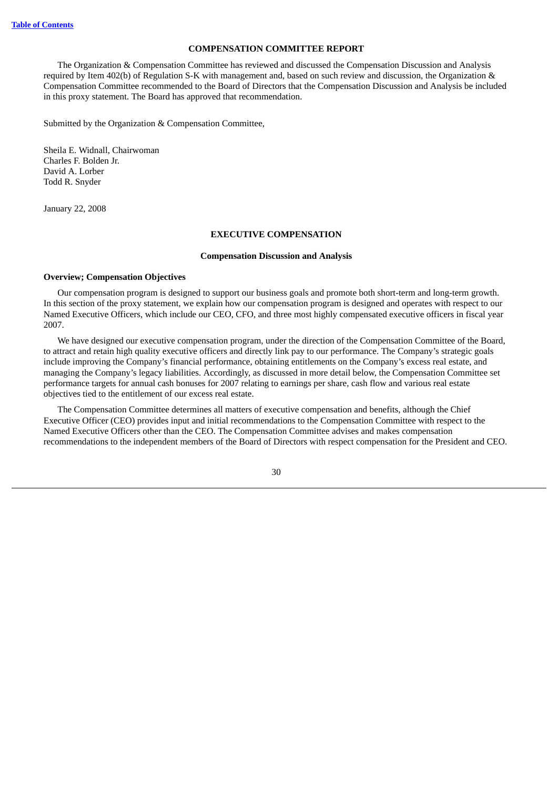## **COMPENSATION COMMITTEE REPORT**

The Organization & Compensation Committee has reviewed and discussed the Compensation Discussion and Analysis required by Item 402(b) of Regulation S-K with management and, based on such review and discussion, the Organization & Compensation Committee recommended to the Board of Directors that the Compensation Discussion and Analysis be included in this proxy statement. The Board has approved that recommendation.

Submitted by the Organization & Compensation Committee,

Sheila E. Widnall, Chairwoman Charles F. Bolden Jr. David A. Lorber Todd R. Snyder

January 22, 2008

#### **EXECUTIVE COMPENSATION**

#### **Compensation Discussion and Analysis**

#### **Overview; Compensation Objectives**

Our compensation program is designed to support our business goals and promote both short-term and long-term growth. In this section of the proxy statement, we explain how our compensation program is designed and operates with respect to our Named Executive Officers, which include our CEO, CFO, and three most highly compensated executive officers in fiscal year 2007.

We have designed our executive compensation program, under the direction of the Compensation Committee of the Board, to attract and retain high quality executive officers and directly link pay to our performance. The Company's strategic goals include improving the Company's financial performance, obtaining entitlements on the Company's excess real estate, and managing the Company's legacy liabilities. Accordingly, as discussed in more detail below, the Compensation Committee set performance targets for annual cash bonuses for 2007 relating to earnings per share, cash flow and various real estate objectives tied to the entitlement of our excess real estate.

The Compensation Committee determines all matters of executive compensation and benefits, although the Chief Executive Officer (CEO) provides input and initial recommendations to the Compensation Committee with respect to the Named Executive Officers other than the CEO. The Compensation Committee advises and makes compensation recommendations to the independent members of the Board of Directors with respect compensation for the President and CEO.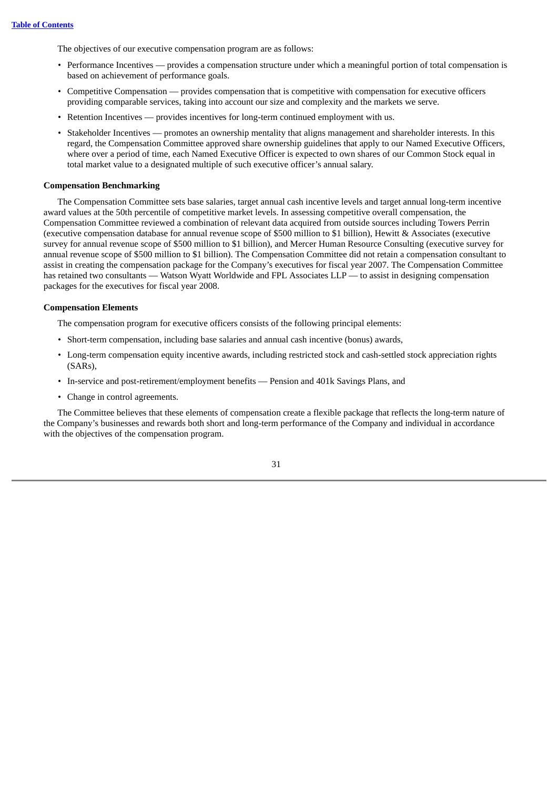The objectives of our executive compensation program are as follows:

- Performance Incentives provides a compensation structure under which a meaningful portion of total compensation is based on achievement of performance goals.
- Competitive Compensation provides compensation that is competitive with compensation for executive officers providing comparable services, taking into account our size and complexity and the markets we serve.
- Retention Incentives provides incentives for long-term continued employment with us.
- Stakeholder Incentives promotes an ownership mentality that aligns management and shareholder interests. In this regard, the Compensation Committee approved share ownership guidelines that apply to our Named Executive Officers, where over a period of time, each Named Executive Officer is expected to own shares of our Common Stock equal in total market value to a designated multiple of such executive officer's annual salary.

#### **Compensation Benchmarking**

The Compensation Committee sets base salaries, target annual cash incentive levels and target annual long-term incentive award values at the 50th percentile of competitive market levels. In assessing competitive overall compensation, the Compensation Committee reviewed a combination of relevant data acquired from outside sources including Towers Perrin (executive compensation database for annual revenue scope of \$500 million to \$1 billion), Hewitt & Associates (executive survey for annual revenue scope of \$500 million to \$1 billion), and Mercer Human Resource Consulting (executive survey for annual revenue scope of \$500 million to \$1 billion). The Compensation Committee did not retain a compensation consultant to assist in creating the compensation package for the Company's executives for fiscal year 2007. The Compensation Committee has retained two consultants — Watson Wyatt Worldwide and FPL Associates LLP — to assist in designing compensation packages for the executives for fiscal year 2008.

#### **Compensation Elements**

The compensation program for executive officers consists of the following principal elements:

- Short-term compensation, including base salaries and annual cash incentive (bonus) awards,
- Long-term compensation equity incentive awards, including restricted stock and cash-settled stock appreciation rights (SARs),
- In-service and post-retirement/employment benefits Pension and 401k Savings Plans, and
- Change in control agreements.

The Committee believes that these elements of compensation create a flexible package that reflects the long-term nature of the Company's businesses and rewards both short and long-term performance of the Company and individual in accordance with the objectives of the compensation program.

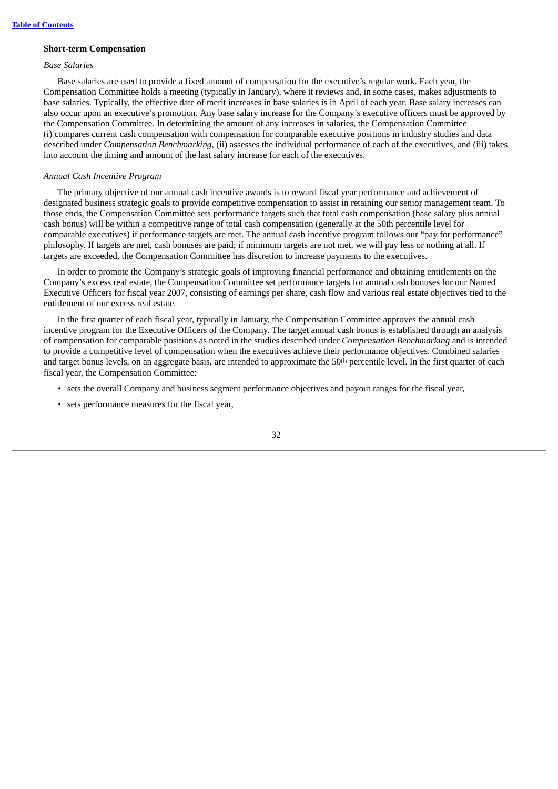#### **Short-term Compensation**

#### *Base Salaries*

Base salaries are used to provide a fixed amount of compensation for the executive's regular work. Each year, the Compensation Committee holds a meeting (typically in January), where it reviews and, in some cases, makes adjustments to base salaries. Typically, the effective date of merit increases in base salaries is in April of each year. Base salary increases can also occur upon an executive's promotion. Any base salary increase for the Company's executive officers must be approved by the Compensation Committee. In determining the amount of any increases in salaries, the Compensation Committee (i) compares current cash compensation with compensation for comparable executive positions in industry studies and data described under *Compensation Benchmarking*, (ii) assesses the individual performance of each of the executives, and (iii) takes into account the timing and amount of the last salary increase for each of the executives.

#### *Annual Cash Incentive Program*

The primary objective of our annual cash incentive awards is to reward fiscal year performance and achievement of designated business strategic goals to provide competitive compensation to assist in retaining our senior management team. To those ends, the Compensation Committee sets performance targets such that total cash compensation (base salary plus annual cash bonus) will be within a competitive range of total cash compensation (generally at the 50th percentile level for comparable executives) if performance targets are met. The annual cash incentive program follows our "pay for performance" philosophy. If targets are met, cash bonuses are paid; if minimum targets are not met, we will pay less or nothing at all. If targets are exceeded, the Compensation Committee has discretion to increase payments to the executives.

In order to promote the Company's strategic goals of improving financial performance and obtaining entitlements on the Company's excess real estate, the Compensation Committee set performance targets for annual cash bonuses for our Named Executive Officers for fiscal year 2007, consisting of earnings per share, cash flow and various real estate objectives tied to the entitlement of our excess real estate.

In the first quarter of each fiscal year, typically in January, the Compensation Committee approves the annual cash incentive program for the Executive Officers of the Company. The target annual cash bonus is established through an analysis of compensation for comparable positions as noted in the studies described under *Compensation Benchmarking* and is intended to provide a competitive level of compensation when the executives achieve their performance objectives. Combined salaries and target bonus levels, on an aggregate basis, are intended to approximate the 50th percentile level. In the first quarter of each fiscal year, the Compensation Committee:

- sets the overall Company and business segment performance objectives and payout ranges for the fiscal year,
- sets performance measures for the fiscal year,

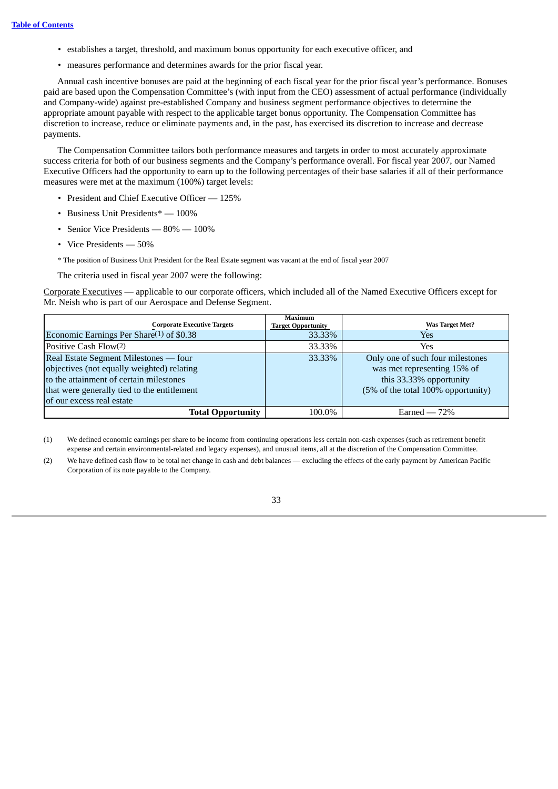- establishes a target, threshold, and maximum bonus opportunity for each executive officer, and
- measures performance and determines awards for the prior fiscal year.

Annual cash incentive bonuses are paid at the beginning of each fiscal year for the prior fiscal year's performance. Bonuses paid are based upon the Compensation Committee's (with input from the CEO) assessment of actual performance (individually and Company-wide) against pre-established Company and business segment performance objectives to determine the appropriate amount payable with respect to the applicable target bonus opportunity. The Compensation Committee has discretion to increase, reduce or eliminate payments and, in the past, has exercised its discretion to increase and decrease payments.

The Compensation Committee tailors both performance measures and targets in order to most accurately approximate success criteria for both of our business segments and the Company's performance overall. For fiscal year 2007, our Named Executive Officers had the opportunity to earn up to the following percentages of their base salaries if all of their performance measures were met at the maximum (100%) target levels:

- President and Chief Executive Officer 125%
- Business Unit Presidents\* 100%
- Senior Vice Presidents 80% 100%
- Vice Presidents 50%
- \* The position of Business Unit President for the Real Estate segment was vacant at the end of fiscal year 2007

The criteria used in fiscal year 2007 were the following:

Corporate Executives — applicable to our corporate officers, which included all of the Named Executive Officers except for Mr. Neish who is part of our Aerospace and Defense Segment.

| <b>Corporate Executive Targets</b>          | Maximum<br><b>Target Opportunity</b> | Was Target Met?                    |
|---------------------------------------------|--------------------------------------|------------------------------------|
| Economic Earnings Per Share $(1)$ of \$0.38 | 33.33%                               | Yes                                |
| Positive Cash Flow(2)                       | 33.33%                               | Yes                                |
| Real Estate Segment Milestones - four       | 33.33%                               | Only one of such four milestones   |
| objectives (not equally weighted) relating  |                                      | was met representing 15% of        |
| to the attainment of certain milestones     |                                      | this 33.33% opportunity            |
| that were generally tied to the entitlement |                                      | (5% of the total 100% opportunity) |
| of our excess real estate                   |                                      |                                    |
| <b>Total Opportunity</b>                    | 100.0%                               | $Earned - 72%$                     |

<sup>(1)</sup> We defined economic earnings per share to be income from continuing operations less certain non-cash expenses (such as retirement benefit expense and certain environmental-related and legacy expenses), and unusual items, all at the discretion of the Compensation Committee.

(2) We have defined cash flow to be total net change in cash and debt balances — excluding the effects of the early payment by American Pacific Corporation of its note payable to the Company.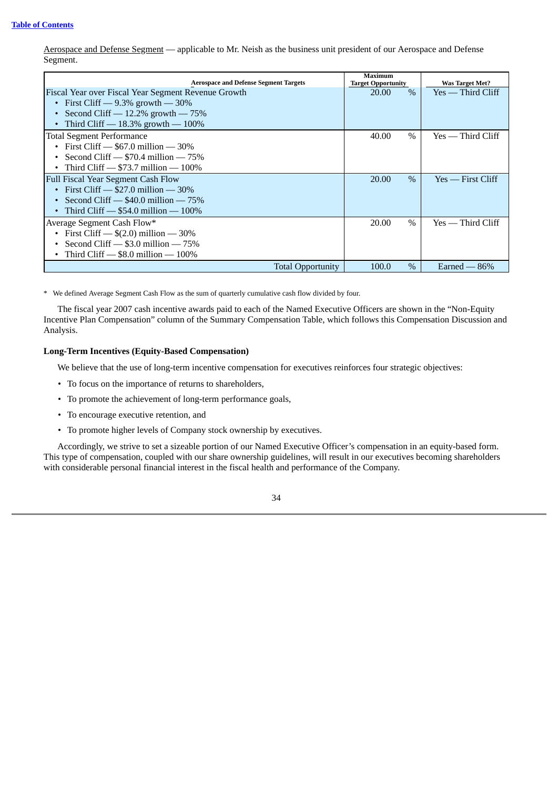Aerospace and Defense Segment — applicable to Mr. Neish as the business unit president of our Aerospace and Defense Segment.

| <b>Aerospace and Defense Segment Targets</b>        | Maximum<br><b>Target Opportunity</b> | Was Target Met?     |
|-----------------------------------------------------|--------------------------------------|---------------------|
| Fiscal Year over Fiscal Year Segment Revenue Growth | $\%$<br>20.00                        | $Yes$ — Third Cliff |
| First Cliff $-9.3\%$ growth $-30\%$                 |                                      |                     |
| Second Cliff $-12.2\%$ growth $-75\%$               |                                      |                     |
| Third Cliff $-$ 18.3% growth $-$ 100%               |                                      |                     |
| Total Segment Performance                           | $\%$<br>40.00                        | $Yes$ — Third Cliff |
| First Cliff $-$ \$67.0 million $-$ 30%              |                                      |                     |
| Second Cliff $-$ \$70.4 million $-$ 75%             |                                      |                     |
| Third Cliff $-$ \$73.7 million $-$ 100%             |                                      |                     |
| <b>Full Fiscal Year Segment Cash Flow</b>           | $\%$<br>20.00                        | $Yes = First Cliff$ |
| • First Cliff $-$ \$27.0 million $-$ 30%            |                                      |                     |
| Second Cliff $-$ \$40.0 million $-$ 75%             |                                      |                     |
| Third Cliff $-$ \$54.0 million $-$ 100%             |                                      |                     |
| Average Segment Cash Flow*                          | $\%$<br>20.00                        | $Yes$ — Third Cliff |
| • First Cliff $-$ \$(2.0) million $-$ 30%           |                                      |                     |
| Second Cliff $-$ \$3.0 million $-$ 75%              |                                      |                     |
| Third Cliff $-$ \$8.0 million $-$ 100%              |                                      |                     |
| <b>Total Opportunity</b>                            | $\%$<br>100.0                        | Earned $-86%$       |

\* We defined Average Segment Cash Flow as the sum of quarterly cumulative cash flow divided by four.

The fiscal year 2007 cash incentive awards paid to each of the Named Executive Officers are shown in the "Non-Equity Incentive Plan Compensation" column of the Summary Compensation Table, which follows this Compensation Discussion and Analysis.

#### **Long-Term Incentives (Equity-Based Compensation)**

We believe that the use of long-term incentive compensation for executives reinforces four strategic objectives:

- To focus on the importance of returns to shareholders,
- To promote the achievement of long-term performance goals,
- To encourage executive retention, and
- To promote higher levels of Company stock ownership by executives.

Accordingly, we strive to set a sizeable portion of our Named Executive Officer's compensation in an equity-based form. This type of compensation, coupled with our share ownership guidelines, will result in our executives becoming shareholders with considerable personal financial interest in the fiscal health and performance of the Company.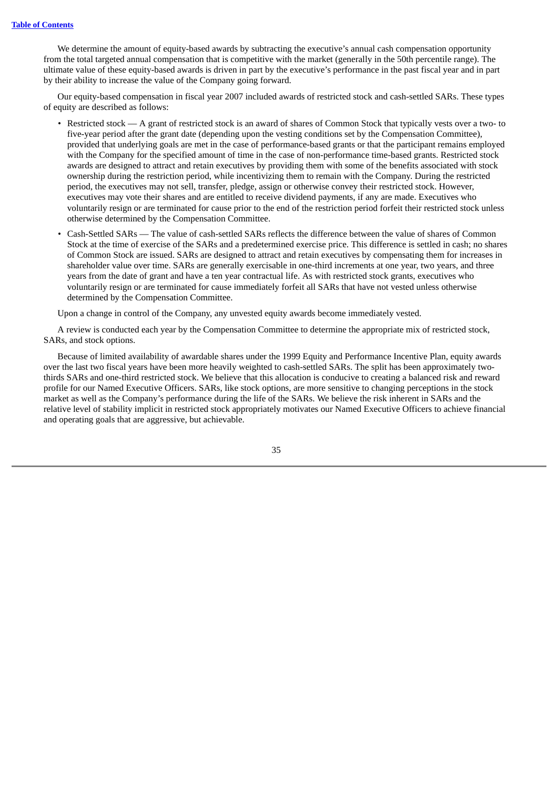We determine the amount of equity-based awards by subtracting the executive's annual cash compensation opportunity from the total targeted annual compensation that is competitive with the market (generally in the 50th percentile range). The ultimate value of these equity-based awards is driven in part by the executive's performance in the past fiscal year and in part by their ability to increase the value of the Company going forward.

Our equity-based compensation in fiscal year 2007 included awards of restricted stock and cash-settled SARs. These types of equity are described as follows:

- Restricted stock A grant of restricted stock is an award of shares of Common Stock that typically vests over a two- to five-year period after the grant date (depending upon the vesting conditions set by the Compensation Committee), provided that underlying goals are met in the case of performance-based grants or that the participant remains employed with the Company for the specified amount of time in the case of non-performance time-based grants. Restricted stock awards are designed to attract and retain executives by providing them with some of the benefits associated with stock ownership during the restriction period, while incentivizing them to remain with the Company. During the restricted period, the executives may not sell, transfer, pledge, assign or otherwise convey their restricted stock. However, executives may vote their shares and are entitled to receive dividend payments, if any are made. Executives who voluntarily resign or are terminated for cause prior to the end of the restriction period forfeit their restricted stock unless otherwise determined by the Compensation Committee.
- Cash-Settled SARs The value of cash-settled SARs reflects the difference between the value of shares of Common Stock at the time of exercise of the SARs and a predetermined exercise price. This difference is settled in cash; no shares of Common Stock are issued. SARs are designed to attract and retain executives by compensating them for increases in shareholder value over time. SARs are generally exercisable in one-third increments at one year, two years, and three years from the date of grant and have a ten year contractual life. As with restricted stock grants, executives who voluntarily resign or are terminated for cause immediately forfeit all SARs that have not vested unless otherwise determined by the Compensation Committee.

Upon a change in control of the Company, any unvested equity awards become immediately vested.

A review is conducted each year by the Compensation Committee to determine the appropriate mix of restricted stock, SARs, and stock options.

Because of limited availability of awardable shares under the 1999 Equity and Performance Incentive Plan, equity awards over the last two fiscal years have been more heavily weighted to cash-settled SARs. The split has been approximately twothirds SARs and one-third restricted stock. We believe that this allocation is conducive to creating a balanced risk and reward profile for our Named Executive Officers. SARs, like stock options, are more sensitive to changing perceptions in the stock market as well as the Company's performance during the life of the SARs. We believe the risk inherent in SARs and the relative level of stability implicit in restricted stock appropriately motivates our Named Executive Officers to achieve financial and operating goals that are aggressive, but achievable.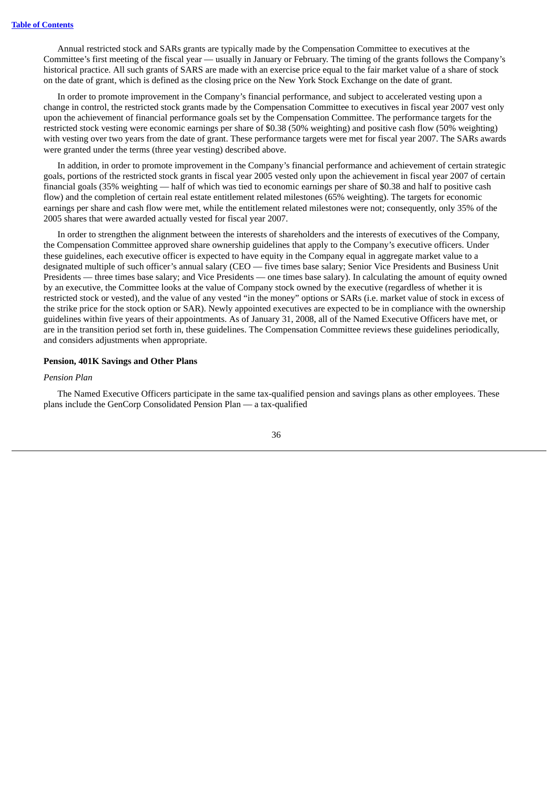Annual restricted stock and SARs grants are typically made by the Compensation Committee to executives at the Committee's first meeting of the fiscal year — usually in January or February. The timing of the grants follows the Company's historical practice. All such grants of SARS are made with an exercise price equal to the fair market value of a share of stock on the date of grant, which is defined as the closing price on the New York Stock Exchange on the date of grant.

In order to promote improvement in the Company's financial performance, and subject to accelerated vesting upon a change in control, the restricted stock grants made by the Compensation Committee to executives in fiscal year 2007 vest only upon the achievement of financial performance goals set by the Compensation Committee. The performance targets for the restricted stock vesting were economic earnings per share of \$0.38 (50% weighting) and positive cash flow (50% weighting) with vesting over two years from the date of grant. These performance targets were met for fiscal year 2007. The SARs awards were granted under the terms (three year vesting) described above.

In addition, in order to promote improvement in the Company's financial performance and achievement of certain strategic goals, portions of the restricted stock grants in fiscal year 2005 vested only upon the achievement in fiscal year 2007 of certain financial goals (35% weighting — half of which was tied to economic earnings per share of \$0.38 and half to positive cash flow) and the completion of certain real estate entitlement related milestones (65% weighting). The targets for economic earnings per share and cash flow were met, while the entitlement related milestones were not; consequently, only 35% of the 2005 shares that were awarded actually vested for fiscal year 2007.

In order to strengthen the alignment between the interests of shareholders and the interests of executives of the Company, the Compensation Committee approved share ownership guidelines that apply to the Company's executive officers. Under these guidelines, each executive officer is expected to have equity in the Company equal in aggregate market value to a designated multiple of such officer's annual salary (CEO — five times base salary; Senior Vice Presidents and Business Unit Presidents — three times base salary; and Vice Presidents — one times base salary). In calculating the amount of equity owned by an executive, the Committee looks at the value of Company stock owned by the executive (regardless of whether it is restricted stock or vested), and the value of any vested "in the money" options or SARs (i.e. market value of stock in excess of the strike price for the stock option or SAR). Newly appointed executives are expected to be in compliance with the ownership guidelines within five years of their appointments. As of January 31, 2008, all of the Named Executive Officers have met, or are in the transition period set forth in, these guidelines. The Compensation Committee reviews these guidelines periodically, and considers adjustments when appropriate.

#### **Pension, 401K Savings and Other Plans**

#### *Pension Plan*

The Named Executive Officers participate in the same tax-qualified pension and savings plans as other employees. These plans include the GenCorp Consolidated Pension Plan — a tax-qualified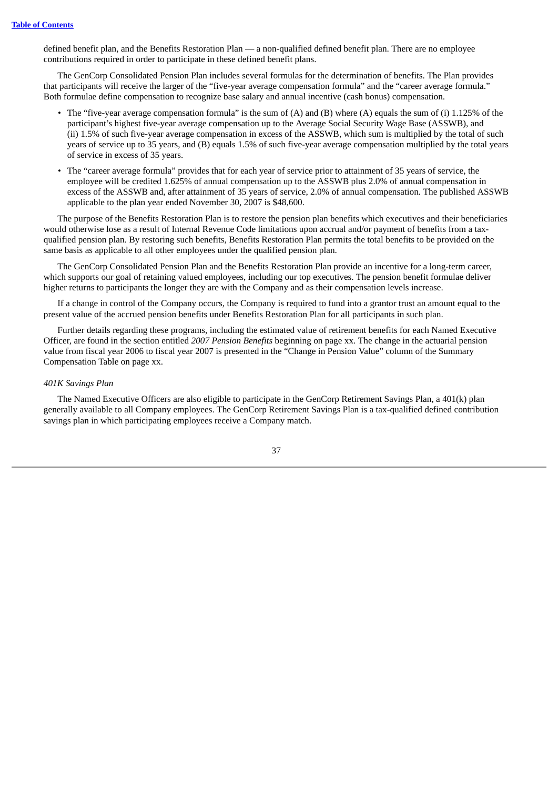defined benefit plan, and the Benefits Restoration Plan — a non-qualified defined benefit plan. There are no employee contributions required in order to participate in these defined benefit plans.

The GenCorp Consolidated Pension Plan includes several formulas for the determination of benefits. The Plan provides that participants will receive the larger of the "five-year average compensation formula" and the "career average formula." Both formulae define compensation to recognize base salary and annual incentive (cash bonus) compensation.

- The "five-year average compensation formula" is the sum of  $(A)$  and  $(B)$  where  $(A)$  equals the sum of  $(i)$  1.125% of the participant's highest five-year average compensation up to the Average Social Security Wage Base (ASSWB), and (ii) 1.5% of such five-year average compensation in excess of the ASSWB, which sum is multiplied by the total of such years of service up to 35 years, and (B) equals 1.5% of such five-year average compensation multiplied by the total years of service in excess of 35 years.
- The "career average formula" provides that for each year of service prior to attainment of 35 years of service, the employee will be credited 1.625% of annual compensation up to the ASSWB plus 2.0% of annual compensation in excess of the ASSWB and, after attainment of 35 years of service, 2.0% of annual compensation. The published ASSWB applicable to the plan year ended November 30, 2007 is \$48,600.

The purpose of the Benefits Restoration Plan is to restore the pension plan benefits which executives and their beneficiaries would otherwise lose as a result of Internal Revenue Code limitations upon accrual and/or payment of benefits from a taxqualified pension plan. By restoring such benefits, Benefits Restoration Plan permits the total benefits to be provided on the same basis as applicable to all other employees under the qualified pension plan.

The GenCorp Consolidated Pension Plan and the Benefits Restoration Plan provide an incentive for a long-term career, which supports our goal of retaining valued employees, including our top executives. The pension benefit formulae deliver higher returns to participants the longer they are with the Company and as their compensation levels increase.

If a change in control of the Company occurs, the Company is required to fund into a grantor trust an amount equal to the present value of the accrued pension benefits under Benefits Restoration Plan for all participants in such plan.

Further details regarding these programs, including the estimated value of retirement benefits for each Named Executive Officer, are found in the section entitled *2007 Pension Benefits* beginning on page xx. The change in the actuarial pension value from fiscal year 2006 to fiscal year 2007 is presented in the "Change in Pension Value" column of the Summary Compensation Table on page xx.

#### *401K Savings Plan*

The Named Executive Officers are also eligible to participate in the GenCorp Retirement Savings Plan, a 401(k) plan generally available to all Company employees. The GenCorp Retirement Savings Plan is a tax-qualified defined contribution savings plan in which participating employees receive a Company match.

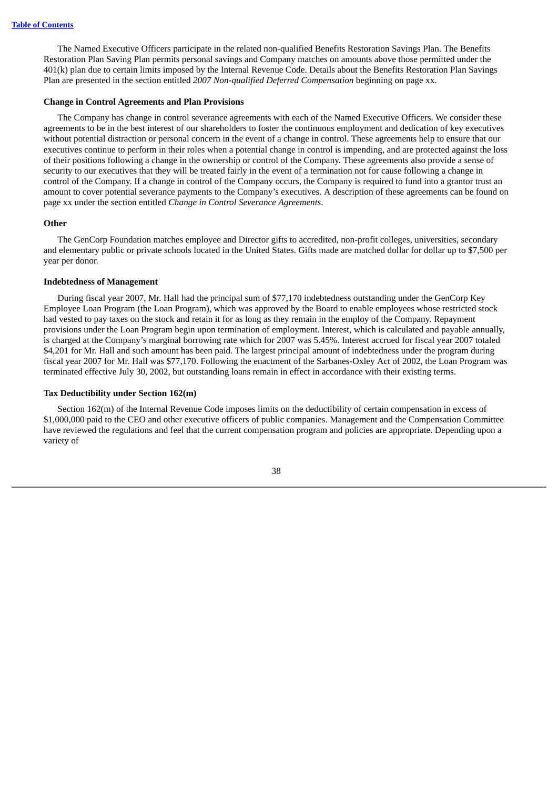The Named Executive Officers participate in the related non-qualified Benefits Restoration Savings Plan. The Benefits Restoration Plan Saving Plan permits personal savings and Company matches on amounts above those permitted under the 401(k) plan due to certain limits imposed by the Internal Revenue Code. Details about the Benefits Restoration Plan Savings Plan are presented in the section entitled *2007 Non-qualified Deferred Compensation* beginning on page xx.

#### **Change in Control Agreements and Plan Provisions**

The Company has change in control severance agreements with each of the Named Executive Officers. We consider these agreements to be in the best interest of our shareholders to foster the continuous employment and dedication of key executives without potential distraction or personal concern in the event of a change in control. These agreements help to ensure that our executives continue to perform in their roles when a potential change in control is impending, and are protected against the loss of their positions following a change in the ownership or control of the Company. These agreements also provide a sense of security to our executives that they will be treated fairly in the event of a termination not for cause following a change in control of the Company. If a change in control of the Company occurs, the Company is required to fund into a grantor trust an amount to cover potential severance payments to the Company's executives. A description of these agreements can be found on page xx under the section entitled *Change in Control Severance Agreements*.

#### **Other**

The GenCorp Foundation matches employee and Director gifts to accredited, non-profit colleges, universities, secondary and elementary public or private schools located in the United States. Gifts made are matched dollar for dollar up to \$7,500 per year per donor.

#### **Indebtedness of Management**

During fiscal year 2007, Mr. Hall had the principal sum of \$77,170 indebtedness outstanding under the GenCorp Key Employee Loan Program (the Loan Program), which was approved by the Board to enable employees whose restricted stock had vested to pay taxes on the stock and retain it for as long as they remain in the employ of the Company. Repayment provisions under the Loan Program begin upon termination of employment. Interest, which is calculated and payable annually, is charged at the Company's marginal borrowing rate which for 2007 was 5.45%. Interest accrued for fiscal year 2007 totaled \$4,201 for Mr. Hall and such amount has been paid. The largest principal amount of indebtedness under the program during fiscal year 2007 for Mr. Hall was \$77,170. Following the enactment of the Sarbanes-Oxley Act of 2002, the Loan Program was terminated effective July 30, 2002, but outstanding loans remain in effect in accordance with their existing terms.

#### **Tax Deductibility under Section 162(m)**

Section 162(m) of the Internal Revenue Code imposes limits on the deductibility of certain compensation in excess of \$1,000,000 paid to the CEO and other executive officers of public companies. Management and the Compensation Committee have reviewed the regulations and feel that the current compensation program and policies are appropriate. Depending upon a variety of

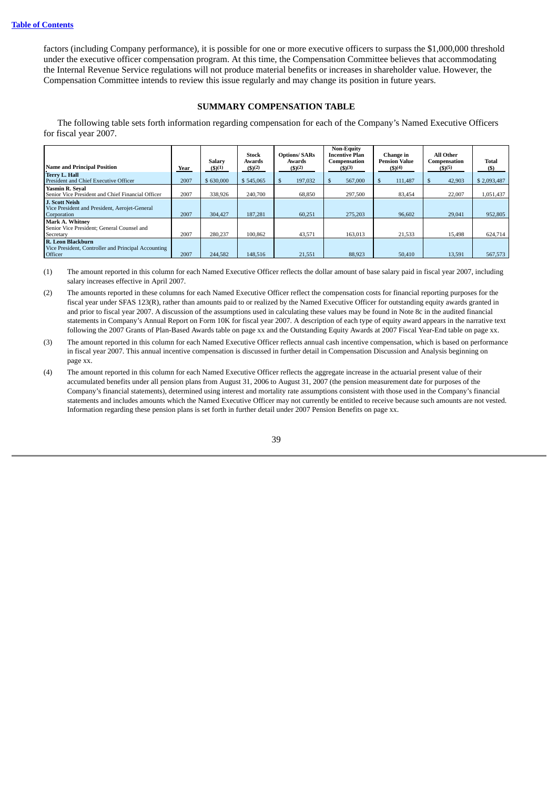factors (including Company performance), it is possible for one or more executive officers to surpass the \$1,000,000 threshold under the executive officer compensation program. At this time, the Compensation Committee believes that accommodating the Internal Revenue Service regulations will not produce material benefits or increases in shareholder value. However, the Compensation Committee intends to review this issue regularly and may change its position in future years.

## **SUMMARY COMPENSATION TABLE**

<span id="page-43-0"></span>The following table sets forth information regarding compensation for each of the Company's Named Executive Officers for fiscal year 2007.

| <b>Name and Principal Position</b><br><b>Terry L. Hall</b>                                 | <b>Year</b> | <b>Salarv</b><br>$($ \$ $)(1)$ | <b>Stock</b><br>Awards<br>$($ (\$)(2) | <b>Options/SARs</b><br>Awards<br>$($ \$ $)(2)$ | <b>Non-Equity</b><br><b>Incentive Plan</b><br>Compensation<br>(5)(3) |         |   | Change in<br><b>Pension Value</b><br>$($ \$) $(4)$ |    | All Other<br>Compensation<br>$($ \$)(5) | Total<br>(\$) |
|--------------------------------------------------------------------------------------------|-------------|--------------------------------|---------------------------------------|------------------------------------------------|----------------------------------------------------------------------|---------|---|----------------------------------------------------|----|-----------------------------------------|---------------|
| President and Chief Executive Officer                                                      | 2007        | \$630,000                      | \$545,065                             | 197,032                                        |                                                                      | 567,000 | S | 111,487                                            | -S | 42,903                                  | \$2,093,487   |
| Yasmin R. Seval<br>Senior Vice President and Chief Financial Officer                       | 2007        | 338,926                        | 240,700                               | 68,850                                         |                                                                      | 297,500 |   | 83,454                                             |    | 22,007                                  | 1,051,437     |
| <b>J. Scott Neish</b><br>Vice President and President, Aerojet-General<br>Corporation      | 2007        | 304,427                        | 187.281                               | 60.251                                         |                                                                      | 275,203 |   | 96,602                                             |    | 29,041                                  | 952,805       |
| Mark A. Whitney<br>Senior Vice President; General Counsel and<br>Secretary                 | 2007        | 280.237                        | 100.862                               | 43,571                                         |                                                                      | 163,013 |   | 21,533                                             |    | 15,498                                  | 624,714       |
| R. Leon Blackburn<br>Vice President, Controller and Principal Accounting<br><b>Officer</b> | 2007        | 244,582                        | 148,516                               | 21.551                                         |                                                                      | 88,923  |   | 50,410                                             |    | 13.591                                  | 567,573       |

(1) The amount reported in this column for each Named Executive Officer reflects the dollar amount of base salary paid in fiscal year 2007, including salary increases effective in April 2007.

- (2) The amounts reported in these columns for each Named Executive Officer reflect the compensation costs for financial reporting purposes for the fiscal year under SFAS 123(R), rather than amounts paid to or realized by the Named Executive Officer for outstanding equity awards granted in and prior to fiscal year 2007. A discussion of the assumptions used in calculating these values may be found in Note 8c in the audited financial statements in Company's Annual Report on Form 10K for fiscal year 2007. A description of each type of equity award appears in the narrative text following the 2007 Grants of Plan-Based Awards table on page xx and the Outstanding Equity Awards at 2007 Fiscal Year-End table on page xx.
- (3) The amount reported in this column for each Named Executive Officer reflects annual cash incentive compensation, which is based on performance in fiscal year 2007. This annual incentive compensation is discussed in further detail in Compensation Discussion and Analysis beginning on page xx.
- (4) The amount reported in this column for each Named Executive Officer reflects the aggregate increase in the actuarial present value of their accumulated benefits under all pension plans from August 31, 2006 to August 31, 2007 (the pension measurement date for purposes of the Company's financial statements), determined using interest and mortality rate assumptions consistent with those used in the Company's financial statements and includes amounts which the Named Executive Officer may not currently be entitled to receive because such amounts are not vested. Information regarding these pension plans is set forth in further detail under 2007 Pension Benefits on page xx.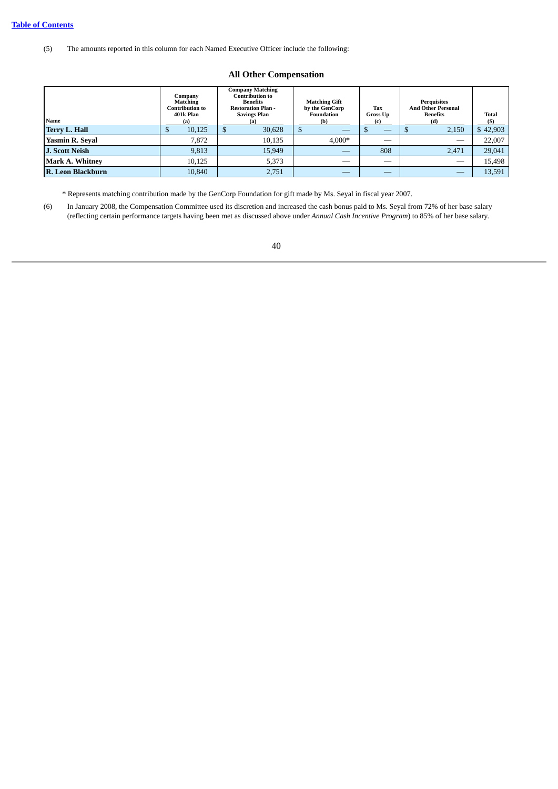(5) The amounts reported in this column for each Named Executive Officer include the following:

## **All Other Compensation**

| <b>Name</b>            | Company<br><b>Matching</b><br><b>Contribution to</b><br>401k Plan<br>(a) | <b>Company Matching</b><br><b>Contribution to</b><br><b>Benefits</b><br><b>Restoration Plan -</b><br><b>Savings Plan</b><br>(a) |          | Tax<br>Gross Up<br>(c) | Perquisites<br><b>And Other Personal</b><br><b>Benefits</b><br>(d) | <b>Total</b><br>$($)$ |
|------------------------|--------------------------------------------------------------------------|---------------------------------------------------------------------------------------------------------------------------------|----------|------------------------|--------------------------------------------------------------------|-----------------------|
| <b>Terry L. Hall</b>   | 10,125                                                                   | 30,628                                                                                                                          |          |                        | 2,150                                                              | \$42,903              |
| Yasmin R. Seval        | 7.872                                                                    | 10,135                                                                                                                          | $4.000*$ |                        |                                                                    | 22,007                |
| <b>J. Scott Neish</b>  | 9,813                                                                    | 15,949                                                                                                                          |          | 808                    | 2,471                                                              | 29,041                |
| <b>Mark A. Whitney</b> | 10,125                                                                   | 5,373                                                                                                                           | __       | ---                    |                                                                    | 15,498                |
| R. Leon Blackburn      | 10,840                                                                   | 2,751                                                                                                                           |          | _                      |                                                                    | 13,591                |

\* Represents matching contribution made by the GenCorp Foundation for gift made by Ms. Seyal in fiscal year 2007.

(6) In January 2008, the Compensation Committee used its discretion and increased the cash bonus paid to Ms. Seyal from 72% of her base salary (reflecting certain performance targets having been met as discussed above under *Annual Cash Incentive Program*) to 85% of her base salary.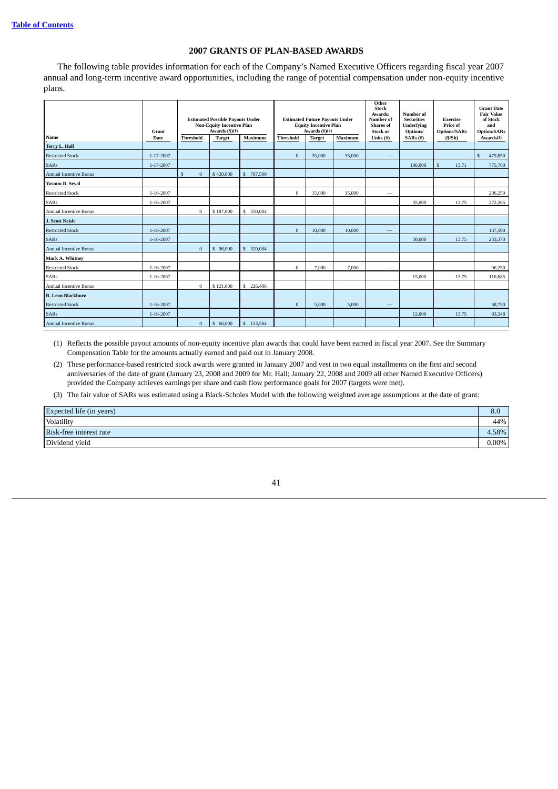## **2007 GRANTS OF PLAN-BASED AWARDS**

<span id="page-45-0"></span>The following table provides information for each of the Company's Named Executive Officers regarding fiscal year 2007 annual and long-term incentive award opportunities, including the range of potential compensation under non-equity incentive plans.

|                               | Grant     | <b>Estimated Possible Payouts Under</b><br><b>Non-Equity Incentive Plan</b><br>Awards $(\text{$}5)(1)$ |               |                         | <b>Estimated Future Payouts Under</b><br><b>Equity Incentive Plan</b><br>Awards $(\#)(2)$ |               |         | Other<br><b>Stock</b><br>Awards:<br>Number of<br><b>Shares</b> of<br><b>Stock or</b> | Number of<br><b>Securities</b><br><b>Underlying</b><br>Options/ | <b>Exercise</b><br>Price of<br>Options/SARs | <b>Grant Date</b><br><b>Fair Value</b><br>of Stock<br>and<br><b>Option/SARs</b> |
|-------------------------------|-----------|--------------------------------------------------------------------------------------------------------|---------------|-------------------------|-------------------------------------------------------------------------------------------|---------------|---------|--------------------------------------------------------------------------------------|-----------------------------------------------------------------|---------------------------------------------|---------------------------------------------------------------------------------|
| Name                          | Date      | <b>Threshold</b>                                                                                       | <b>Target</b> | Maximum                 | <b>Threshold</b>                                                                          | <b>Target</b> | Maximum | Units $(f#)$                                                                         | SARs $($ #)                                                     | (S/Sh)                                      | Awards(3)                                                                       |
| <b>Terry L. Hall</b>          |           |                                                                                                        |               |                         |                                                                                           |               |         |                                                                                      |                                                                 |                                             |                                                                                 |
| <b>Restricted Stock</b>       | 1-17-2007 |                                                                                                        |               |                         | $\mathbf{0}$                                                                              | 35,000        | 35,000  | $\qquad \qquad -$                                                                    |                                                                 |                                             | \$<br>479,850                                                                   |
| <b>SARs</b>                   | 1-17-2007 |                                                                                                        |               |                         |                                                                                           |               |         |                                                                                      | 100,000                                                         | 13.71<br>$\mathbf{s}$                       | 775,700                                                                         |
| <b>Annual Incentive Bonus</b> |           | $\mathbf{s}$<br>$\mathbf{0}$                                                                           | \$420,000     | $\mathbb{S}$<br>787,500 |                                                                                           |               |         |                                                                                      |                                                                 |                                             |                                                                                 |
| Yasmin R. Seyal               |           |                                                                                                        |               |                         |                                                                                           |               |         |                                                                                      |                                                                 |                                             |                                                                                 |
| <b>Restricted Stock</b>       | 1-16-2007 |                                                                                                        |               |                         | $\mathbf{0}$                                                                              | 15,000        | 15,000  |                                                                                      |                                                                 |                                             | 206,250                                                                         |
| <b>SARs</b>                   | 1-16-2007 |                                                                                                        |               |                         |                                                                                           |               |         |                                                                                      | 35,000                                                          | 13.75                                       | 272,265                                                                         |
| <b>Annual Incentive Bonus</b> |           | $\mathbf{0}$                                                                                           | \$187,000     | \$ 350,004              |                                                                                           |               |         |                                                                                      |                                                                 |                                             |                                                                                 |
| J. Scott Neish                |           |                                                                                                        |               |                         |                                                                                           |               |         |                                                                                      |                                                                 |                                             |                                                                                 |
| <b>Restricted Stock</b>       | 1-16-2007 |                                                                                                        |               |                         | $\mathbf{0}$                                                                              | 10,000        | 10,000  | $\qquad \qquad \longleftarrow$                                                       |                                                                 |                                             | 137,500                                                                         |
| <b>SARs</b>                   | 1-16-2007 |                                                                                                        |               |                         |                                                                                           |               |         |                                                                                      | 30,000                                                          | 13.75                                       | 233,370                                                                         |
| <b>Annual Incentive Bonus</b> |           | $\mathbf{0}$                                                                                           | \$96,000      | $\mathbb{S}$<br>320,004 |                                                                                           |               |         |                                                                                      |                                                                 |                                             |                                                                                 |
| Mark A. Whitney               |           |                                                                                                        |               |                         |                                                                                           |               |         |                                                                                      |                                                                 |                                             |                                                                                 |
| <b>Restricted Stock</b>       | 1-16-2007 |                                                                                                        |               |                         | $\mathbf{0}$                                                                              | 7,000         | 7,000   | $\qquad \qquad$                                                                      |                                                                 |                                             | 96,250                                                                          |
| <b>SARs</b>                   | 1-16-2007 |                                                                                                        |               |                         |                                                                                           |               |         |                                                                                      | 15,000                                                          | 13.75                                       | 116,685                                                                         |
| <b>Annual Incentive Bonus</b> |           | $\mathbf{0}$                                                                                           | \$121,000     | \$ 226,406              |                                                                                           |               |         |                                                                                      |                                                                 |                                             |                                                                                 |
| R. Leon Blackburn             |           |                                                                                                        |               |                         |                                                                                           |               |         |                                                                                      |                                                                 |                                             |                                                                                 |
| <b>Restricted Stock</b>       | 1-16-2007 |                                                                                                        |               |                         | $\mathbf{0}$                                                                              | 5,000         | 5,000   | $\qquad \qquad \longleftarrow$                                                       |                                                                 |                                             | 68,750                                                                          |
| <b>SARs</b>                   | 1-16-2007 |                                                                                                        |               |                         |                                                                                           |               |         |                                                                                      | 12,000                                                          | 13.75                                       | 93,348                                                                          |
| <b>Annual Incentive Bonus</b> |           | $\mathbf{0}$                                                                                           | \$66,000      | \$123,504               |                                                                                           |               |         |                                                                                      |                                                                 |                                             |                                                                                 |

(1) Reflects the possible payout amounts of non-equity incentive plan awards that could have been earned in fiscal year 2007. See the Summary Compensation Table for the amounts actually earned and paid out in January 2008.

(2) These performance-based restricted stock awards were granted in January 2007 and vest in two equal installments on the first and second anniversaries of the date of grant (January 23, 2008 and 2009 for Mr. Hall; January 22, 2008 and 2009 all other Named Executive Officers) provided the Company achieves earnings per share and cash flow performance goals for 2007 (targets were met).

(3) The fair value of SARs was estimated using a Black-Scholes Model with the following weighted average assumptions at the date of grant:

| Expected life (in years) | 8.0      |
|--------------------------|----------|
| Volatility               | 44%      |
| Risk-free interest rate  | 4.58%    |
| Dividend yield           | $0.00\%$ |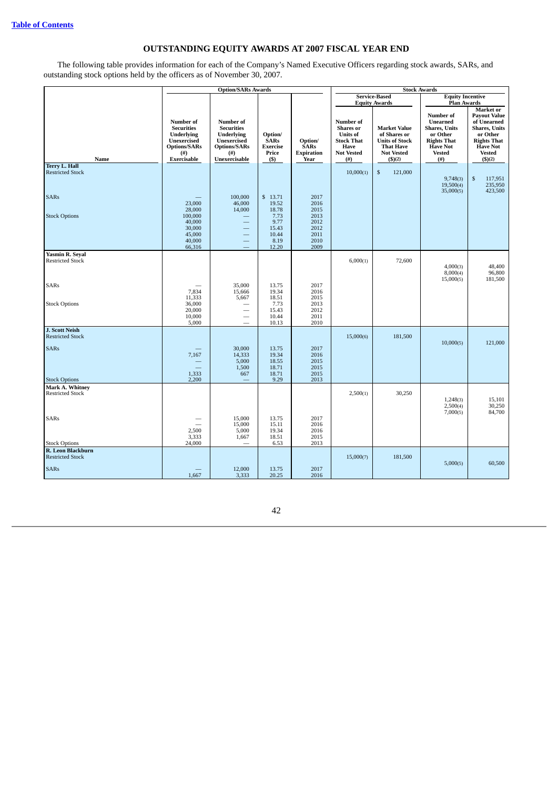## **OUTSTANDING EQUITY AWARDS AT 2007 FISCAL YEAR END**

The following table provides information for each of the Company's Named Executive Officers regarding stock awards, SARs, and outstanding stock options held by the officers as of November 30, 2007.

|                                                                                  |                                                                                                                      | <b>Option/SARs Awards</b>                                                                                                     |                                                                              |                                                                      | <b>Stock Awards</b>                                                                                       |                                                                                                                        |                                                                                                                                          |                                                                                                                                                                 |
|----------------------------------------------------------------------------------|----------------------------------------------------------------------------------------------------------------------|-------------------------------------------------------------------------------------------------------------------------------|------------------------------------------------------------------------------|----------------------------------------------------------------------|-----------------------------------------------------------------------------------------------------------|------------------------------------------------------------------------------------------------------------------------|------------------------------------------------------------------------------------------------------------------------------------------|-----------------------------------------------------------------------------------------------------------------------------------------------------------------|
|                                                                                  |                                                                                                                      |                                                                                                                               |                                                                              |                                                                      |                                                                                                           | <b>Service-Based</b><br><b>Equity Awards</b>                                                                           | <b>Equity Incentive</b><br><b>Plan Awards</b>                                                                                            |                                                                                                                                                                 |
| Name                                                                             | Number of<br><b>Securities</b><br><b>Underlying</b><br>Unexercised<br><b>Options/SARs</b><br>$^{(#)}$<br>Exercisable | Number of<br><b>Securities</b><br><b>Underlying</b><br><b>Unexercised</b><br><b>Options/SARs</b><br>$^{(#)}$<br>Unexercisable | Option/<br><b>SARs</b><br><b>Exercise</b><br>Price<br>$(\$)$                 | Option/<br><b>SARs</b><br><b>Expiration</b><br>Year                  | Number of<br><b>Shares</b> or<br><b>Units of</b><br><b>Stock That</b><br>Have<br><b>Not Vested</b><br>(#) | <b>Market Value</b><br>of Shares or<br><b>Units of Stock</b><br><b>That Have</b><br><b>Not Vested</b><br>$($ \$) $(2)$ | Number of<br><b>Unearned</b><br><b>Shares</b> , Units<br>or Other<br><b>Rights That</b><br><b>Have Not</b><br><b>Vested</b><br>$($ # $)$ | Market or<br><b>Payout Value</b><br>of Unearned<br><b>Shares</b> , Units<br>or Other<br><b>Rights That</b><br><b>Have Not</b><br><b>Vested</b><br>$($ \$) $(2)$ |
| Terry L. Hall<br><b>Restricted Stock</b>                                         |                                                                                                                      |                                                                                                                               |                                                                              |                                                                      | 10,000(1)                                                                                                 | \$<br>121,000                                                                                                          | 9,748(3)<br>19,500(4)<br>35,000(5)                                                                                                       | \$<br>117,951<br>235,950<br>423,500                                                                                                                             |
| <b>SARs</b><br><b>Stock Options</b>                                              | 23,000<br>28,000<br>100,000<br>40,000<br>30,000<br>45,000<br>40,000<br>66,316                                        | 100,000<br>46,000<br>14,000                                                                                                   | \$13.71<br>19.52<br>18.78<br>7.73<br>9.77<br>15.43<br>10.44<br>8.19<br>12.20 | 2017<br>2016<br>2015<br>2013<br>2012<br>2012<br>2011<br>2010<br>2009 |                                                                                                           |                                                                                                                        |                                                                                                                                          |                                                                                                                                                                 |
| Yasmin R. Seyal<br><b>Restricted Stock</b>                                       |                                                                                                                      |                                                                                                                               |                                                                              |                                                                      | 6,000(1)                                                                                                  | 72,600                                                                                                                 | 4,000(3)<br>8,000(4)<br>15,000(5)                                                                                                        | 48,400<br>96,800<br>181,500                                                                                                                                     |
| SARs<br><b>Stock Options</b>                                                     | 7,834<br>11,333<br>36,000<br>20,000<br>10,000<br>5,000                                                               | 35,000<br>15,666<br>5,667<br>-<br>$\overline{\phantom{0}}$                                                                    | 13.75<br>19.34<br>18.51<br>7.73<br>15.43<br>10.44<br>10.13                   | 2017<br>2016<br>2015<br>2013<br>2012<br>2011<br>2010                 |                                                                                                           |                                                                                                                        |                                                                                                                                          |                                                                                                                                                                 |
| J. Scott Neish<br><b>Restricted Stock</b><br><b>SARs</b><br><b>Stock Options</b> | 7,167<br>1,333<br>2,200                                                                                              | 30,000<br>14,333<br>5,000<br>1,500<br>667                                                                                     | 13.75<br>19.34<br>18.55<br>18.71<br>18.71<br>9.29                            | 2017<br>2016<br>2015<br>2015<br>2015<br>2013                         | 15,000(6)                                                                                                 | 181,500                                                                                                                | 10,000(5)                                                                                                                                | 121,000                                                                                                                                                         |
| Mark A. Whitney<br><b>Restricted Stock</b>                                       |                                                                                                                      |                                                                                                                               |                                                                              |                                                                      | 2,500(1)                                                                                                  | 30,250                                                                                                                 | 1,248(3)<br>2,500(4)<br>7,000(5)                                                                                                         | 15,101<br>30,250<br>84,700                                                                                                                                      |
| <b>SARs</b><br><b>Stock Options</b>                                              | 2,500<br>3,333<br>24,000                                                                                             | 15,000<br>15,000<br>5,000<br>1,667                                                                                            | 13.75<br>15.11<br>19.34<br>18.51<br>6.53                                     | 2017<br>2016<br>2016<br>2015<br>2013                                 |                                                                                                           |                                                                                                                        |                                                                                                                                          |                                                                                                                                                                 |
| R. Leon Blackburn<br><b>Restricted Stock</b>                                     |                                                                                                                      |                                                                                                                               |                                                                              |                                                                      | 15,000(7)                                                                                                 | 181,500                                                                                                                |                                                                                                                                          |                                                                                                                                                                 |
| <b>SARs</b>                                                                      | 1,667                                                                                                                | 12,000<br>3,333                                                                                                               | 13.75<br>20.25                                                               | 2017<br>2016                                                         |                                                                                                           |                                                                                                                        | 5,000(5)                                                                                                                                 | 60,500                                                                                                                                                          |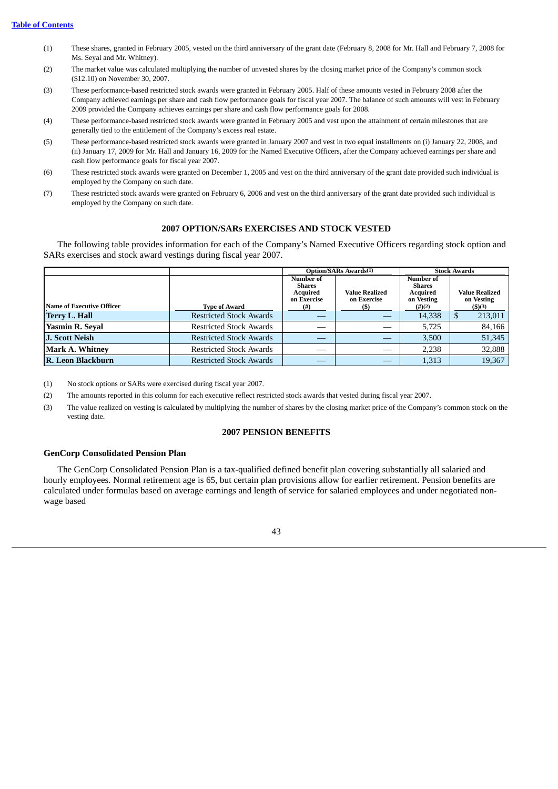- (1) These shares, granted in February 2005, vested on the third anniversary of the grant date (February 8, 2008 for Mr. Hall and February 7, 2008 for Ms. Seyal and Mr. Whitney).
- (2) The market value was calculated multiplying the number of unvested shares by the closing market price of the Company's common stock (\$12.10) on November 30, 2007.
- (3) These performance-based restricted stock awards were granted in February 2005. Half of these amounts vested in February 2008 after the Company achieved earnings per share and cash flow performance goals for fiscal year 2007. The balance of such amounts will vest in February 2009 provided the Company achieves earnings per share and cash flow performance goals for 2008.
- (4) These performance-based restricted stock awards were granted in February 2005 and vest upon the attainment of certain milestones that are generally tied to the entitlement of the Company's excess real estate.
- (5) These performance-based restricted stock awards were granted in January 2007 and vest in two equal installments on (i) January 22, 2008, and (ii) January 17, 2009 for Mr. Hall and January 16, 2009 for the Named Executive Officers, after the Company achieved earnings per share and cash flow performance goals for fiscal year 2007.
- (6) These restricted stock awards were granted on December 1, 2005 and vest on the third anniversary of the grant date provided such individual is employed by the Company on such date.
- (7) These restricted stock awards were granted on February 6, 2006 and vest on the third anniversary of the grant date provided such individual is employed by the Company on such date.

## **2007 OPTION/SARs EXERCISES AND STOCK VESTED**

The following table provides information for each of the Company's Named Executive Officers regarding stock option and SARs exercises and stock award vestings during fiscal year 2007.

|                                  |                                |                                                                     | <b>Option/SARs Awards(1)</b>         |                                                                          | <b>Stock Awards</b>                                  |
|----------------------------------|--------------------------------|---------------------------------------------------------------------|--------------------------------------|--------------------------------------------------------------------------|------------------------------------------------------|
| <b>Name of Executive Officer</b> | <b>Type of Award</b>           | Number of<br><b>Shares</b><br><b>Acquired</b><br>on Exercise<br>(#) | <b>Value Realized</b><br>on Exercise | <b>Number of</b><br>Shares<br><b>Acquired</b><br>on Vesting<br>$(\#)(2)$ | <b>Value Realized</b><br>on Vesting<br>$($ \$) $(3)$ |
| <b>Terry L. Hall</b>             | <b>Restricted Stock Awards</b> |                                                                     |                                      | 14,338                                                                   | 213,011<br>\$                                        |
| Yasmin R. Seval                  | <b>Restricted Stock Awards</b> |                                                                     |                                      | 5.725                                                                    | 84,166                                               |
| <b>J. Scott Neish</b>            | <b>Restricted Stock Awards</b> |                                                                     |                                      | 3,500                                                                    | 51,345                                               |
| <b>Mark A. Whitney</b>           | <b>Restricted Stock Awards</b> |                                                                     |                                      | 2.238                                                                    | 32,888                                               |
| R. Leon Blackburn                | <b>Restricted Stock Awards</b> |                                                                     |                                      | 1,313                                                                    | 19,367                                               |

(1) No stock options or SARs were exercised during fiscal year 2007.

(2) The amounts reported in this column for each executive reflect restricted stock awards that vested during fiscal year 2007.

(3) The value realized on vesting is calculated by multiplying the number of shares by the closing market price of the Company's common stock on the vesting date.

## **2007 PENSION BENEFITS**

#### **GenCorp Consolidated Pension Plan**

The GenCorp Consolidated Pension Plan is a tax-qualified defined benefit plan covering substantially all salaried and hourly employees. Normal retirement age is 65, but certain plan provisions allow for earlier retirement. Pension benefits are calculated under formulas based on average earnings and length of service for salaried employees and under negotiated nonwage based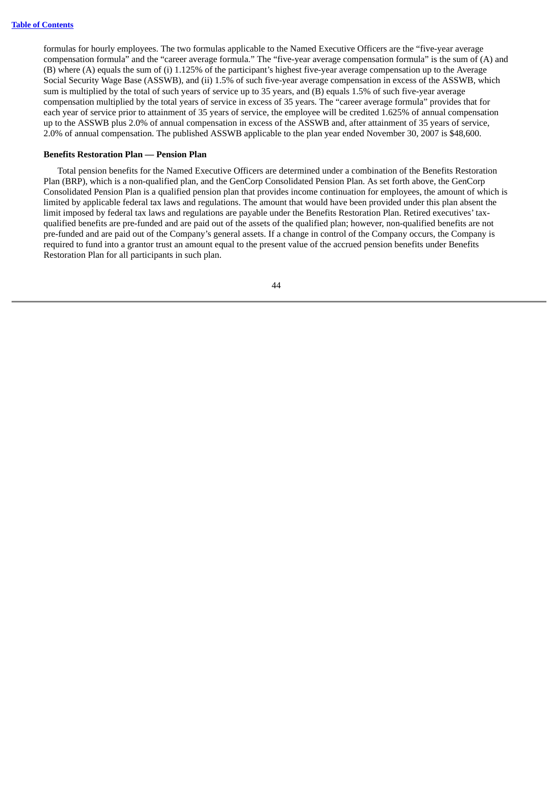formulas for hourly employees. The two formulas applicable to the Named Executive Officers are the "five-year average compensation formula" and the "career average formula." The "five-year average compensation formula" is the sum of (A) and (B) where (A) equals the sum of (i) 1.125% of the participant's highest five-year average compensation up to the Average Social Security Wage Base (ASSWB), and (ii) 1.5% of such five-year average compensation in excess of the ASSWB, which sum is multiplied by the total of such years of service up to 35 years, and (B) equals 1.5% of such five-year average compensation multiplied by the total years of service in excess of 35 years. The "career average formula" provides that for each year of service prior to attainment of 35 years of service, the employee will be credited 1.625% of annual compensation up to the ASSWB plus 2.0% of annual compensation in excess of the ASSWB and, after attainment of 35 years of service, 2.0% of annual compensation. The published ASSWB applicable to the plan year ended November 30, 2007 is \$48,600.

#### **Benefits Restoration Plan — Pension Plan**

Total pension benefits for the Named Executive Officers are determined under a combination of the Benefits Restoration Plan (BRP), which is a non-qualified plan, and the GenCorp Consolidated Pension Plan. As set forth above, the GenCorp Consolidated Pension Plan is a qualified pension plan that provides income continuation for employees, the amount of which is limited by applicable federal tax laws and regulations. The amount that would have been provided under this plan absent the limit imposed by federal tax laws and regulations are payable under the Benefits Restoration Plan. Retired executives' taxqualified benefits are pre-funded and are paid out of the assets of the qualified plan; however, non-qualified benefits are not pre-funded and are paid out of the Company's general assets. If a change in control of the Company occurs, the Company is required to fund into a grantor trust an amount equal to the present value of the accrued pension benefits under Benefits Restoration Plan for all participants in such plan.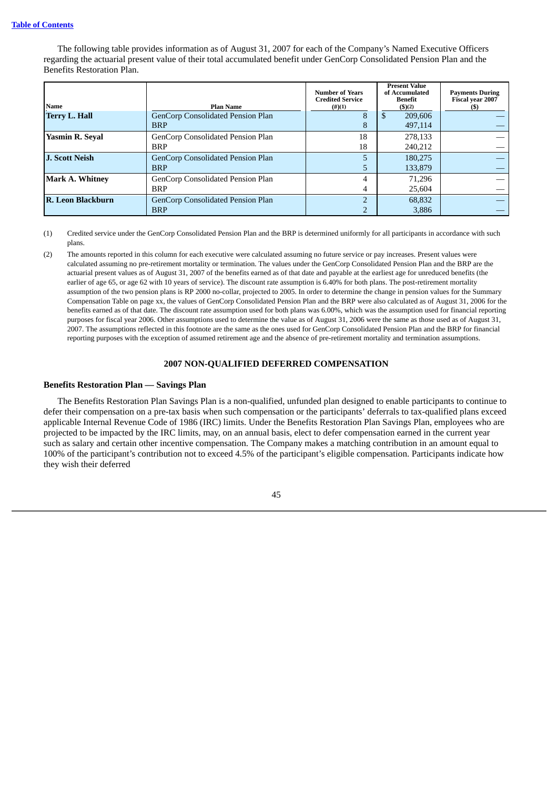The following table provides information as of August 31, 2007 for each of the Company's Named Executive Officers regarding the actuarial present value of their total accumulated benefit under GenCorp Consolidated Pension Plan and the Benefits Restoration Plan.

| Name                  | <b>Plan Name</b>                                | <b>Number of Years</b><br><b>Credited Service</b><br>$(\#)(1)$ | <b>Present Value</b><br>of Accumulated<br>Benefit<br>$($ \$)(2) | <b>Payments During</b><br>Fiscal year 2007<br>(S) |
|-----------------------|-------------------------------------------------|----------------------------------------------------------------|-----------------------------------------------------------------|---------------------------------------------------|
| <b>Terry L. Hall</b>  | GenCorp Consolidated Pension Plan<br><b>BRP</b> | 8<br>8                                                         | 209,606<br>497,114                                              |                                                   |
| Yasmin R. Seyal       | GenCorp Consolidated Pension Plan               | 18                                                             | 278,133                                                         |                                                   |
|                       | <b>BRP</b>                                      | 18                                                             | 240.212                                                         |                                                   |
| <b>J. Scott Neish</b> | GenCorp Consolidated Pension Plan               | 5                                                              | 180,275                                                         |                                                   |
|                       | <b>BRP</b>                                      | 5                                                              | 133,879                                                         |                                                   |
| Mark A. Whitney       | GenCorp Consolidated Pension Plan               | 4                                                              | 71,296                                                          |                                                   |
|                       | <b>BRP</b>                                      | 4                                                              | 25,604                                                          |                                                   |
| R. Leon Blackburn     | GenCorp Consolidated Pension Plan               | $\mathcal{P}$                                                  | 68,832                                                          |                                                   |
|                       | <b>BRP</b>                                      |                                                                | 3.886                                                           |                                                   |

(1) Credited service under the GenCorp Consolidated Pension Plan and the BRP is determined uniformly for all participants in accordance with such plans.

(2) The amounts reported in this column for each executive were calculated assuming no future service or pay increases. Present values were calculated assuming no pre-retirement mortality or termination. The values under the GenCorp Consolidated Pension Plan and the BRP are the actuarial present values as of August 31, 2007 of the benefits earned as of that date and payable at the earliest age for unreduced benefits (the earlier of age 65, or age 62 with 10 years of service). The discount rate assumption is 6.40% for both plans. The post-retirement mortality assumption of the two pension plans is RP 2000 no-collar, projected to 2005. In order to determine the change in pension values for the Summary Compensation Table on page xx, the values of GenCorp Consolidated Pension Plan and the BRP were also calculated as of August 31, 2006 for the benefits earned as of that date. The discount rate assumption used for both plans was 6.00%, which was the assumption used for financial reporting purposes for fiscal year 2006. Other assumptions used to determine the value as of August 31, 2006 were the same as those used as of August 31, 2007. The assumptions reflected in this footnote are the same as the ones used for GenCorp Consolidated Pension Plan and the BRP for financial reporting purposes with the exception of assumed retirement age and the absence of pre-retirement mortality and termination assumptions.

## **2007 NON-QUALIFIED DEFERRED COMPENSATION**

#### **Benefits Restoration Plan — Savings Plan**

The Benefits Restoration Plan Savings Plan is a non-qualified, unfunded plan designed to enable participants to continue to defer their compensation on a pre-tax basis when such compensation or the participants' deferrals to tax-qualified plans exceed applicable Internal Revenue Code of 1986 (IRC) limits. Under the Benefits Restoration Plan Savings Plan, employees who are projected to be impacted by the IRC limits, may, on an annual basis, elect to defer compensation earned in the current year such as salary and certain other incentive compensation. The Company makes a matching contribution in an amount equal to 100% of the participant's contribution not to exceed 4.5% of the participant's eligible compensation. Participants indicate how they wish their deferred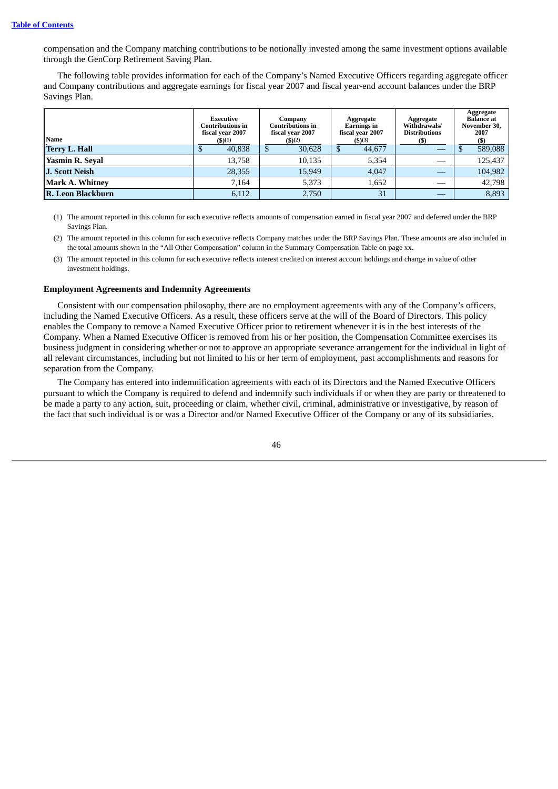compensation and the Company matching contributions to be notionally invested among the same investment options available through the GenCorp Retirement Saving Plan.

The following table provides information for each of the Company's Named Executive Officers regarding aggregate officer and Company contributions and aggregate earnings for fiscal year 2007 and fiscal year-end account balances under the BRP Savings Plan.

| <b>Name</b>            | <b>Executive</b><br>Contributions in<br>fiscal year 2007<br>$($ \$ $)(1)$ |        | Company<br>Contributions in<br>fiscal year 2007<br>$($ \$) $(2)$ |        | Aggregate<br>Earnings in<br>fiscal year 2007<br>$($ \$)(3) |        | Aggregate<br>Withdrawals/<br><b>Distributions</b><br>(S) | Aggregate<br><b>Balance</b> at<br>November 30,<br>2007 |  |
|------------------------|---------------------------------------------------------------------------|--------|------------------------------------------------------------------|--------|------------------------------------------------------------|--------|----------------------------------------------------------|--------------------------------------------------------|--|
| <b>Terry L. Hall</b>   |                                                                           | 40,838 |                                                                  | 30.628 |                                                            | 44.677 |                                                          | 589,088                                                |  |
| Yasmin R. Seval        |                                                                           | 13.758 |                                                                  | 10,135 |                                                            | 5.354  | _                                                        | 125,437                                                |  |
| J. Scott Neish         |                                                                           | 28,355 |                                                                  | 15.949 |                                                            | 4.047  |                                                          | 104,982                                                |  |
| <b>Mark A. Whitney</b> |                                                                           | 7.164  |                                                                  | 5,373  |                                                            | 1,652  |                                                          | 42,798                                                 |  |
| R. Leon Blackburn      |                                                                           | 6,112  |                                                                  | 2,750  |                                                            | 31     |                                                          | 8,893                                                  |  |

- (1) The amount reported in this column for each executive reflects amounts of compensation earned in fiscal year 2007 and deferred under the BRP Savings Plan.
- (2) The amount reported in this column for each executive reflects Company matches under the BRP Savings Plan. These amounts are also included in the total amounts shown in the "All Other Compensation" column in the Summary Compensation Table on page xx.
- (3) The amount reported in this column for each executive reflects interest credited on interest account holdings and change in value of other investment holdings.

#### **Employment Agreements and Indemnity Agreements**

Consistent with our compensation philosophy, there are no employment agreements with any of the Company's officers, including the Named Executive Officers. As a result, these officers serve at the will of the Board of Directors. This policy enables the Company to remove a Named Executive Officer prior to retirement whenever it is in the best interests of the Company. When a Named Executive Officer is removed from his or her position, the Compensation Committee exercises its business judgment in considering whether or not to approve an appropriate severance arrangement for the individual in light of all relevant circumstances, including but not limited to his or her term of employment, past accomplishments and reasons for separation from the Company.

The Company has entered into indemnification agreements with each of its Directors and the Named Executive Officers pursuant to which the Company is required to defend and indemnify such individuals if or when they are party or threatened to be made a party to any action, suit, proceeding or claim, whether civil, criminal, administrative or investigative, by reason of the fact that such individual is or was a Director and/or Named Executive Officer of the Company or any of its subsidiaries.

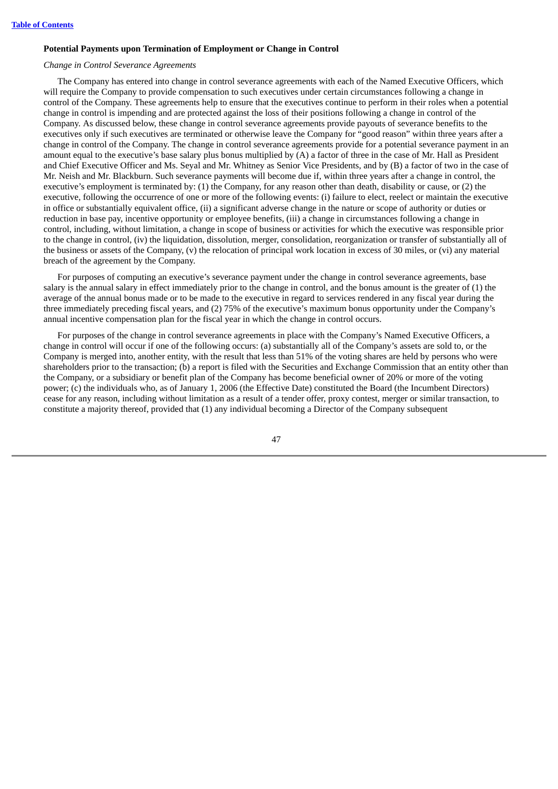#### **Potential Payments upon Termination of Employment or Change in Control**

#### *Change in Control Severance Agreements*

The Company has entered into change in control severance agreements with each of the Named Executive Officers, which will require the Company to provide compensation to such executives under certain circumstances following a change in control of the Company. These agreements help to ensure that the executives continue to perform in their roles when a potential change in control is impending and are protected against the loss of their positions following a change in control of the Company. As discussed below, these change in control severance agreements provide payouts of severance benefits to the executives only if such executives are terminated or otherwise leave the Company for "good reason" within three years after a change in control of the Company. The change in control severance agreements provide for a potential severance payment in an amount equal to the executive's base salary plus bonus multiplied by (A) a factor of three in the case of Mr. Hall as President and Chief Executive Officer and Ms. Seyal and Mr. Whitney as Senior Vice Presidents, and by (B) a factor of two in the case of Mr. Neish and Mr. Blackburn. Such severance payments will become due if, within three years after a change in control, the executive's employment is terminated by: (1) the Company, for any reason other than death, disability or cause, or (2) the executive, following the occurrence of one or more of the following events: (i) failure to elect, reelect or maintain the executive in office or substantially equivalent office, (ii) a significant adverse change in the nature or scope of authority or duties or reduction in base pay, incentive opportunity or employee benefits, (iii) a change in circumstances following a change in control, including, without limitation, a change in scope of business or activities for which the executive was responsible prior to the change in control, (iv) the liquidation, dissolution, merger, consolidation, reorganization or transfer of substantially all of the business or assets of the Company, (v) the relocation of principal work location in excess of 30 miles, or (vi) any material breach of the agreement by the Company.

For purposes of computing an executive's severance payment under the change in control severance agreements, base salary is the annual salary in effect immediately prior to the change in control, and the bonus amount is the greater of (1) the average of the annual bonus made or to be made to the executive in regard to services rendered in any fiscal year during the three immediately preceding fiscal years, and (2) 75% of the executive's maximum bonus opportunity under the Company's annual incentive compensation plan for the fiscal year in which the change in control occurs.

For purposes of the change in control severance agreements in place with the Company's Named Executive Officers, a change in control will occur if one of the following occurs: (a) substantially all of the Company's assets are sold to, or the Company is merged into, another entity, with the result that less than 51% of the voting shares are held by persons who were shareholders prior to the transaction; (b) a report is filed with the Securities and Exchange Commission that an entity other than the Company, or a subsidiary or benefit plan of the Company has become beneficial owner of 20% or more of the voting power; (c) the individuals who, as of January 1, 2006 (the Effective Date) constituted the Board (the Incumbent Directors) cease for any reason, including without limitation as a result of a tender offer, proxy contest, merger or similar transaction, to constitute a majority thereof, provided that (1) any individual becoming a Director of the Company subsequent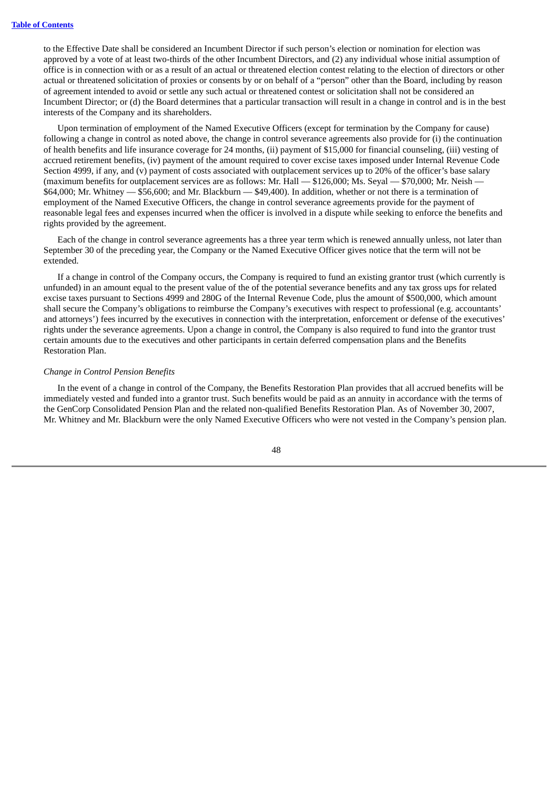to the Effective Date shall be considered an Incumbent Director if such person's election or nomination for election was approved by a vote of at least two-thirds of the other Incumbent Directors, and (2) any individual whose initial assumption of office is in connection with or as a result of an actual or threatened election contest relating to the election of directors or other actual or threatened solicitation of proxies or consents by or on behalf of a "person" other than the Board, including by reason of agreement intended to avoid or settle any such actual or threatened contest or solicitation shall not be considered an Incumbent Director; or (d) the Board determines that a particular transaction will result in a change in control and is in the best interests of the Company and its shareholders.

Upon termination of employment of the Named Executive Officers (except for termination by the Company for cause) following a change in control as noted above, the change in control severance agreements also provide for (i) the continuation of health benefits and life insurance coverage for 24 months, (ii) payment of \$15,000 for financial counseling, (iii) vesting of accrued retirement benefits, (iv) payment of the amount required to cover excise taxes imposed under Internal Revenue Code Section 4999, if any, and (v) payment of costs associated with outplacement services up to 20% of the officer's base salary (maximum benefits for outplacement services are as follows: Mr. Hall — \$126,000; Ms. Seyal — \$70,000; Mr. Neish — \$64,000; Mr. Whitney — \$56,600; and Mr. Blackburn — \$49,400). In addition, whether or not there is a termination of employment of the Named Executive Officers, the change in control severance agreements provide for the payment of reasonable legal fees and expenses incurred when the officer is involved in a dispute while seeking to enforce the benefits and rights provided by the agreement.

Each of the change in control severance agreements has a three year term which is renewed annually unless, not later than September 30 of the preceding year, the Company or the Named Executive Officer gives notice that the term will not be extended.

If a change in control of the Company occurs, the Company is required to fund an existing grantor trust (which currently is unfunded) in an amount equal to the present value of the of the potential severance benefits and any tax gross ups for related excise taxes pursuant to Sections 4999 and 280G of the Internal Revenue Code, plus the amount of \$500,000, which amount shall secure the Company's obligations to reimburse the Company's executives with respect to professional (e.g. accountants' and attorneys') fees incurred by the executives in connection with the interpretation, enforcement or defense of the executives' rights under the severance agreements. Upon a change in control, the Company is also required to fund into the grantor trust certain amounts due to the executives and other participants in certain deferred compensation plans and the Benefits Restoration Plan.

#### *Change in Control Pension Benefits*

In the event of a change in control of the Company, the Benefits Restoration Plan provides that all accrued benefits will be immediately vested and funded into a grantor trust. Such benefits would be paid as an annuity in accordance with the terms of the GenCorp Consolidated Pension Plan and the related non-qualified Benefits Restoration Plan. As of November 30, 2007, Mr. Whitney and Mr. Blackburn were the only Named Executive Officers who were not vested in the Company's pension plan.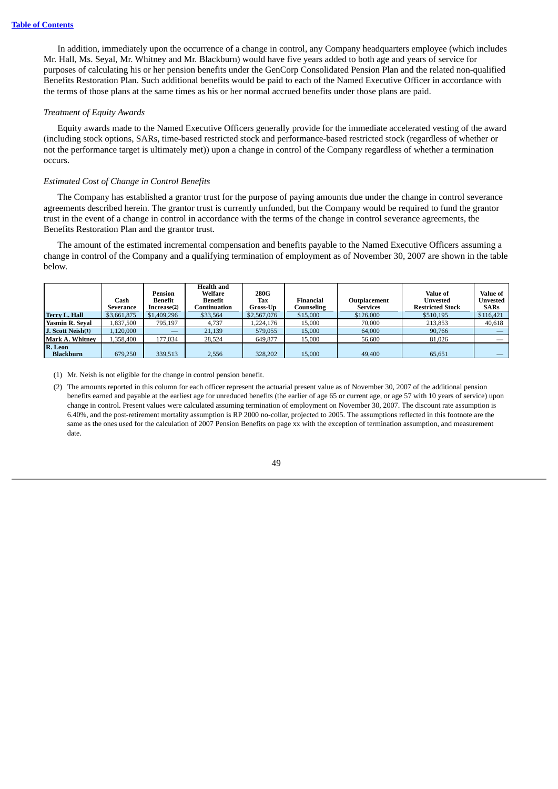In addition, immediately upon the occurrence of a change in control, any Company headquarters employee (which includes Mr. Hall, Ms. Seyal, Mr. Whitney and Mr. Blackburn) would have five years added to both age and years of service for purposes of calculating his or her pension benefits under the GenCorp Consolidated Pension Plan and the related non-qualified Benefits Restoration Plan. Such additional benefits would be paid to each of the Named Executive Officer in accordance with the terms of those plans at the same times as his or her normal accrued benefits under those plans are paid.

#### *Treatment of Equity Awards*

Equity awards made to the Named Executive Officers generally provide for the immediate accelerated vesting of the award (including stock options, SARs, time-based restricted stock and performance-based restricted stock (regardless of whether or not the performance target is ultimately met)) upon a change in control of the Company regardless of whether a termination occurs.

#### *Estimated Cost of Change in Control Benefits*

The Company has established a grantor trust for the purpose of paying amounts due under the change in control severance agreements described herein. The grantor trust is currently unfunded, but the Company would be required to fund the grantor trust in the event of a change in control in accordance with the terms of the change in control severance agreements, the Benefits Restoration Plan and the grantor trust.

The amount of the estimated incremental compensation and benefits payable to the Named Executive Officers assuming a change in control of the Company and a qualifying termination of employment as of November 30, 2007 are shown in the table below.

|                             | Cash<br>Severance | Pension<br>Benefit<br>Increase(2) | <b>Health and</b><br>Welfare<br>Benefit<br>Continuation | 280G<br>Tax<br>Gross-Up | Financial<br>Counseling | Outplacement<br><b>Services</b> | Value of<br>Unvested<br><b>Restricted Stock</b> | Value of<br><b>Unvested</b><br><b>SARs</b> |
|-----------------------------|-------------------|-----------------------------------|---------------------------------------------------------|-------------------------|-------------------------|---------------------------------|-------------------------------------------------|--------------------------------------------|
| <b>Terry L. Hall</b>        | \$3,661,875       | \$1,409,296                       | \$33,564                                                | \$2,567,076             | \$15,000                | \$126,000                       | \$510,195                                       | \$116,421                                  |
| Yasmin R. Seval             | 1,837,500         | 795,197                           | 4,737                                                   | 1,224,176               | 15,000                  | 70.000                          | 213,853                                         | 40,618                                     |
| J. Scott Neish(1)           | 1,120,000         | $\sim$                            | 21,139                                                  | 579,055                 | 15,000                  | 64.000                          | 90,766                                          |                                            |
| <b>Mark A. Whitney</b>      | 1,358,400         | 177,034                           | 28,524                                                  | 649,877                 | 15,000                  | 56,600                          | 81,026                                          |                                            |
| R. Leon<br><b>Blackburn</b> | 679,250           | 339,513                           | 2,556                                                   | 328,202                 | 15,000                  | 49,400                          | 65,651                                          |                                            |

(1) Mr. Neish is not eligible for the change in control pension benefit.

(2) The amounts reported in this column for each officer represent the actuarial present value as of November 30, 2007 of the additional pension benefits earned and payable at the earliest age for unreduced benefits (the earlier of age 65 or current age, or age 57 with 10 years of service) upon change in control. Present values were calculated assuming termination of employment on November 30, 2007. The discount rate assumption is 6.40%, and the post-retirement mortality assumption is RP 2000 no-collar, projected to 2005. The assumptions reflected in this footnote are the same as the ones used for the calculation of 2007 Pension Benefits on page xx with the exception of termination assumption, and measurement date.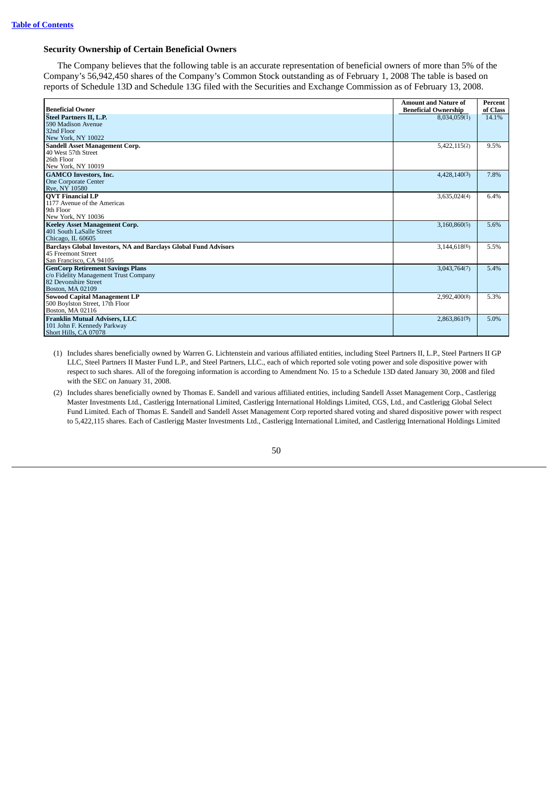## **Security Ownership of Certain Beneficial Owners**

The Company believes that the following table is an accurate representation of beneficial owners of more than 5% of the Company's 56,942,450 shares of the Company's Common Stock outstanding as of February 1, 2008 The table is based on reports of Schedule 13D and Schedule 13G filed with the Securities and Exchange Commission as of February 13, 2008.

| <b>Beneficial Owner</b>                                                                                                             | <b>Amount and Nature of</b><br><b>Beneficial Ownership</b> | Percent<br>of Class |
|-------------------------------------------------------------------------------------------------------------------------------------|------------------------------------------------------------|---------------------|
| <b>Steel Partners II, L.P.</b><br>590 Madison Avenue<br>32nd Floor<br>New York, NY 10022                                            | 8,034,059(1)                                               | 14.1%               |
| Sandell Asset Management Corp.<br>40 West 57th Street<br>26th Floor<br>New York, NY 10019                                           | 5,422,115(2)                                               | 9.5%                |
| <b>GAMCO Investors, Inc.</b><br><b>One Corporate Center</b><br>Rye, NY 10580                                                        | 4,428,140(3)                                               | 7.8%                |
| <b>OVT Financial LP</b><br>1177 Avenue of the Americas<br>9th Floor<br>New York, NY 10036                                           | 3,635,024(4)                                               | 6.4%                |
| <b>Keeley Asset Management Corp.</b><br>401 South LaSalle Street<br>Chicago, IL 60605                                               | 3,160,860(5)                                               | 5.6%                |
| <b>Barclays Global Investors, NA and Barclays Global Fund Advisors</b><br>45 Freemont Street<br>San Francisco, CA 94105             | 3,144,618(6)                                               | 5.5%                |
| <b>GenCorp Retirement Savings Plans</b><br>c/o Fidelity Management Trust Company<br>82 Devonshire Street<br><b>Boston, MA 02109</b> | 3,043,764(7)                                               | 5.4%                |
| <b>Sowood Capital Management LP</b><br>500 Boylston Street, 17th Floor<br><b>Boston, MA 02116</b>                                   | 2,992,400(8)                                               | 5.3%                |
| <b>Franklin Mutual Advisers, LLC</b><br>101 John F. Kennedy Parkway<br>Short Hills, CA 07078                                        | 2,863,861(9)                                               | 5.0%                |

(1) Includes shares beneficially owned by Warren G. Lichtenstein and various affiliated entities, including Steel Partners II, L.P., Steel Partners II GP LLC, Steel Partners II Master Fund L.P., and Steel Partners, LLC., each of which reported sole voting power and sole dispositive power with respect to such shares. All of the foregoing information is according to Amendment No. 15 to a Schedule 13D dated January 30, 2008 and filed with the SEC on January 31, 2008.

(2) Includes shares beneficially owned by Thomas E. Sandell and various affiliated entities, including Sandell Asset Management Corp., Castlerigg Master Investments Ltd., Castlerigg International Limited, Castlerigg International Holdings Limited, CGS, Ltd., and Castlerigg Global Select Fund Limited. Each of Thomas E. Sandell and Sandell Asset Management Corp reported shared voting and shared dispositive power with respect to 5,422,115 shares. Each of Castlerigg Master Investments Ltd., Castlerigg International Limited, and Castlerigg International Holdings Limited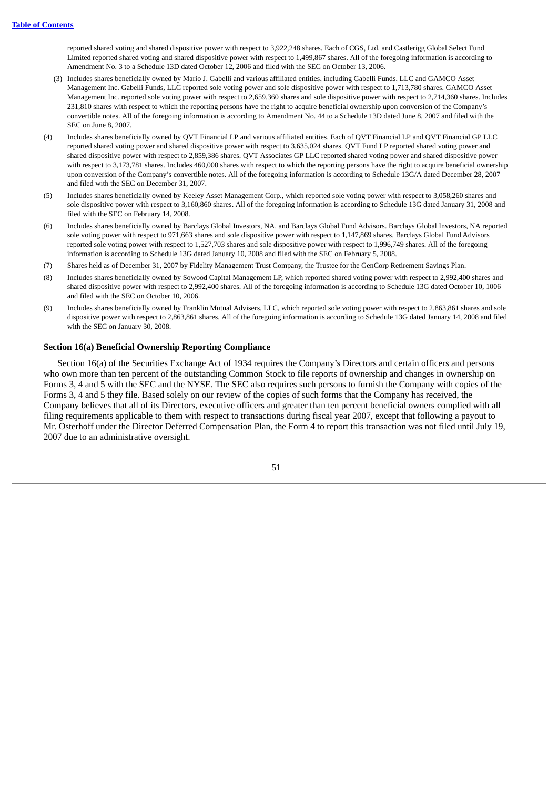reported shared voting and shared dispositive power with respect to 3,922,248 shares. Each of CGS, Ltd. and Castlerigg Global Select Fund Limited reported shared voting and shared dispositive power with respect to 1,499,867 shares. All of the foregoing information is according to Amendment No. 3 to a Schedule 13D dated October 12, 2006 and filed with the SEC on October 13, 2006.

- (3) Includes shares beneficially owned by Mario J. Gabelli and various affiliated entities, including Gabelli Funds, LLC and GAMCO Asset Management Inc. Gabelli Funds, LLC reported sole voting power and sole dispositive power with respect to 1,713,780 shares. GAMCO Asset Management Inc. reported sole voting power with respect to 2,659,360 shares and sole dispositive power with respect to 2,714,360 shares. Includes 231,810 shares with respect to which the reporting persons have the right to acquire beneficial ownership upon conversion of the Company's convertible notes. All of the foregoing information is according to Amendment No. 44 to a Schedule 13D dated June 8, 2007 and filed with the SEC on June 8, 2007.
- (4) Includes shares beneficially owned by QVT Financial LP and various affiliated entities. Each of QVT Financial LP and QVT Financial GP LLC reported shared voting power and shared dispositive power with respect to 3,635,024 shares. QVT Fund LP reported shared voting power and shared dispositive power with respect to 2,859,386 shares. QVT Associates GP LLC reported shared voting power and shared dispositive power with respect to 3,173,781 shares. Includes 460,000 shares with respect to which the reporting persons have the right to acquire beneficial ownership upon conversion of the Company's convertible notes. All of the foregoing information is according to Schedule 13G/A dated December 28, 2007 and filed with the SEC on December 31, 2007.
- (5) Includes shares beneficially owned by Keeley Asset Management Corp., which reported sole voting power with respect to 3,058,260 shares and sole dispositive power with respect to 3,160,860 shares. All of the foregoing information is according to Schedule 13G dated January 31, 2008 and filed with the SEC on February 14, 2008.
- (6) Includes shares beneficially owned by Barclays Global Investors, NA. and Barclays Global Fund Advisors. Barclays Global Investors, NA reported sole voting power with respect to 971,663 shares and sole dispositive power with respect to 1,147,869 shares. Barclays Global Fund Advisors reported sole voting power with respect to 1,527,703 shares and sole dispositive power with respect to 1,996,749 shares. All of the foregoing information is according to Schedule 13G dated January 10, 2008 and filed with the SEC on February 5, 2008.
- (7) Shares held as of December 31, 2007 by Fidelity Management Trust Company, the Trustee for the GenCorp Retirement Savings Plan.
- (8) Includes shares beneficially owned by Sowood Capital Management LP, which reported shared voting power with respect to 2,992,400 shares and shared dispositive power with respect to 2,992,400 shares. All of the foregoing information is according to Schedule 13G dated October 10, 1006 and filed with the SEC on October 10, 2006.
- (9) Includes shares beneficially owned by Franklin Mutual Advisers, LLC, which reported sole voting power with respect to 2,863,861 shares and sole dispositive power with respect to 2,863,861 shares. All of the foregoing information is according to Schedule 13G dated January 14, 2008 and filed with the SEC on January 30, 2008.

#### **Section 16(a) Beneficial Ownership Reporting Compliance**

Section 16(a) of the Securities Exchange Act of 1934 requires the Company's Directors and certain officers and persons who own more than ten percent of the outstanding Common Stock to file reports of ownership and changes in ownership on Forms 3, 4 and 5 with the SEC and the NYSE. The SEC also requires such persons to furnish the Company with copies of the Forms 3, 4 and 5 they file. Based solely on our review of the copies of such forms that the Company has received, the Company believes that all of its Directors, executive officers and greater than ten percent beneficial owners complied with all filing requirements applicable to them with respect to transactions during fiscal year 2007, except that following a payout to Mr. Osterhoff under the Director Deferred Compensation Plan, the Form 4 to report this transaction was not filed until July 19, 2007 due to an administrative oversight.

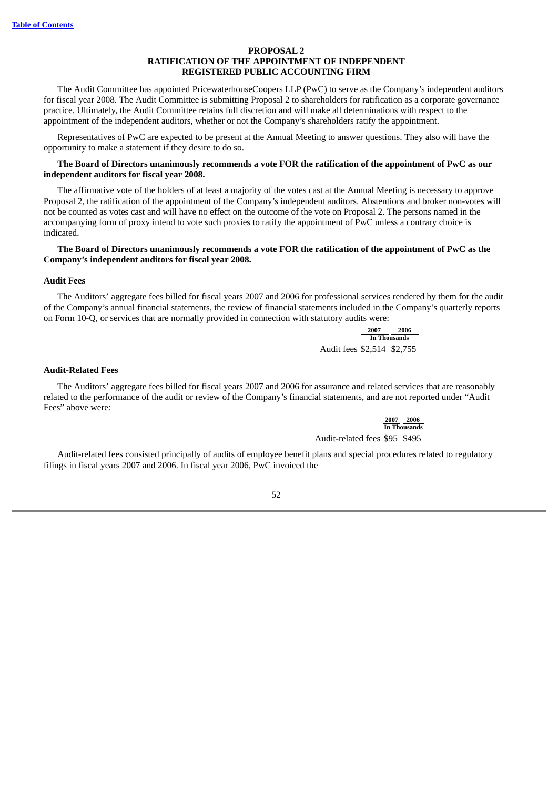#### **PROPOSAL 2 RATIFICATION OF THE APPOINTMENT OF INDEPENDENT REGISTERED PUBLIC ACCOUNTING FIRM**

<span id="page-56-0"></span>The Audit Committee has appointed PricewaterhouseCoopers LLP (PwC) to serve as the Company's independent auditors for fiscal year 2008. The Audit Committee is submitting Proposal 2 to shareholders for ratification as a corporate governance practice. Ultimately, the Audit Committee retains full discretion and will make all determinations with respect to the appointment of the independent auditors, whether or not the Company's shareholders ratify the appointment.

Representatives of PwC are expected to be present at the Annual Meeting to answer questions. They also will have the opportunity to make a statement if they desire to do so.

#### The Board of Directors unanimously recommends a vote FOR the ratification of the appointment of PwC as our **independent auditors for fiscal year 2008.**

The affirmative vote of the holders of at least a majority of the votes cast at the Annual Meeting is necessary to approve Proposal 2, the ratification of the appointment of the Company's independent auditors. Abstentions and broker non-votes will not be counted as votes cast and will have no effect on the outcome of the vote on Proposal 2. The persons named in the accompanying form of proxy intend to vote such proxies to ratify the appointment of PwC unless a contrary choice is indicated.

#### The Board of Directors unanimously recommends a vote FOR the ratification of the appointment of PwC as the **Company's independent auditors for fiscal year 2008.**

#### **Audit Fees**

The Auditors' aggregate fees billed for fiscal years 2007 and 2006 for professional services rendered by them for the audit of the Company's annual financial statements, the review of financial statements included in the Company's quarterly reports on Form 10-Q, or services that are normally provided in connection with statutory audits were:

**2007 2006 In Thousands**

Audit fees \$2,514 \$2,755

#### **Audit-Related Fees**

The Auditors' aggregate fees billed for fiscal years 2007 and 2006 for assurance and related services that are reasonably related to the performance of the audit or review of the Company's financial statements, and are not reported under "Audit Fees" above were:

> **2007 2006 In Thousands** Audit-related fees \$95 \$495

Audit-related fees consisted principally of audits of employee benefit plans and special procedures related to regulatory filings in fiscal years 2007 and 2006. In fiscal year 2006, PwC invoiced the

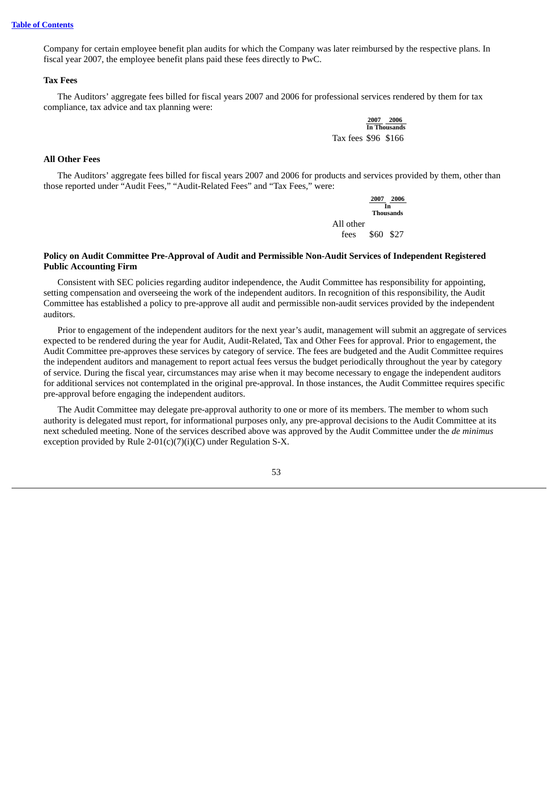Company for certain employee benefit plan audits for which the Company was later reimbursed by the respective plans. In fiscal year 2007, the employee benefit plans paid these fees directly to PwC.

#### **Tax Fees**

The Auditors' aggregate fees billed for fiscal years 2007 and 2006 for professional services rendered by them for tax compliance, tax advice and tax planning were:

> **2007 2006 In Thousands** Tax fees \$96 \$166

## **All Other Fees**

The Auditors' aggregate fees billed for fiscal years 2007 and 2006 for products and services provided by them, other than those reported under "Audit Fees," "Audit-Related Fees" and "Tax Fees," were:

> **2007 2006 In Thousands** All other fees \$60 \$27

#### **Policy on Audit Committee Pre-Approval of Audit and Permissible Non-Audit Services of Independent Registered Public Accounting Firm**

Consistent with SEC policies regarding auditor independence, the Audit Committee has responsibility for appointing, setting compensation and overseeing the work of the independent auditors. In recognition of this responsibility, the Audit Committee has established a policy to pre-approve all audit and permissible non-audit services provided by the independent auditors.

Prior to engagement of the independent auditors for the next year's audit, management will submit an aggregate of services expected to be rendered during the year for Audit, Audit-Related, Tax and Other Fees for approval. Prior to engagement, the Audit Committee pre-approves these services by category of service. The fees are budgeted and the Audit Committee requires the independent auditors and management to report actual fees versus the budget periodically throughout the year by category of service. During the fiscal year, circumstances may arise when it may become necessary to engage the independent auditors for additional services not contemplated in the original pre-approval. In those instances, the Audit Committee requires specific pre-approval before engaging the independent auditors.

The Audit Committee may delegate pre-approval authority to one or more of its members. The member to whom such authority is delegated must report, for informational purposes only, any pre-approval decisions to the Audit Committee at its next scheduled meeting. None of the services described above was approved by the Audit Committee under the *de minimus* exception provided by Rule 2-01(c)(7)(i)(C) under Regulation S-X.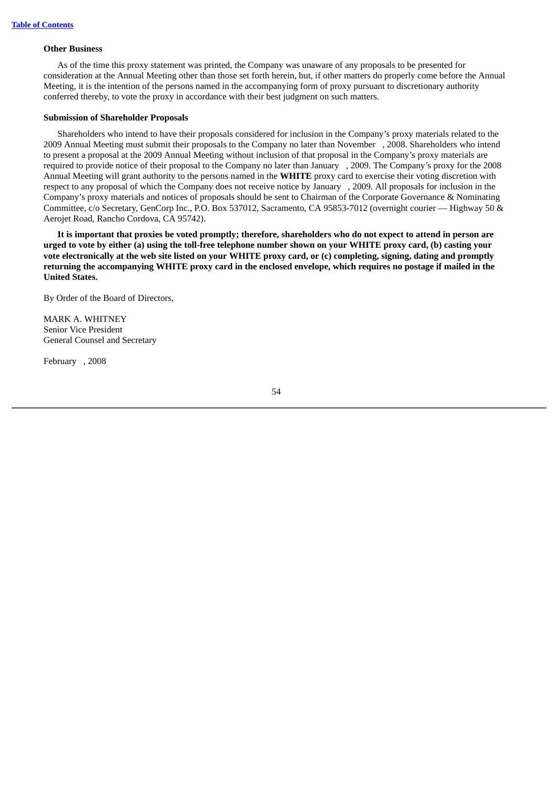#### **Other Business**

As of the time this proxy statement was printed, the Company was unaware of any proposals to be presented for consideration at the Annual Meeting other than those set forth herein, but, if other matters do properly come before the Annual Meeting, it is the intention of the persons named in the accompanying form of proxy pursuant to discretionary authority conferred thereby, to vote the proxy in accordance with their best judgment on such matters.

#### **Submission of Shareholder Proposals**

Shareholders who intend to have their proposals considered for inclusion in the Company's proxy materials related to the 2009 Annual Meeting must submit their proposals to the Company no later than November , 2008. Shareholders who intend to present a proposal at the 2009 Annual Meeting without inclusion of that proposal in the Company's proxy materials are required to provide notice of their proposal to the Company no later than January , 2009. The Company's proxy for the 2008 Annual Meeting will grant authority to the persons named in the **WHITE** proxy card to exercise their voting discretion with respect to any proposal of which the Company does not receive notice by January , 2009. All proposals for inclusion in the Company's proxy materials and notices of proposals should be sent to Chairman of the Corporate Governance & Nominating Committee, c/o Secretary, GenCorp Inc., P.O. Box 537012, Sacramento, CA 95853-7012 (overnight courier — Highway 50 & Aerojet Road, Rancho Cordova, CA 95742).

It is important that proxies be voted promptly; therefore, shareholders who do not expect to attend in person are urged to vote by either (a) using the toll-free telephone number shown on your WHITE proxy card, (b) casting your vote electronically at the web site listed on your WHITE proxy card, or (c) completing, signing, dating and promptly returning the accompanying WHITE proxy card in the enclosed envelope, which requires no postage if mailed in the **United States.**

By Order of the Board of Directors,

MARK A. WHITNEY Senior Vice President General Counsel and Secretary

February , 2008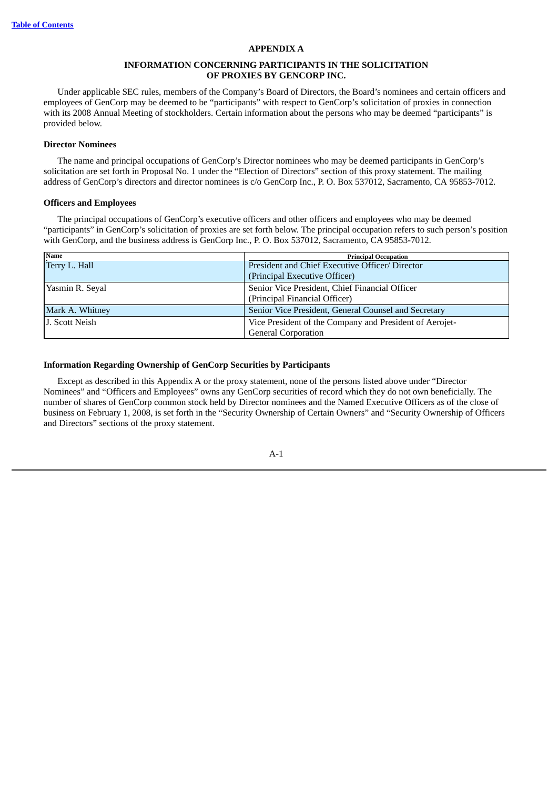## **APPENDIX A**

#### **INFORMATION CONCERNING PARTICIPANTS IN THE SOLICITATION OF PROXIES BY GENCORP INC.**

Under applicable SEC rules, members of the Company's Board of Directors, the Board's nominees and certain officers and employees of GenCorp may be deemed to be "participants" with respect to GenCorp's solicitation of proxies in connection with its 2008 Annual Meeting of stockholders. Certain information about the persons who may be deemed "participants" is provided below.

#### **Director Nominees**

The name and principal occupations of GenCorp's Director nominees who may be deemed participants in GenCorp's solicitation are set forth in Proposal No. 1 under the "Election of Directors" section of this proxy statement. The mailing address of GenCorp's directors and director nominees is c/o GenCorp Inc., P. O. Box 537012, Sacramento, CA 95853-7012.

#### **Officers and Employees**

The principal occupations of GenCorp's executive officers and other officers and employees who may be deemed "participants" in GenCorp's solicitation of proxies are set forth below. The principal occupation refers to such person's position with GenCorp, and the business address is GenCorp Inc., P. O. Box 537012, Sacramento, CA 95853-7012.

| <b>Name</b>     | <b>Principal Occupation</b>                             |  |  |
|-----------------|---------------------------------------------------------|--|--|
| Terry L. Hall   | President and Chief Executive Officer/ Director         |  |  |
|                 | (Principal Executive Officer)                           |  |  |
| Yasmin R. Seyal | Senior Vice President, Chief Financial Officer          |  |  |
|                 | (Principal Financial Officer)                           |  |  |
| Mark A. Whitney | Senior Vice President, General Counsel and Secretary    |  |  |
| J. Scott Neish  | Vice President of the Company and President of Aerojet- |  |  |
|                 | <b>General Corporation</b>                              |  |  |

#### **Information Regarding Ownership of GenCorp Securities by Participants**

Except as described in this Appendix A or the proxy statement, none of the persons listed above under "Director Nominees" and "Officers and Employees" owns any GenCorp securities of record which they do not own beneficially. The number of shares of GenCorp common stock held by Director nominees and the Named Executive Officers as of the close of business on February 1, 2008, is set forth in the "Security Ownership of Certain Owners" and "Security Ownership of Officers and Directors" sections of the proxy statement.

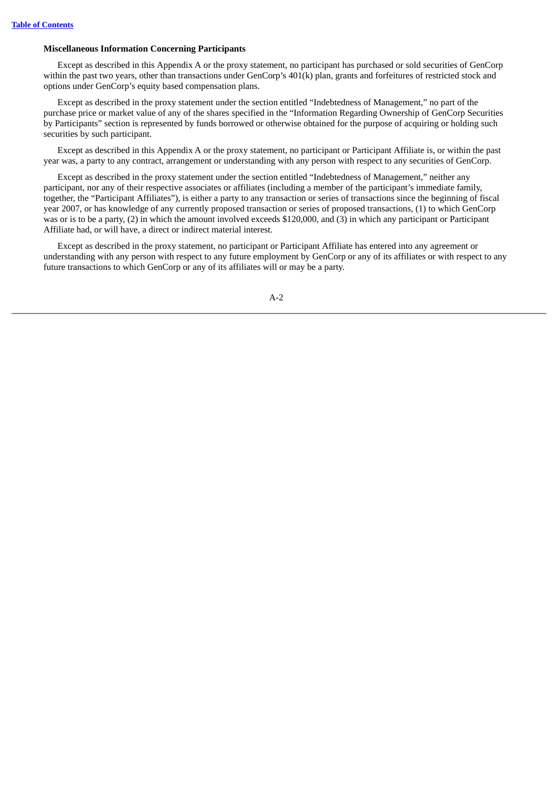#### **Miscellaneous Information Concerning Participants**

Except as described in this Appendix A or the proxy statement, no participant has purchased or sold securities of GenCorp within the past two years, other than transactions under GenCorp's 401(k) plan, grants and forfeitures of restricted stock and options under GenCorp's equity based compensation plans.

Except as described in the proxy statement under the section entitled "Indebtedness of Management," no part of the purchase price or market value of any of the shares specified in the "Information Regarding Ownership of GenCorp Securities by Participants" section is represented by funds borrowed or otherwise obtained for the purpose of acquiring or holding such securities by such participant.

Except as described in this Appendix A or the proxy statement, no participant or Participant Affiliate is, or within the past year was, a party to any contract, arrangement or understanding with any person with respect to any securities of GenCorp.

Except as described in the proxy statement under the section entitled "Indebtedness of Management," neither any participant, nor any of their respective associates or affiliates (including a member of the participant's immediate family, together, the "Participant Affiliates"), is either a party to any transaction or series of transactions since the beginning of fiscal year 2007, or has knowledge of any currently proposed transaction or series of proposed transactions, (1) to which GenCorp was or is to be a party, (2) in which the amount involved exceeds \$120,000, and (3) in which any participant or Participant Affiliate had, or will have, a direct or indirect material interest.

Except as described in the proxy statement, no participant or Participant Affiliate has entered into any agreement or understanding with any person with respect to any future employment by GenCorp or any of its affiliates or with respect to any future transactions to which GenCorp or any of its affiliates will or may be a party.

A-2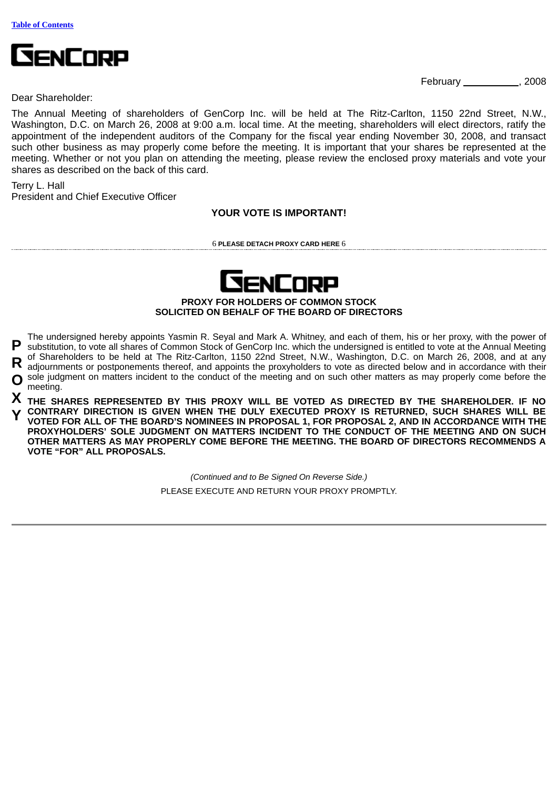

February \_\_\_\_\_\_\_\_\_\_\_\_, 2008

Dear Shareholder:

The Annual Meeting of shareholders of GenCorp Inc. will be held at The Ritz-Carlton, 1150 22nd Street, N.W., Washington, D.C. on March 26, 2008 at 9:00 a.m. local time. At the meeting, shareholders will elect directors, ratify the appointment of the independent auditors of the Company for the fiscal year ending November 30, 2008, and transact such other business as may properly come before the meeting. It is important that your shares be represented at the meeting. Whether or not you plan on attending the meeting, please review the enclosed proxy materials and vote your shares as described on the back of this card.

Terry L. Hall President and Chief Executive Officer

**YOUR VOTE IS IMPORTANT!**

6 **PLEASE DETACH PROXY CARD HERE** 6



## **SOLICITED ON BEHALF OF THE BOARD OF DIRECTORS**

**P** substitution, to vote all shares of Common Stock of GenCorp Inc. which the undersigned is entitled to vote at the Annual Meeting **R** or Shareholders to be held at the Ritz-Canton, 1150 zzhu Street, N.W., Washington, D.C. on March 26, 2008, and at any<br>**R** adjournments or postponements thereof, and appoints the proxyholders to vote as directed below a **O** The undersigned hereby appoints Yasmin R. Seyal and Mark A. Whitney, and each of them, his or her proxy, with the power of of Shareholders to be held at The Ritz-Carlton, 1150 22nd Street, N.W., Washington, D.C. on March 26, 2008, and at any sole judgment on matters incident to the conduct of the meeting and on such other matters as may properly come before the meeting.

**X THE SHARES REPRESENTED BY THIS PROXY WILL BE VOTED AS DIRECTED BY THE SHAREHOLDER. IF NO Y CONTRARY DIRECTION IS GIVEN WHEN THE DULY EXECUTED PROXY IS RETURNED, SUCH SHARES WILL BE VOTED FOR ALL OF THE BOARD'S NOMINEES IN PROPOSAL 1, FOR PROPOSAL 2, AND IN ACCORDANCE WITH THE PROXYHOLDERS' SOLE JUDGMENT ON MATTERS INCIDENT TO THE CONDUCT OF THE MEETING AND ON SUCH OTHER MATTERS AS MAY PROPERLY COME BEFORE THE MEETING. THE BOARD OF DIRECTORS RECOMMENDS A VOTE "FOR" ALL PROPOSALS.**

> *(Continued and to Be Signed On Reverse Side.)* PLEASE EXECUTE AND RETURN YOUR PROXY PROMPTLY.